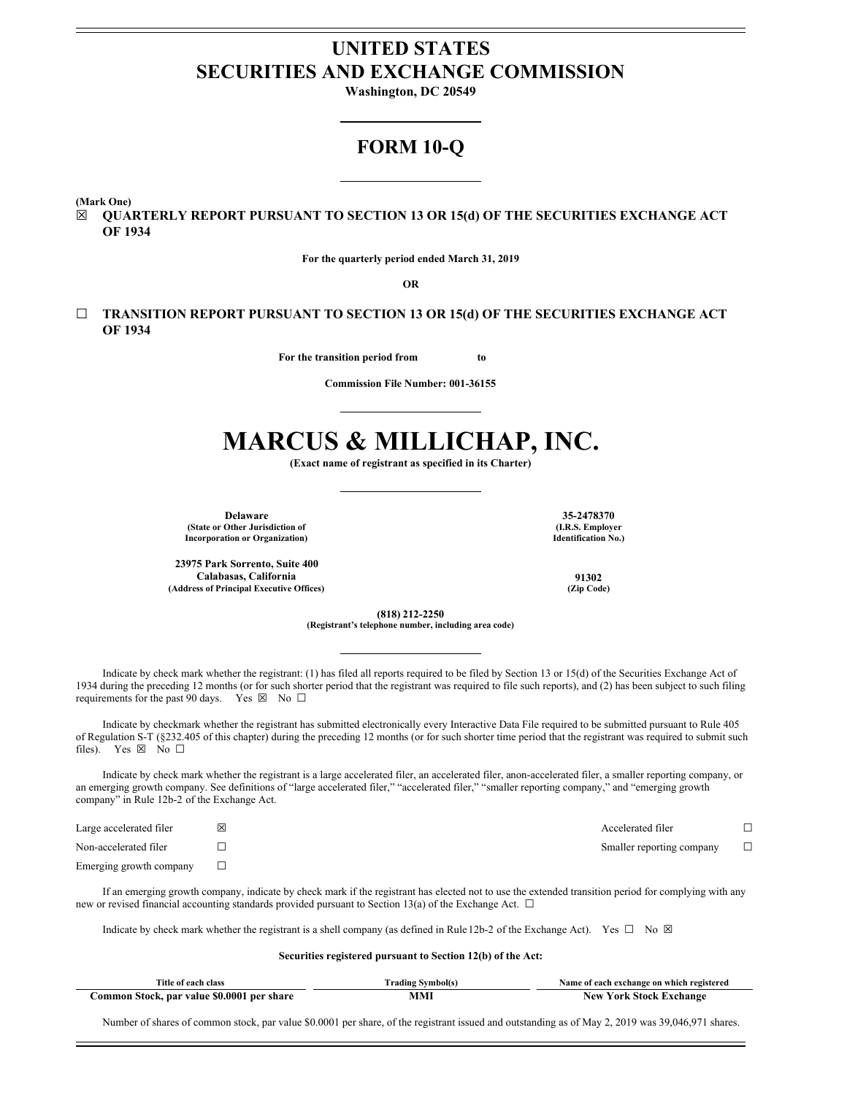# **UNITED STATES SECURITIES AND EXCHANGE COMMISSION**

**Washington, DC 20549**

# **FORM 10-Q**

**(Mark One)**

☒ **QUARTERLY REPORT PURSUANT TO SECTION 13 OR 15(d) OF THE SECURITIES EXCHANGE ACT OF 1934**

**For the quarterly period ended March 31, 2019**

**OR**

☐ **TRANSITION REPORT PURSUANT TO SECTION 13 OR 15(d) OF THE SECURITIES EXCHANGE ACT OF 1934**

**For the transition period from to**

**Commission File Number: 001-36155**

# **MARCUS & MILLICHAP, INC.**

**(Exact name of registrant as specified in its Charter)**

**Delaware 35-2478370 (State or Other Jurisdiction of Incorporation or Organization)**

**23975 Park Sorrento, Suite 400 Calabasas, California 91302 (Address of Principal Executive Offices) (Zip Code)**

**(I.R.S. Employer Identification No.)**

**(818) 212-2250**

**(Registrant's telephone number, including area code)**

Indicate by check mark whether the registrant: (1) has filed all reports required to be filed by Section 13 or 15(d) of the Securities Exchange Act of 1934 during the preceding 12 months (or for such shorter period that the registrant was required to file such reports), and (2) has been subject to such filing requirements for the past 90 days. Yes  $\boxtimes$  No  $\Box$ 

Indicate by checkmark whether the registrant has submitted electronically every Interactive Data File required to be submitted pursuant to Rule 405 of Regulation S-T (§232.405 of this chapter) during the preceding 12 months (or for such shorter time period that the registrant was required to submit such files). Yes  $\boxtimes$  No  $\square$ 

Indicate by check mark whether the registrant is a large accelerated filer, an accelerated filer, anon-accelerated filer, a smaller reporting company, or an emerging growth company. See definitions of "large accelerated filer," "accelerated filer," "smaller reporting company," and "emerging growth company" in Rule 12b-2 of the Exchange Act.

| Large accelerated filer | × | Accelerated filer         |  |
|-------------------------|---|---------------------------|--|
| Non-accelerated filer   |   | Smaller reporting company |  |
| Emerging growth company |   |                           |  |

If an emerging growth company, indicate by check mark if the registrant has elected not to use the extended transition period for complying with any new or revised financial accounting standards provided pursuant to Section 13(a) of the Exchange Act.  $\Box$ 

Indicate by check mark whether the registrant is a shell company (as defined in Rule 12b-2 of the Exchange Act). Yes  $\Box$  No  $\boxtimes$ 

# **Securities registered pursuant to Section 12(b) of the Act:**

| Title of each class                        | Trading Symbol(s) | Name of each exchange on which registered |
|--------------------------------------------|-------------------|-------------------------------------------|
| Common Stock, par value \$0.0001 per share | MMI               | <b>New York Stock Exchange</b>            |

Number of shares of common stock, par value \$0.0001 per share, of the registrant issued and outstanding as of May 2, 2019 was 39,046,971 shares.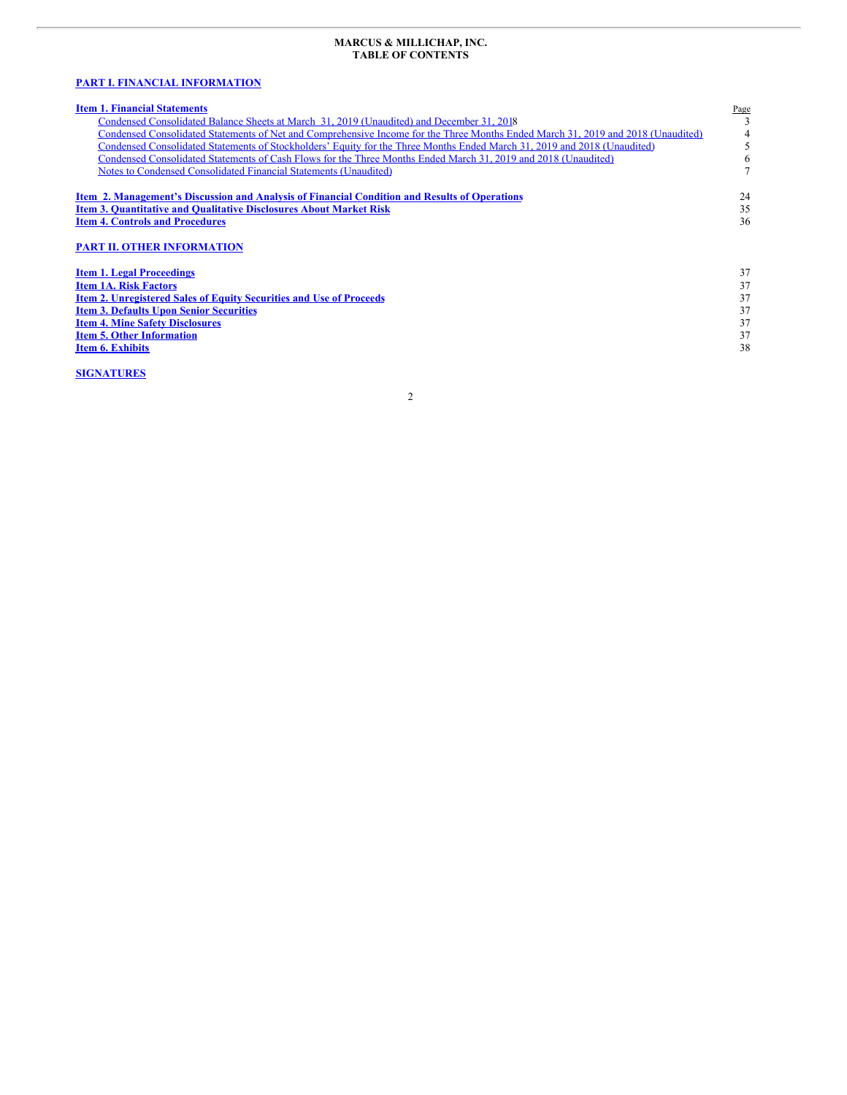# **MARCUS & MILLICHAP, INC. TABLE OF CONTENTS**

# **PART I. FINANCIAL [INFORMATION](#page-2-0)**

| <b>Item 1. Financial Statements</b>                                                                                              | Page           |
|----------------------------------------------------------------------------------------------------------------------------------|----------------|
| Condensed Consolidated Balance Sheets at March 31, 2019 (Unaudited) and December 31, 2018                                        | 3              |
| Condensed Consolidated Statements of Net and Comprehensive Income for the Three Months Ended March 31, 2019 and 2018 (Unaudited) | $\overline{4}$ |
| Condensed Consolidated Statements of Stockholders' Equity for the Three Months Ended March 31, 2019 and 2018 (Unaudited)         | 5              |
| Condensed Consolidated Statements of Cash Flows for the Three Months Ended March 31, 2019 and 2018 (Unaudited)                   | 6              |
| Notes to Condensed Consolidated Financial Statements (Unaudited)                                                                 |                |
| <b>Item 2. Management's Discussion and Analysis of Financial Condition and Results of Operations</b>                             | 24             |
| <b>Item 3. Quantitative and Qualitative Disclosures About Market Risk</b>                                                        | 35             |
| <b>Item 4. Controls and Procedures</b>                                                                                           | 36             |
| <b>PART II. OTHER INFORMATION</b>                                                                                                |                |
| <b>Item 1. Legal Proceedings</b>                                                                                                 | 37             |
| <b>Item 1A. Risk Factors</b>                                                                                                     | 37             |
| <b>Item 2. Unregistered Sales of Equity Securities and Use of Proceeds</b>                                                       | 37             |
| <b>Item 3. Defaults Upon Senior Securities</b>                                                                                   | 37             |
| <b>Item 4. Mine Safety Disclosures</b>                                                                                           | 37             |
| <b>Item 5. Other Information</b>                                                                                                 | 37             |
| <b>Item 6. Exhibits</b>                                                                                                          | 38             |

**[SIGNATURES](#page-38-0)**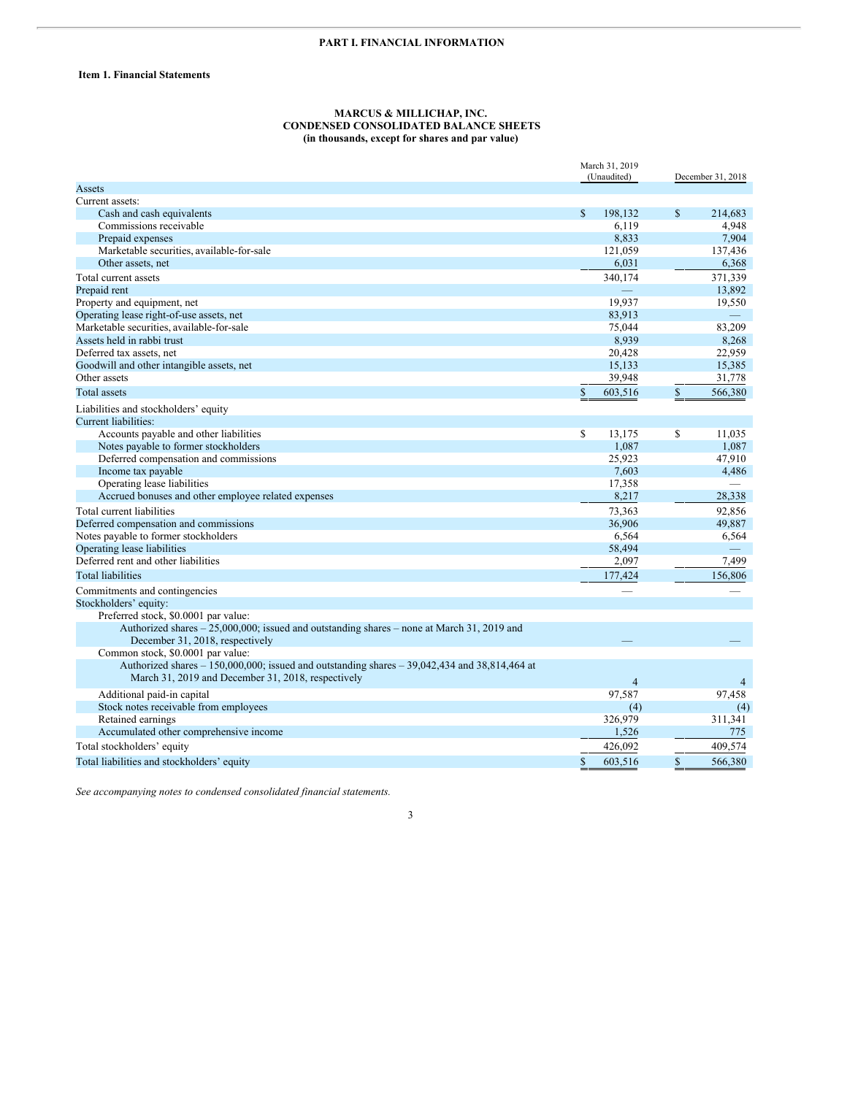#### <span id="page-2-2"></span><span id="page-2-0"></span>**MARCUS & MILLICHAP, INC. CONDENSED CONSOLIDATED BALANCE SHEETS (in thousands, except for shares and par value)**

<span id="page-2-1"></span>

|                                                                                                    |              | March 31, 2019   |                   |
|----------------------------------------------------------------------------------------------------|--------------|------------------|-------------------|
|                                                                                                    |              | (Unaudited)      | December 31, 2018 |
| Assets                                                                                             |              |                  |                   |
| Current assets:<br>Cash and cash equivalents                                                       | $\mathbb{S}$ |                  | \$<br>214,683     |
| Commissions receivable                                                                             |              | 198,132<br>6,119 | 4,948             |
| Prepaid expenses                                                                                   |              | 8,833            | 7,904             |
| Marketable securities, available-for-sale                                                          |              | 121,059          | 137,436           |
| Other assets, net                                                                                  |              | 6,031            | 6,368             |
|                                                                                                    |              |                  |                   |
| Total current assets                                                                               |              | 340,174          | 371,339           |
| Prepaid rent                                                                                       |              |                  | 13,892            |
| Property and equipment, net                                                                        |              | 19,937           | 19,550            |
| Operating lease right-of-use assets, net                                                           |              | 83,913           |                   |
| Marketable securities, available-for-sale                                                          |              | 75,044           | 83,209            |
| Assets held in rabbi trust                                                                         |              | 8,939            | 8,268             |
| Deferred tax assets, net                                                                           |              | 20,428           | 22,959            |
| Goodwill and other intangible assets, net                                                          |              | 15,133           | 15,385            |
| Other assets                                                                                       |              | 39,948           | 31,778            |
| <b>Total</b> assets                                                                                | $\mathbb{S}$ | 603,516          | \$<br>566,380     |
| Liabilities and stockholders' equity                                                               |              |                  |                   |
| Current liabilities:                                                                               |              |                  |                   |
| Accounts payable and other liabilities                                                             | $\mathbb{S}$ | 13,175           | \$<br>11,035      |
| Notes payable to former stockholders                                                               |              | 1,087            | 1,087             |
| Deferred compensation and commissions                                                              |              | 25,923           | 47,910            |
| Income tax payable                                                                                 |              | 7,603            | 4,486             |
| Operating lease liabilities                                                                        |              | 17,358           |                   |
| Accrued bonuses and other employee related expenses                                                |              | 8,217            | 28,338            |
| Total current liabilities                                                                          |              | 73,363           | 92,856            |
| Deferred compensation and commissions                                                              |              | 36,906           | 49,887            |
| Notes payable to former stockholders                                                               |              | 6,564            | 6,564             |
| Operating lease liabilities                                                                        |              | 58,494           |                   |
| Deferred rent and other liabilities                                                                |              | 2,097            | 7,499             |
| <b>Total liabilities</b>                                                                           |              |                  |                   |
|                                                                                                    |              | 177,424          | 156,806           |
| Commitments and contingencies                                                                      |              |                  |                   |
| Stockholders' equity:                                                                              |              |                  |                   |
| Preferred stock, \$0.0001 par value:                                                               |              |                  |                   |
| Authorized shares - 25,000,000; issued and outstanding shares - none at March 31, 2019 and         |              |                  |                   |
| December 31, 2018, respectively                                                                    |              |                  |                   |
| Common stock, \$0.0001 par value:                                                                  |              |                  |                   |
| Authorized shares $-150,000,000$ ; issued and outstanding shares $-39,042,434$ and $38,814,464$ at |              |                  |                   |
| March 31, 2019 and December 31, 2018, respectively                                                 |              | 4                |                   |
| Additional paid-in capital                                                                         |              | 97,587           | 97,458            |
| Stock notes receivable from employees                                                              |              | (4)              | (4)               |
| Retained earnings                                                                                  |              | 326,979          | 311,341           |
| Accumulated other comprehensive income                                                             |              | 1,526            | 775               |
| Total stockholders' equity                                                                         |              | 426,092          | 409,574           |
| Total liabilities and stockholders' equity                                                         | $\mathbb{S}$ | 603,516          | \$<br>566,380     |

*See accompanying notes to condensed consolidated financial statements.*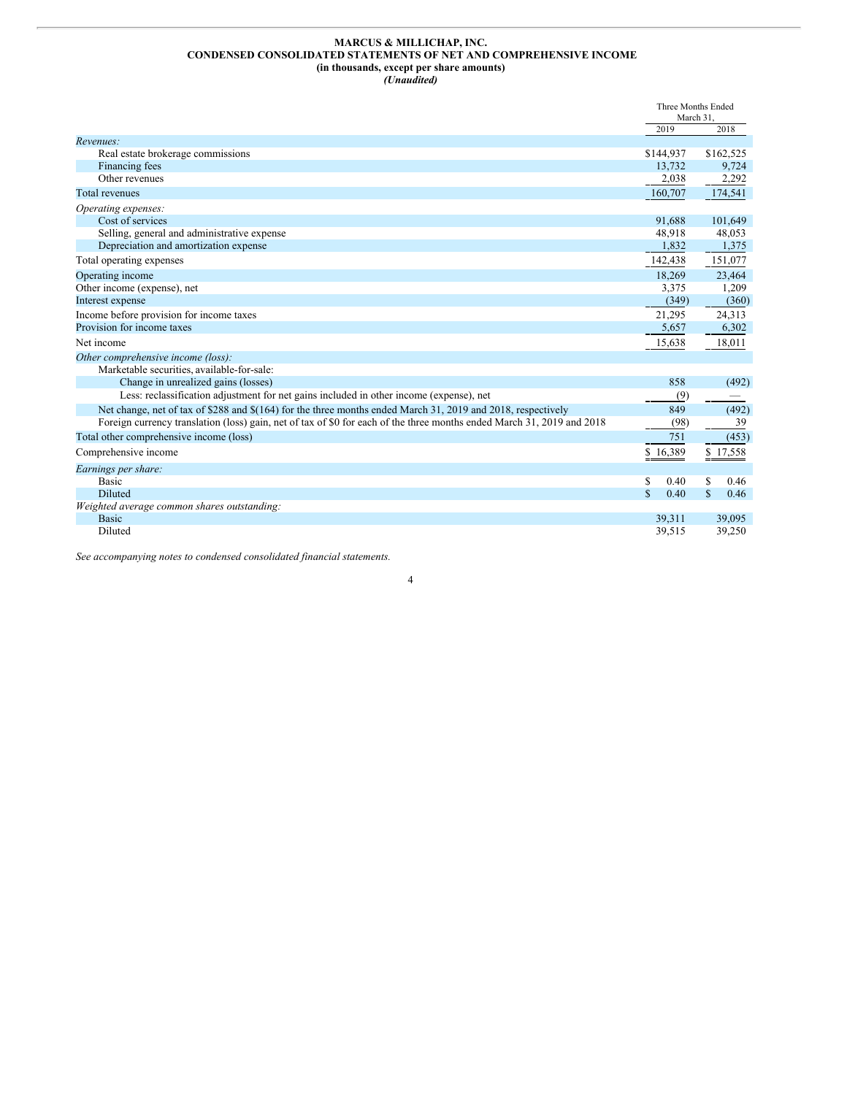# <span id="page-3-0"></span>**MARCUS & MILLICHAP, INC. CONDENSED CONSOLIDATED STATEMENTS OF NET AND COMPREHENSIVE INCOME (in thousands, except per share amounts)**

*(Unaudited)*

|                                                                                                                        | Three Months Ended<br>March 31, |                      |
|------------------------------------------------------------------------------------------------------------------------|---------------------------------|----------------------|
|                                                                                                                        | 2019                            | 2018                 |
| Revenues:                                                                                                              |                                 |                      |
| Real estate brokerage commissions                                                                                      | \$144,937                       | \$162,525            |
| Financing fees                                                                                                         | 13,732                          | 9,724                |
| Other revenues                                                                                                         | 2,038                           | 2,292                |
| Total revenues                                                                                                         | 160,707                         | 174,541              |
| Operating expenses:                                                                                                    |                                 |                      |
| Cost of services                                                                                                       | 91.688                          | 101,649              |
| Selling, general and administrative expense                                                                            | 48,918                          | 48,053               |
| Depreciation and amortization expense                                                                                  | 1,832                           | 1,375                |
| Total operating expenses                                                                                               | 142,438                         | 151,077              |
| Operating income                                                                                                       | 18,269                          | 23,464               |
| Other income (expense), net                                                                                            | 3,375                           | 1,209                |
| Interest expense                                                                                                       | (349)                           | (360)                |
| Income before provision for income taxes                                                                               | 21,295                          | 24,313               |
| Provision for income taxes                                                                                             | 5,657                           | 6,302                |
| Net income                                                                                                             | 15,638                          | 18,011               |
| Other comprehensive income (loss):                                                                                     |                                 |                      |
| Marketable securities, available-for-sale:                                                                             |                                 |                      |
| Change in unrealized gains (losses)                                                                                    | 858                             | (492)                |
| Less: reclassification adjustment for net gains included in other income (expense), net                                | (9)                             |                      |
| Net change, net of tax of \$288 and \$(164) for the three months ended March 31, 2019 and 2018, respectively           | 849                             | (492)                |
| Foreign currency translation (loss) gain, net of tax of \$0 for each of the three months ended March 31, 2019 and 2018 | (98)                            | 39                   |
| Total other comprehensive income (loss)                                                                                | 751                             | (453)                |
| Comprehensive income                                                                                                   | \$16,389                        | \$17,558             |
| Earnings per share:                                                                                                    |                                 |                      |
| <b>Basic</b>                                                                                                           | S<br>0.40                       | S<br>0.46            |
| <b>Diluted</b>                                                                                                         | $\mathbf{\hat{x}}$<br>0.40      | $\mathbf{s}$<br>0.46 |
| Weighted average common shares outstanding:                                                                            |                                 |                      |
| <b>Basic</b>                                                                                                           | 39,311                          | 39,095               |
| Diluted                                                                                                                | 39,515                          | 39,250               |

*See accompanying notes to condensed consolidated financial statements.*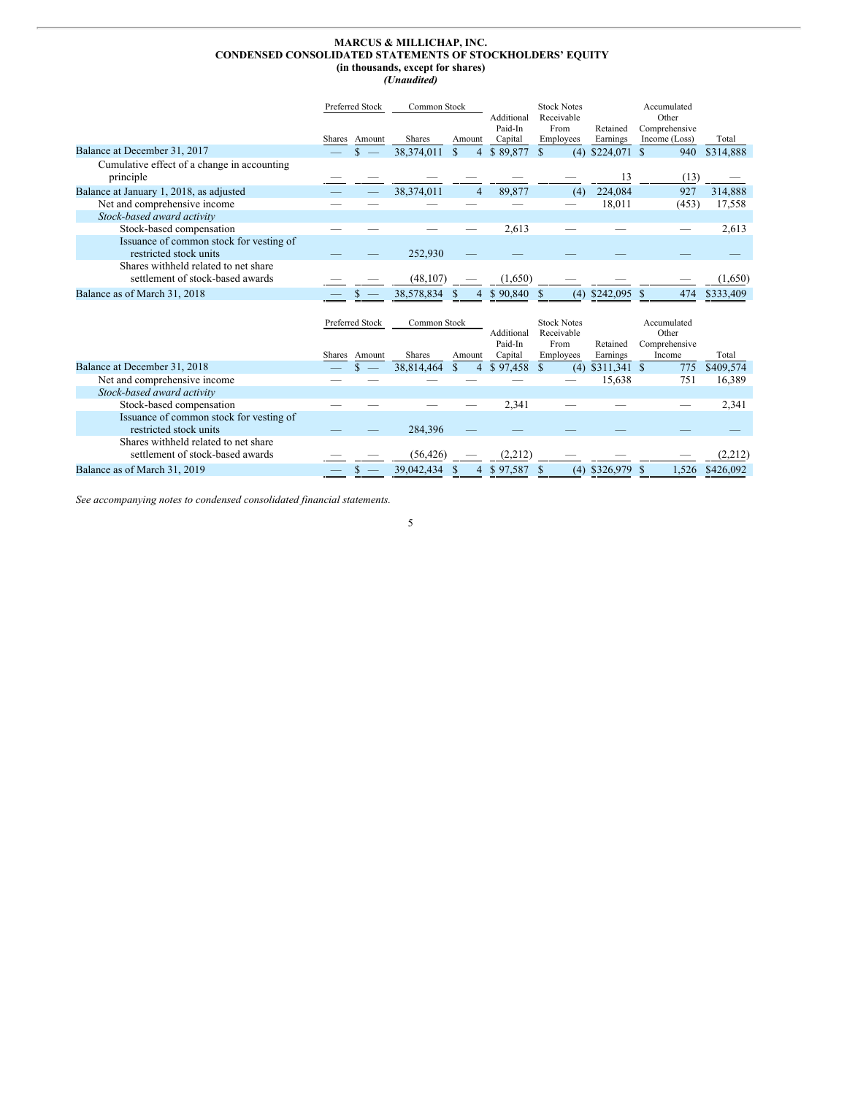# <span id="page-4-0"></span>**MARCUS & MILLICHAP, INC. CONDENSED CONSOLIDATED STATEMENTS OF STOCKHOLDERS' EQUITY (in thousands, except for shares)** *(Unaudited)*

|                                                                          | <b>Shares</b> | Preferred Stock           | Common Stock<br>Shares        |                                | Additional<br>Paid-In            | <b>Stock Notes</b><br>Receivable<br>From              | Retained                  | Accumulated<br>Other<br>Comprehensive           | Total     |
|--------------------------------------------------------------------------|---------------|---------------------------|-------------------------------|--------------------------------|----------------------------------|-------------------------------------------------------|---------------------------|-------------------------------------------------|-----------|
| Balance at December 31, 2017                                             |               | Amount<br>\$              | 38,374,011                    | Amount<br>\$<br>$\overline{4}$ | Capital<br>\$89,877              | Employees<br>$\mathbb{S}$<br>(4)                      | Earnings<br>$$224,071$ \$ | Income (Loss)<br>940                            | \$314,888 |
| Cumulative effect of a change in accounting<br>principle                 |               |                           |                               |                                |                                  |                                                       | 13                        | (13)                                            |           |
| Balance at January 1, 2018, as adjusted                                  |               |                           | 38,374,011                    | $\overline{4}$                 | 89,877                           | (4)                                                   | 224,084                   | 927                                             | 314,888   |
| Net and comprehensive income                                             |               |                           |                               |                                |                                  |                                                       | 18,011                    | (453)                                           | 17,558    |
| Stock-based award activity                                               |               |                           |                               |                                |                                  |                                                       |                           |                                                 |           |
| Stock-based compensation                                                 |               |                           |                               |                                | 2,613                            |                                                       |                           |                                                 | 2,613     |
| Issuance of common stock for vesting of<br>restricted stock units        |               |                           | 252,930                       |                                |                                  |                                                       |                           |                                                 |           |
| Shares withheld related to net share<br>settlement of stock-based awards |               |                           | (48, 107)                     |                                | (1,650)                          |                                                       |                           |                                                 | (1,650)   |
| Balance as of March 31, 2018                                             |               |                           | 38,578,834                    | \$<br>4                        | \$90,840                         | $\mathbb{S}$<br>(4)                                   | \$242,095                 | 474<br>-\$                                      | \$333,409 |
|                                                                          | <b>Shares</b> | Preferred Stock<br>Amount | Common Stock<br><b>Shares</b> | Amount                         | Additional<br>Paid-In<br>Capital | <b>Stock Notes</b><br>Receivable<br>From<br>Employees | Retained<br>Earnings      | Accumulated<br>Other<br>Comprehensive<br>Income | Total     |
| Balance at December 31, 2018                                             |               |                           | 38,814,464                    | \$                             | \$97,458                         | <sup>\$</sup><br>(4)                                  | $$311,341$ \$             | 775                                             | \$409,574 |
| Net and comprehensive income                                             |               |                           |                               |                                |                                  |                                                       | 15,638                    | 751                                             | 16,389    |
| Stock-based award activity                                               |               |                           |                               |                                |                                  |                                                       |                           |                                                 |           |
| Stock-based compensation                                                 |               |                           |                               |                                | 2,341                            |                                                       |                           |                                                 | 2,341     |
| Issuance of common stock for vesting of<br>restricted stock units        |               |                           | 284,396                       |                                |                                  |                                                       |                           |                                                 |           |
| Shares withheld related to net share<br>settlement of stock-based awards |               |                           | (56, 426)                     |                                | (2,212)                          |                                                       |                           |                                                 | (2,212)   |
| Balance as of March 31, 2019                                             |               |                           | 39,042,434                    |                                | \$97,587                         | (4)<br>S                                              | \$326,979                 | \$<br>1.526                                     | \$426,092 |

*See accompanying notes to condensed consolidated financial statements.*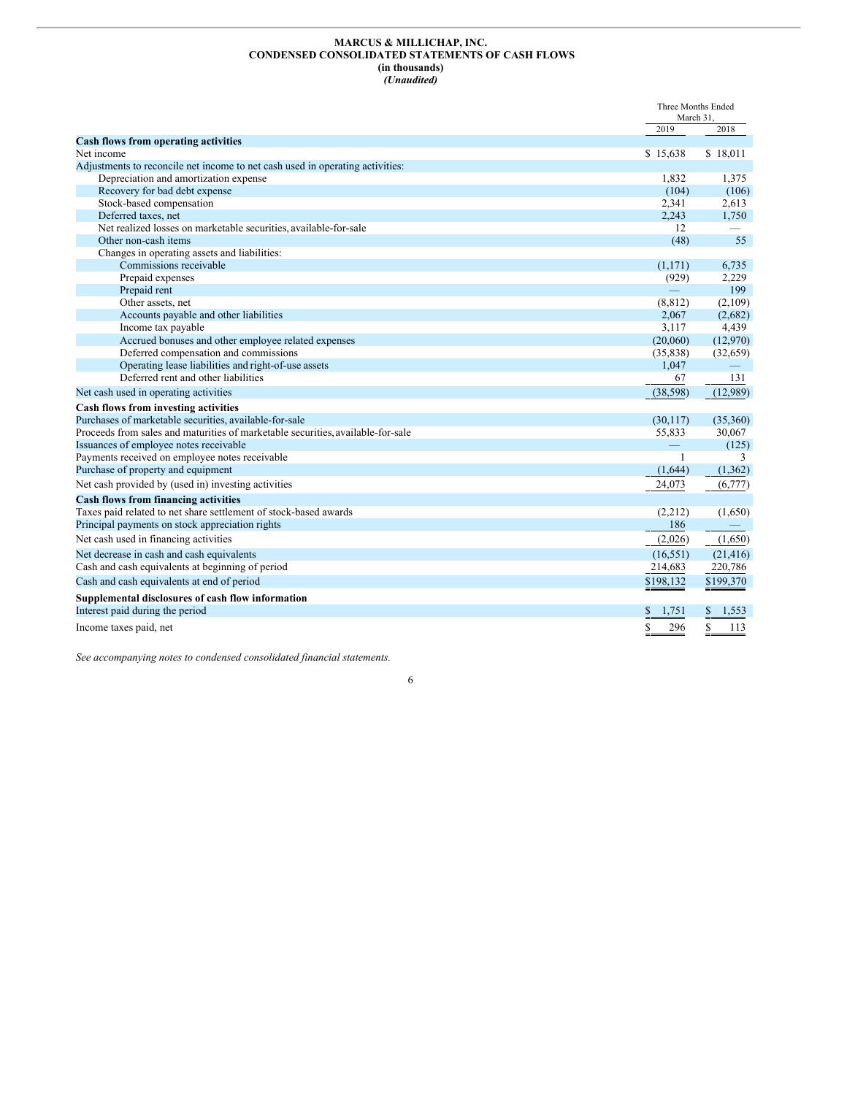# <span id="page-5-0"></span>**MARCUS & MILLICHAP, INC. CONDENSED CONSOLIDATED STATEMENTS OF CASH FLOWS (in thousands)** *(Unaudited)*

| 2019<br>2018<br><b>Cash flows from operating activities</b><br>Net income<br>\$15,638<br>\$18,011<br>Adjustments to reconcile net income to net cash used in operating activities:<br>Depreciation and amortization expense<br>1.832<br>1,375<br>Recovery for bad debt expense<br>(104)<br>(106)<br>Stock-based compensation<br>2,341<br>2,613<br>Deferred taxes, net<br>2,243<br>1,750<br>Net realized losses on marketable securities, available-for-sale<br>12<br>Other non-cash items<br>(48)<br>55<br>Changes in operating assets and liabilities:<br>Commissions receivable<br>(1,171)<br>6,735<br>Prepaid expenses<br>(929)<br>2,229<br>Prepaid rent<br>199<br>Other assets, net<br>(8, 812)<br>(2,109)<br>Accounts payable and other liabilities<br>2,067<br>(2,682)<br>Income tax payable<br>3,117<br>4,439<br>(12,970)<br>Accrued bonuses and other employee related expenses<br>(20,060)<br>Deferred compensation and commissions<br>(35, 838)<br>(32, 659)<br>Operating lease liabilities and right-of-use assets<br>1,047<br>$\overline{\phantom{0}}$<br>Deferred rent and other liabilities<br>67<br>131<br>Net cash used in operating activities<br>(38, 598)<br>(12,989)<br>Cash flows from investing activities<br>Purchases of marketable securities, available-for-sale<br>(30, 117)<br>(35,360)<br>Proceeds from sales and maturities of marketable securities, available-for-sale<br>55,833<br>30,067<br>Issuances of employee notes receivable<br>(125)<br>Payments received on employee notes receivable<br>$\mathbf{1}$<br>3<br>Purchase of property and equipment<br>(1,644)<br>(1,362)<br>Net cash provided by (used in) investing activities<br>24,073<br>(6,777)<br><b>Cash flows from financing activities</b><br>Taxes paid related to net share settlement of stock-based awards<br>(2,212)<br>(1,650)<br>Principal payments on stock appreciation rights<br>186<br>Net cash used in financing activities<br>(2,026)<br>(1,650)<br>(16, 551)<br>Net decrease in cash and cash equivalents<br>(21, 416)<br>Cash and cash equivalents at beginning of period<br>214,683<br>220,786<br>Cash and cash equivalents at end of period<br>\$198,132<br>\$199,370<br>Supplemental disclosures of cash flow information<br>Interest paid during the period<br>1,751<br>1,553<br>\$ | Three Months Ended<br>March 31. |     |
|---------------------------------------------------------------------------------------------------------------------------------------------------------------------------------------------------------------------------------------------------------------------------------------------------------------------------------------------------------------------------------------------------------------------------------------------------------------------------------------------------------------------------------------------------------------------------------------------------------------------------------------------------------------------------------------------------------------------------------------------------------------------------------------------------------------------------------------------------------------------------------------------------------------------------------------------------------------------------------------------------------------------------------------------------------------------------------------------------------------------------------------------------------------------------------------------------------------------------------------------------------------------------------------------------------------------------------------------------------------------------------------------------------------------------------------------------------------------------------------------------------------------------------------------------------------------------------------------------------------------------------------------------------------------------------------------------------------------------------------------------------------------------------------------------------------------------------------------------------------------------------------------------------------------------------------------------------------------------------------------------------------------------------------------------------------------------------------------------------------------------------------------------------------------------------------------------------------------------------------------------------------------------------------------------------|---------------------------------|-----|
|                                                                                                                                                                                                                                                                                                                                                                                                                                                                                                                                                                                                                                                                                                                                                                                                                                                                                                                                                                                                                                                                                                                                                                                                                                                                                                                                                                                                                                                                                                                                                                                                                                                                                                                                                                                                                                                                                                                                                                                                                                                                                                                                                                                                                                                                                                         |                                 |     |
|                                                                                                                                                                                                                                                                                                                                                                                                                                                                                                                                                                                                                                                                                                                                                                                                                                                                                                                                                                                                                                                                                                                                                                                                                                                                                                                                                                                                                                                                                                                                                                                                                                                                                                                                                                                                                                                                                                                                                                                                                                                                                                                                                                                                                                                                                                         |                                 |     |
|                                                                                                                                                                                                                                                                                                                                                                                                                                                                                                                                                                                                                                                                                                                                                                                                                                                                                                                                                                                                                                                                                                                                                                                                                                                                                                                                                                                                                                                                                                                                                                                                                                                                                                                                                                                                                                                                                                                                                                                                                                                                                                                                                                                                                                                                                                         |                                 |     |
|                                                                                                                                                                                                                                                                                                                                                                                                                                                                                                                                                                                                                                                                                                                                                                                                                                                                                                                                                                                                                                                                                                                                                                                                                                                                                                                                                                                                                                                                                                                                                                                                                                                                                                                                                                                                                                                                                                                                                                                                                                                                                                                                                                                                                                                                                                         |                                 |     |
|                                                                                                                                                                                                                                                                                                                                                                                                                                                                                                                                                                                                                                                                                                                                                                                                                                                                                                                                                                                                                                                                                                                                                                                                                                                                                                                                                                                                                                                                                                                                                                                                                                                                                                                                                                                                                                                                                                                                                                                                                                                                                                                                                                                                                                                                                                         |                                 |     |
|                                                                                                                                                                                                                                                                                                                                                                                                                                                                                                                                                                                                                                                                                                                                                                                                                                                                                                                                                                                                                                                                                                                                                                                                                                                                                                                                                                                                                                                                                                                                                                                                                                                                                                                                                                                                                                                                                                                                                                                                                                                                                                                                                                                                                                                                                                         |                                 |     |
|                                                                                                                                                                                                                                                                                                                                                                                                                                                                                                                                                                                                                                                                                                                                                                                                                                                                                                                                                                                                                                                                                                                                                                                                                                                                                                                                                                                                                                                                                                                                                                                                                                                                                                                                                                                                                                                                                                                                                                                                                                                                                                                                                                                                                                                                                                         |                                 |     |
|                                                                                                                                                                                                                                                                                                                                                                                                                                                                                                                                                                                                                                                                                                                                                                                                                                                                                                                                                                                                                                                                                                                                                                                                                                                                                                                                                                                                                                                                                                                                                                                                                                                                                                                                                                                                                                                                                                                                                                                                                                                                                                                                                                                                                                                                                                         |                                 |     |
|                                                                                                                                                                                                                                                                                                                                                                                                                                                                                                                                                                                                                                                                                                                                                                                                                                                                                                                                                                                                                                                                                                                                                                                                                                                                                                                                                                                                                                                                                                                                                                                                                                                                                                                                                                                                                                                                                                                                                                                                                                                                                                                                                                                                                                                                                                         |                                 |     |
|                                                                                                                                                                                                                                                                                                                                                                                                                                                                                                                                                                                                                                                                                                                                                                                                                                                                                                                                                                                                                                                                                                                                                                                                                                                                                                                                                                                                                                                                                                                                                                                                                                                                                                                                                                                                                                                                                                                                                                                                                                                                                                                                                                                                                                                                                                         |                                 |     |
|                                                                                                                                                                                                                                                                                                                                                                                                                                                                                                                                                                                                                                                                                                                                                                                                                                                                                                                                                                                                                                                                                                                                                                                                                                                                                                                                                                                                                                                                                                                                                                                                                                                                                                                                                                                                                                                                                                                                                                                                                                                                                                                                                                                                                                                                                                         |                                 |     |
|                                                                                                                                                                                                                                                                                                                                                                                                                                                                                                                                                                                                                                                                                                                                                                                                                                                                                                                                                                                                                                                                                                                                                                                                                                                                                                                                                                                                                                                                                                                                                                                                                                                                                                                                                                                                                                                                                                                                                                                                                                                                                                                                                                                                                                                                                                         |                                 |     |
|                                                                                                                                                                                                                                                                                                                                                                                                                                                                                                                                                                                                                                                                                                                                                                                                                                                                                                                                                                                                                                                                                                                                                                                                                                                                                                                                                                                                                                                                                                                                                                                                                                                                                                                                                                                                                                                                                                                                                                                                                                                                                                                                                                                                                                                                                                         |                                 |     |
|                                                                                                                                                                                                                                                                                                                                                                                                                                                                                                                                                                                                                                                                                                                                                                                                                                                                                                                                                                                                                                                                                                                                                                                                                                                                                                                                                                                                                                                                                                                                                                                                                                                                                                                                                                                                                                                                                                                                                                                                                                                                                                                                                                                                                                                                                                         |                                 |     |
|                                                                                                                                                                                                                                                                                                                                                                                                                                                                                                                                                                                                                                                                                                                                                                                                                                                                                                                                                                                                                                                                                                                                                                                                                                                                                                                                                                                                                                                                                                                                                                                                                                                                                                                                                                                                                                                                                                                                                                                                                                                                                                                                                                                                                                                                                                         |                                 |     |
|                                                                                                                                                                                                                                                                                                                                                                                                                                                                                                                                                                                                                                                                                                                                                                                                                                                                                                                                                                                                                                                                                                                                                                                                                                                                                                                                                                                                                                                                                                                                                                                                                                                                                                                                                                                                                                                                                                                                                                                                                                                                                                                                                                                                                                                                                                         |                                 |     |
|                                                                                                                                                                                                                                                                                                                                                                                                                                                                                                                                                                                                                                                                                                                                                                                                                                                                                                                                                                                                                                                                                                                                                                                                                                                                                                                                                                                                                                                                                                                                                                                                                                                                                                                                                                                                                                                                                                                                                                                                                                                                                                                                                                                                                                                                                                         |                                 |     |
|                                                                                                                                                                                                                                                                                                                                                                                                                                                                                                                                                                                                                                                                                                                                                                                                                                                                                                                                                                                                                                                                                                                                                                                                                                                                                                                                                                                                                                                                                                                                                                                                                                                                                                                                                                                                                                                                                                                                                                                                                                                                                                                                                                                                                                                                                                         |                                 |     |
|                                                                                                                                                                                                                                                                                                                                                                                                                                                                                                                                                                                                                                                                                                                                                                                                                                                                                                                                                                                                                                                                                                                                                                                                                                                                                                                                                                                                                                                                                                                                                                                                                                                                                                                                                                                                                                                                                                                                                                                                                                                                                                                                                                                                                                                                                                         |                                 |     |
|                                                                                                                                                                                                                                                                                                                                                                                                                                                                                                                                                                                                                                                                                                                                                                                                                                                                                                                                                                                                                                                                                                                                                                                                                                                                                                                                                                                                                                                                                                                                                                                                                                                                                                                                                                                                                                                                                                                                                                                                                                                                                                                                                                                                                                                                                                         |                                 |     |
|                                                                                                                                                                                                                                                                                                                                                                                                                                                                                                                                                                                                                                                                                                                                                                                                                                                                                                                                                                                                                                                                                                                                                                                                                                                                                                                                                                                                                                                                                                                                                                                                                                                                                                                                                                                                                                                                                                                                                                                                                                                                                                                                                                                                                                                                                                         |                                 |     |
|                                                                                                                                                                                                                                                                                                                                                                                                                                                                                                                                                                                                                                                                                                                                                                                                                                                                                                                                                                                                                                                                                                                                                                                                                                                                                                                                                                                                                                                                                                                                                                                                                                                                                                                                                                                                                                                                                                                                                                                                                                                                                                                                                                                                                                                                                                         |                                 |     |
|                                                                                                                                                                                                                                                                                                                                                                                                                                                                                                                                                                                                                                                                                                                                                                                                                                                                                                                                                                                                                                                                                                                                                                                                                                                                                                                                                                                                                                                                                                                                                                                                                                                                                                                                                                                                                                                                                                                                                                                                                                                                                                                                                                                                                                                                                                         |                                 |     |
|                                                                                                                                                                                                                                                                                                                                                                                                                                                                                                                                                                                                                                                                                                                                                                                                                                                                                                                                                                                                                                                                                                                                                                                                                                                                                                                                                                                                                                                                                                                                                                                                                                                                                                                                                                                                                                                                                                                                                                                                                                                                                                                                                                                                                                                                                                         |                                 |     |
|                                                                                                                                                                                                                                                                                                                                                                                                                                                                                                                                                                                                                                                                                                                                                                                                                                                                                                                                                                                                                                                                                                                                                                                                                                                                                                                                                                                                                                                                                                                                                                                                                                                                                                                                                                                                                                                                                                                                                                                                                                                                                                                                                                                                                                                                                                         |                                 |     |
|                                                                                                                                                                                                                                                                                                                                                                                                                                                                                                                                                                                                                                                                                                                                                                                                                                                                                                                                                                                                                                                                                                                                                                                                                                                                                                                                                                                                                                                                                                                                                                                                                                                                                                                                                                                                                                                                                                                                                                                                                                                                                                                                                                                                                                                                                                         |                                 |     |
|                                                                                                                                                                                                                                                                                                                                                                                                                                                                                                                                                                                                                                                                                                                                                                                                                                                                                                                                                                                                                                                                                                                                                                                                                                                                                                                                                                                                                                                                                                                                                                                                                                                                                                                                                                                                                                                                                                                                                                                                                                                                                                                                                                                                                                                                                                         |                                 |     |
|                                                                                                                                                                                                                                                                                                                                                                                                                                                                                                                                                                                                                                                                                                                                                                                                                                                                                                                                                                                                                                                                                                                                                                                                                                                                                                                                                                                                                                                                                                                                                                                                                                                                                                                                                                                                                                                                                                                                                                                                                                                                                                                                                                                                                                                                                                         |                                 |     |
|                                                                                                                                                                                                                                                                                                                                                                                                                                                                                                                                                                                                                                                                                                                                                                                                                                                                                                                                                                                                                                                                                                                                                                                                                                                                                                                                                                                                                                                                                                                                                                                                                                                                                                                                                                                                                                                                                                                                                                                                                                                                                                                                                                                                                                                                                                         |                                 |     |
|                                                                                                                                                                                                                                                                                                                                                                                                                                                                                                                                                                                                                                                                                                                                                                                                                                                                                                                                                                                                                                                                                                                                                                                                                                                                                                                                                                                                                                                                                                                                                                                                                                                                                                                                                                                                                                                                                                                                                                                                                                                                                                                                                                                                                                                                                                         |                                 |     |
|                                                                                                                                                                                                                                                                                                                                                                                                                                                                                                                                                                                                                                                                                                                                                                                                                                                                                                                                                                                                                                                                                                                                                                                                                                                                                                                                                                                                                                                                                                                                                                                                                                                                                                                                                                                                                                                                                                                                                                                                                                                                                                                                                                                                                                                                                                         |                                 |     |
|                                                                                                                                                                                                                                                                                                                                                                                                                                                                                                                                                                                                                                                                                                                                                                                                                                                                                                                                                                                                                                                                                                                                                                                                                                                                                                                                                                                                                                                                                                                                                                                                                                                                                                                                                                                                                                                                                                                                                                                                                                                                                                                                                                                                                                                                                                         |                                 |     |
|                                                                                                                                                                                                                                                                                                                                                                                                                                                                                                                                                                                                                                                                                                                                                                                                                                                                                                                                                                                                                                                                                                                                                                                                                                                                                                                                                                                                                                                                                                                                                                                                                                                                                                                                                                                                                                                                                                                                                                                                                                                                                                                                                                                                                                                                                                         |                                 |     |
|                                                                                                                                                                                                                                                                                                                                                                                                                                                                                                                                                                                                                                                                                                                                                                                                                                                                                                                                                                                                                                                                                                                                                                                                                                                                                                                                                                                                                                                                                                                                                                                                                                                                                                                                                                                                                                                                                                                                                                                                                                                                                                                                                                                                                                                                                                         |                                 |     |
|                                                                                                                                                                                                                                                                                                                                                                                                                                                                                                                                                                                                                                                                                                                                                                                                                                                                                                                                                                                                                                                                                                                                                                                                                                                                                                                                                                                                                                                                                                                                                                                                                                                                                                                                                                                                                                                                                                                                                                                                                                                                                                                                                                                                                                                                                                         |                                 |     |
|                                                                                                                                                                                                                                                                                                                                                                                                                                                                                                                                                                                                                                                                                                                                                                                                                                                                                                                                                                                                                                                                                                                                                                                                                                                                                                                                                                                                                                                                                                                                                                                                                                                                                                                                                                                                                                                                                                                                                                                                                                                                                                                                                                                                                                                                                                         |                                 |     |
|                                                                                                                                                                                                                                                                                                                                                                                                                                                                                                                                                                                                                                                                                                                                                                                                                                                                                                                                                                                                                                                                                                                                                                                                                                                                                                                                                                                                                                                                                                                                                                                                                                                                                                                                                                                                                                                                                                                                                                                                                                                                                                                                                                                                                                                                                                         |                                 |     |
| \$<br>Income taxes paid, net                                                                                                                                                                                                                                                                                                                                                                                                                                                                                                                                                                                                                                                                                                                                                                                                                                                                                                                                                                                                                                                                                                                                                                                                                                                                                                                                                                                                                                                                                                                                                                                                                                                                                                                                                                                                                                                                                                                                                                                                                                                                                                                                                                                                                                                                            | $\underline{\mathbb{S}}$<br>296 | 113 |

*See accompanying notes to condensed consolidated financial statements.*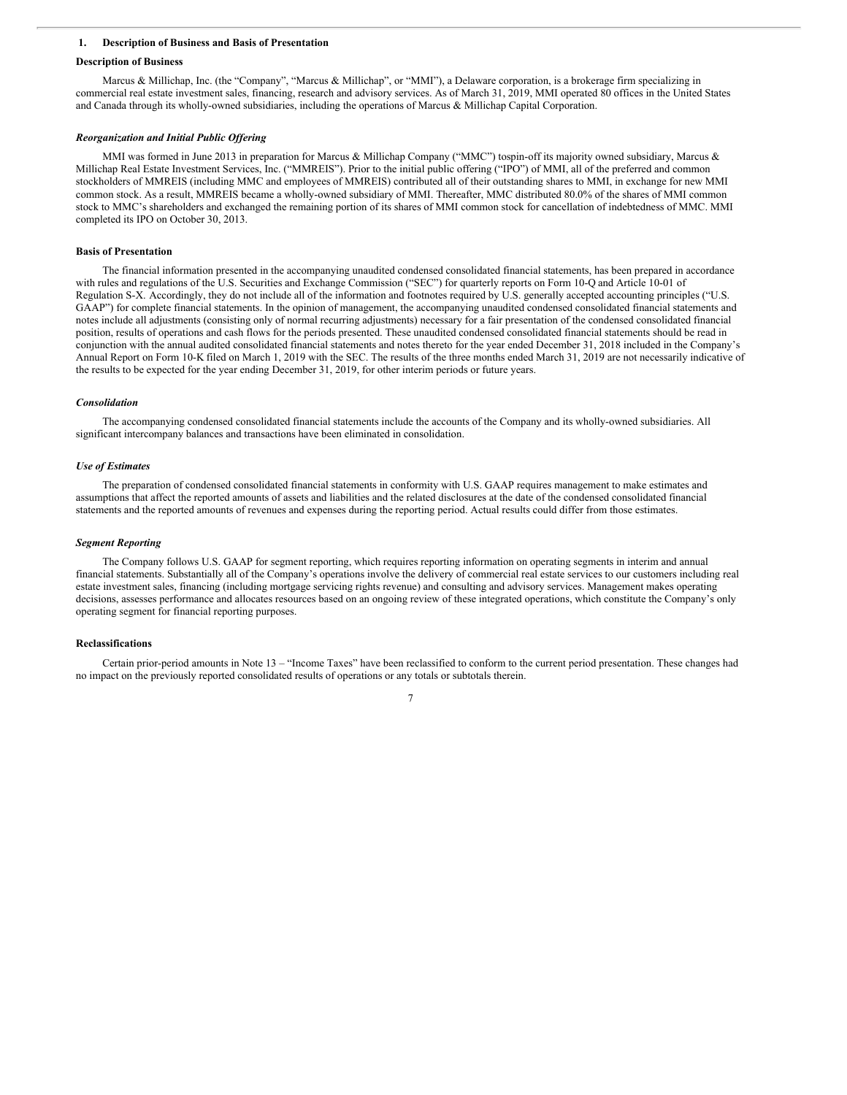# <span id="page-6-0"></span>**1. Description of Business and Basis of Presentation**

#### **Description of Business**

Marcus & Millichap, Inc. (the "Company", "Marcus & Millichap", or "MMI"), a Delaware corporation, is a brokerage firm specializing in commercial real estate investment sales, financing, research and advisory services. As of March 31, 2019, MMI operated 80 offices in the United States and Canada through its wholly-owned subsidiaries, including the operations of Marcus & Millichap Capital Corporation.

#### *Reorganization and Initial Public Of ering*

MMI was formed in June 2013 in preparation for Marcus & Millichap Company ("MMC") tospin-off its majority owned subsidiary, Marcus & Millichap Real Estate Investment Services, Inc. ("MMREIS"). Prior to the initial public offering ("IPO") of MMI, all of the preferred and common stockholders of MMREIS (including MMC and employees of MMREIS) contributed all of their outstanding shares to MMI, in exchange for new MMI common stock. As a result, MMREIS became a wholly-owned subsidiary of MMI. Thereafter, MMC distributed 80.0% of the shares of MMI common stock to MMC's shareholders and exchanged the remaining portion of its shares of MMI common stock for cancellation of indebtedness of MMC. MMI completed its IPO on October 30, 2013.

# **Basis of Presentation**

The financial information presented in the accompanying unaudited condensed consolidated financial statements, has been prepared in accordance with rules and regulations of the U.S. Securities and Exchange Commission ("SEC") for quarterly reports on Form 10-Q and Article 10-01 of Regulation S-X. Accordingly, they do not include all of the information and footnotes required by U.S. generally accepted accounting principles ("U.S. GAAP") for complete financial statements. In the opinion of management, the accompanying unaudited condensed consolidated financial statements and notes include all adjustments (consisting only of normal recurring adjustments) necessary for a fair presentation of the condensed consolidated financial position, results of operations and cash flows for the periods presented. These unaudited condensed consolidated financial statements should be read in conjunction with the annual audited consolidated financial statements and notes thereto for the year ended December 31, 2018 included in the Company's Annual Report on Form 10-K filed on March 1, 2019 with the SEC. The results of the three months ended March 31, 2019 are not necessarily indicative of the results to be expected for the year ending December 31, 2019, for other interim periods or future years.

#### *Consolidation*

The accompanying condensed consolidated financial statements include the accounts of the Company and its wholly-owned subsidiaries. All significant intercompany balances and transactions have been eliminated in consolidation.

#### *Use of Estimates*

The preparation of condensed consolidated financial statements in conformity with U.S. GAAP requires management to make estimates and assumptions that affect the reported amounts of assets and liabilities and the related disclosures at the date of the condensed consolidated financial statements and the reported amounts of revenues and expenses during the reporting period. Actual results could differ from those estimates.

#### *Segment Reporting*

The Company follows U.S. GAAP for segment reporting, which requires reporting information on operating segments in interim and annual financial statements. Substantially all of the Company's operations involve the delivery of commercial real estate services to our customers including real estate investment sales, financing (including mortgage servicing rights revenue) and consulting and advisory services. Management makes operating decisions, assesses performance and allocates resources based on an ongoing review of these integrated operations, which constitute the Company's only operating segment for financial reporting purposes.

#### **Reclassifications**

Certain prior-period amounts in Note 13 – "Income Taxes" have been reclassified to conform to the current period presentation. These changes had no impact on the previously reported consolidated results of operations or any totals or subtotals therein.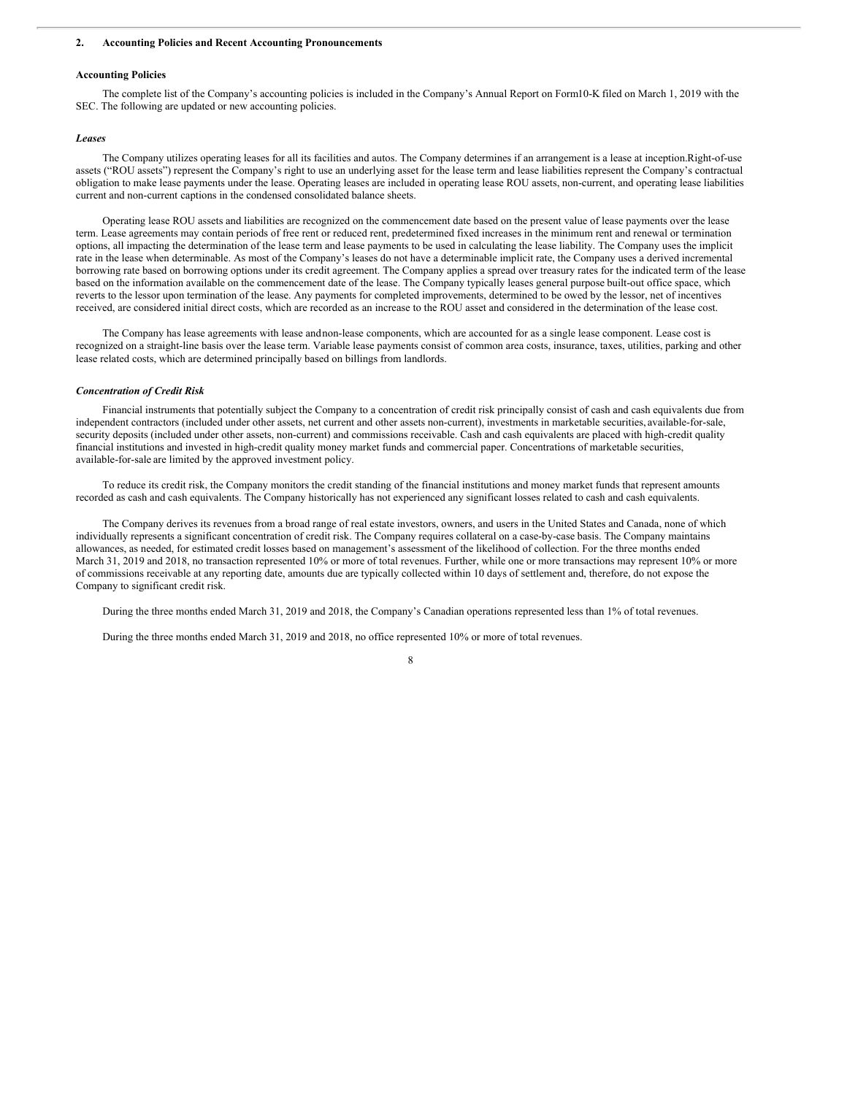#### **2. Accounting Policies and Recent Accounting Pronouncements**

#### **Accounting Policies**

The complete list of the Company's accounting policies is included in the Company's Annual Report on Form10-K filed on March 1, 2019 with the SEC. The following are updated or new accounting policies.

# *Leases*

The Company utilizes operating leases for all its facilities and autos. The Company determines if an arrangement is a lease at inception.Right-of-use assets ("ROU assets") represent the Company's right to use an underlying asset for the lease term and lease liabilities represent the Company's contractual obligation to make lease payments under the lease. Operating leases are included in operating lease ROU assets, non-current, and operating lease liabilities current and non-current captions in the condensed consolidated balance sheets.

Operating lease ROU assets and liabilities are recognized on the commencement date based on the present value of lease payments over the lease term. Lease agreements may contain periods of free rent or reduced rent, predetermined fixed increases in the minimum rent and renewal or termination options, all impacting the determination of the lease term and lease payments to be used in calculating the lease liability. The Company uses the implicit rate in the lease when determinable. As most of the Company's leases do not have a determinable implicit rate, the Company uses a derived incremental borrowing rate based on borrowing options under its credit agreement. The Company applies a spread over treasury rates for the indicated term of the lease based on the information available on the commencement date of the lease. The Company typically leases general purpose built-out office space, which reverts to the lessor upon termination of the lease. Any payments for completed improvements, determined to be owed by the lessor, net of incentives received, are considered initial direct costs, which are recorded as an increase to the ROU asset and considered in the determination of the lease cost.

The Company has lease agreements with lease andnon-lease components, which are accounted for as a single lease component. Lease cost is recognized on a straight-line basis over the lease term. Variable lease payments consist of common area costs, insurance, taxes, utilities, parking and other lease related costs, which are determined principally based on billings from landlords.

## *Concentration of Credit Risk*

Financial instruments that potentially subject the Company to a concentration of credit risk principally consist of cash and cash equivalents due from independent contractors (included under other assets, net current and other assets non-current), investments in marketable securities, available-for-sale, security deposits (included under other assets, non-current) and commissions receivable. Cash and cash equivalents are placed with high-credit quality financial institutions and invested in high-credit quality money market funds and commercial paper. Concentrations of marketable securities, available-for-sale are limited by the approved investment policy.

To reduce its credit risk, the Company monitors the credit standing of the financial institutions and money market funds that represent amounts recorded as cash and cash equivalents. The Company historically has not experienced any significant losses related to cash and cash equivalents.

The Company derives its revenues from a broad range of real estate investors, owners, and users in the United States and Canada, none of which individually represents a significant concentration of credit risk. The Company requires collateral on a case-by-case basis. The Company maintains allowances, as needed, for estimated credit losses based on management's assessment of the likelihood of collection. For the three months ended March 31, 2019 and 2018, no transaction represented 10% or more of total revenues. Further, while one or more transactions may represent 10% or more of commissions receivable at any reporting date, amounts due are typically collected within 10 days of settlement and, therefore, do not expose the Company to significant credit risk.

During the three months ended March 31, 2019 and 2018, the Company's Canadian operations represented less than 1% of total revenues.

During the three months ended March 31, 2019 and 2018, no office represented 10% or more of total revenues.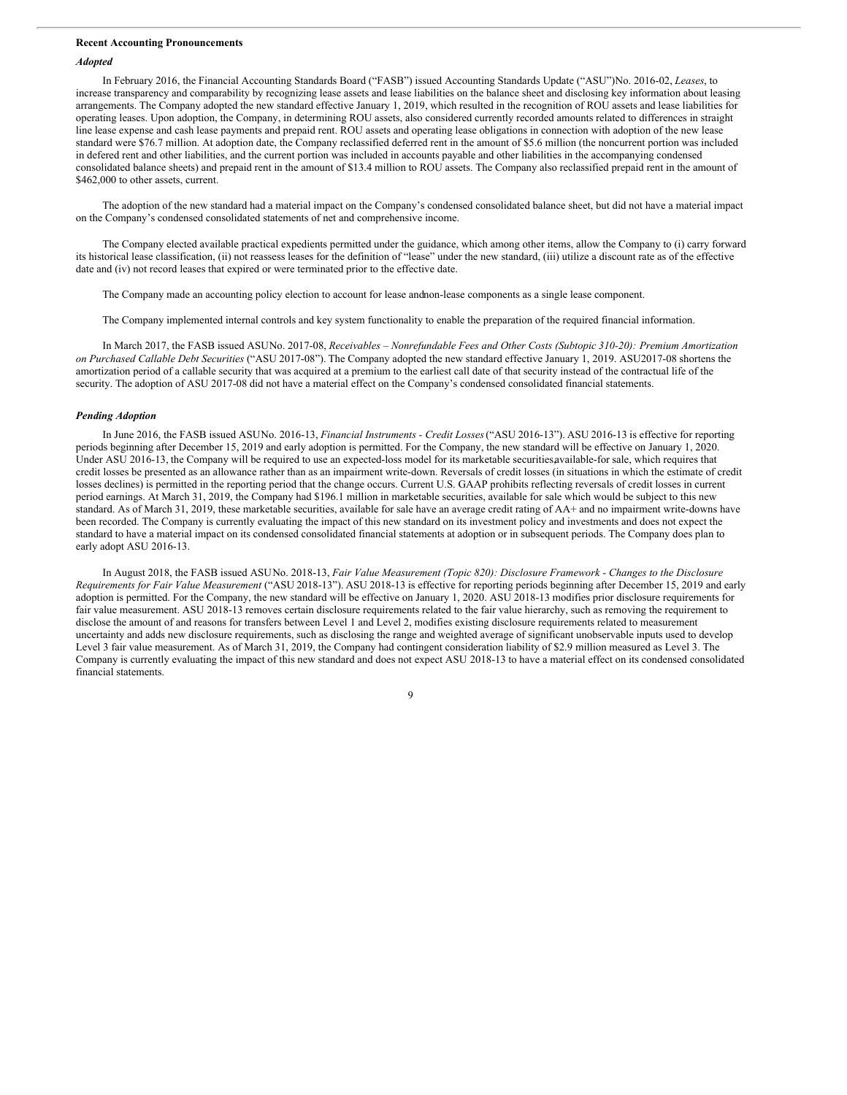#### **Recent Accounting Pronouncements**

# *Adopted*

In February 2016, the Financial Accounting Standards Board ("FASB") issued Accounting Standards Update ("ASU")No. 2016-02, *Leases*, to increase transparency and comparability by recognizing lease assets and lease liabilities on the balance sheet and disclosing key information about leasing arrangements. The Company adopted the new standard effective January 1, 2019, which resulted in the recognition of ROU assets and lease liabilities for operating leases. Upon adoption, the Company, in determining ROU assets, also considered currently recorded amounts related to differences in straight line lease expense and cash lease payments and prepaid rent. ROU assets and operating lease obligations in connection with adoption of the new lease standard were \$76.7 million. At adoption date, the Company reclassified deferred rent in the amount of \$5.6 million (the noncurrent portion was included in defered rent and other liabilities, and the current portion was included in accounts payable and other liabilities in the accompanying condensed consolidated balance sheets) and prepaid rent in the amount of \$13.4 million to ROU assets. The Company also reclassified prepaid rent in the amount of \$462,000 to other assets, current.

The adoption of the new standard had a material impact on the Company's condensed consolidated balance sheet, but did not have a material impact on the Company's condensed consolidated statements of net and comprehensive income.

The Company elected available practical expedients permitted under the guidance, which among other items, allow the Company to (i) carry forward its historical lease classification, (ii) not reassess leases for the definition of "lease" under the new standard, (iii) utilize a discount rate as of the effective date and (iv) not record leases that expired or were terminated prior to the effective date.

The Company made an accounting policy election to account for lease andnon-lease components as a single lease component.

The Company implemented internal controls and key system functionality to enable the preparation of the required financial information.

In March 2017, the FASB issued ASUNo. 2017-08, *Receivables – Nonrefundable Fees and Other Costs (Subtopic 310-20): Premium Amortization on Purchased Callable Debt Securities* ("ASU 2017-08"). The Company adopted the new standard effective January 1, 2019. ASU2017-08 shortens the amortization period of a callable security that was acquired at a premium to the earliest call date of that security instead of the contractual life of the security. The adoption of ASU 2017-08 did not have a material effect on the Company's condensed consolidated financial statements.

#### *Pending Adoption*

In June 2016, the FASB issued ASUNo. 2016-13, *Financial Instruments - Credit Losses*("ASU 2016-13"). ASU 2016-13 is effective for reporting periods beginning after December 15, 2019 and early adoption is permitted. For the Company, the new standard will be effective on January 1, 2020. Under ASU 2016-13, the Company will be required to use an expected-loss model for its marketable securities,available-for sale, which requires that credit losses be presented as an allowance rather than as an impairment write-down. Reversals of credit losses (in situations in which the estimate of credit losses declines) is permitted in the reporting period that the change occurs. Current U.S. GAAP prohibits reflecting reversals of credit losses in current period earnings. At March 31, 2019, the Company had \$196.1 million in marketable securities, available for sale which would be subject to this new standard. As of March 31, 2019, these marketable securities, available for sale have an average credit rating of AA+ and no impairment write-downs have been recorded. The Company is currently evaluating the impact of this new standard on its investment policy and investments and does not expect the standard to have a material impact on its condensed consolidated financial statements at adoption or in subsequent periods. The Company does plan to early adopt ASU 2016-13.

In August 2018, the FASB issued ASUNo. 2018-13, *Fair Value Measurement (Topic 820): Disclosure Framework - Changes to the Disclosure Requirements for Fair Value Measurement* ("ASU 2018-13"). ASU 2018-13 is effective for reporting periods beginning after December 15, 2019 and early adoption is permitted. For the Company, the new standard will be effective on January 1, 2020. ASU 2018-13 modifies prior disclosure requirements for fair value measurement. ASU 2018-13 removes certain disclosure requirements related to the fair value hierarchy, such as removing the requirement to disclose the amount of and reasons for transfers between Level 1 and Level 2, modifies existing disclosure requirements related to measurement uncertainty and adds new disclosure requirements, such as disclosing the range and weighted average of significant unobservable inputs used to develop Level 3 fair value measurement. As of March 31, 2019, the Company had contingent consideration liability of \$2.9 million measured as Level 3. The Company is currently evaluating the impact of this new standard and does not expect ASU 2018-13 to have a material effect on its condensed consolidated financial statements.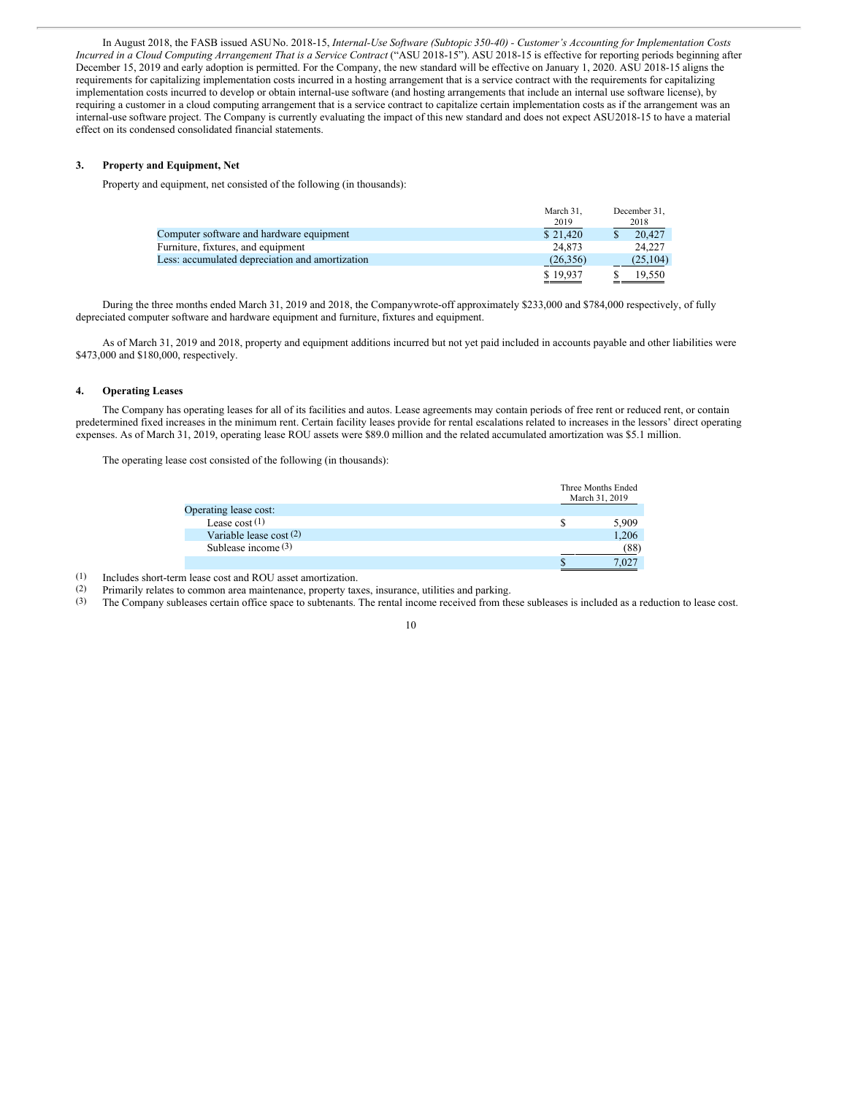In August 2018, the FASB issued ASUNo. 2018-15, *Internal-Use Software (Subtopic 350-40) - Customer's Accounting for Implementation Costs* Incurred in a Cloud Computing Arrangement That is a Service Contract ("ASU 2018-15"). ASU 2018-15 is effective for reporting periods beginning after December 15, 2019 and early adoption is permitted. For the Company, the new standard will be effective on January 1, 2020. ASU 2018-15 aligns the requirements for capitalizing implementation costs incurred in a hosting arrangement that is a service contract with the requirements for capitalizing implementation costs incurred to develop or obtain internal-use software (and hosting arrangements that include an internal use software license), by requiring a customer in a cloud computing arrangement that is a service contract to capitalize certain implementation costs as if the arrangement was an internal-use software project. The Company is currently evaluating the impact of this new standard and does not expect ASU2018-15 to have a material effect on its condensed consolidated financial statements.

# **3. Property and Equipment, Net**

Property and equipment, net consisted of the following (in thousands):

|                                                 | March 31.<br>2019 | December 31.<br>2018 |
|-------------------------------------------------|-------------------|----------------------|
| Computer software and hardware equipment        | \$21,420          | 20,427               |
| Furniture, fixtures, and equipment              | 24.873            | 24.227               |
| Less: accumulated depreciation and amortization | (26, 356)         | (25, 104)            |
|                                                 | \$19.937          | 19.550               |

During the three months ended March 31, 2019 and 2018, the Companywrote-off approximately \$233,000 and \$784,000 respectively, of fully depreciated computer software and hardware equipment and furniture, fixtures and equipment.

As of March 31, 2019 and 2018, property and equipment additions incurred but not yet paid included in accounts payable and other liabilities were \$473,000 and \$180,000, respectively.

# **4. Operating Leases**

The Company has operating leases for all of its facilities and autos. Lease agreements may contain periods of free rent or reduced rent, or contain predetermined fixed increases in the minimum rent. Certain facility leases provide for rental escalations related to increases in the lessors' direct operating expenses. As of March 31, 2019, operating lease ROU assets were \$89.0 million and the related accumulated amortization was \$5.1 million.

The operating lease cost consisted of the following (in thousands):

|                         | Three Months Ended<br>March 31, 2019 |
|-------------------------|--------------------------------------|
| Operating lease cost:   |                                      |
| Lease $cost(1)$         | 5.909                                |
| Variable lease cost (2) | 1,206                                |
| Sublease income $(3)$   | (88)                                 |
|                         | 7.027                                |

(1) Includes short-term lease cost and ROU asset amortization.

(2) Primarily relates to common area maintenance, property taxes, insurance, utilities and parking.

(3) The Company subleases certain office space to subtenants. The rental income received from these subleases is included as a reduction to lease cost.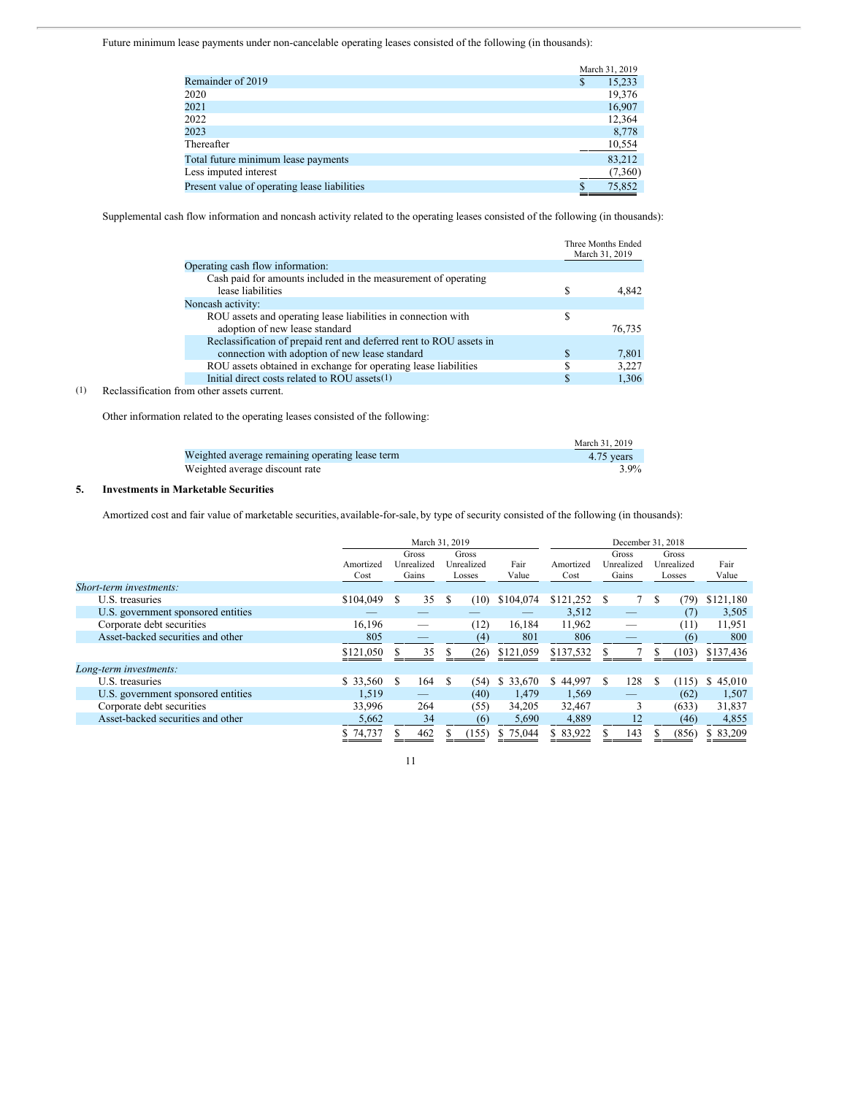Future minimum lease payments under non-cancelable operating leases consisted of the following (in thousands):

|                                              |    | March 31, 2019 |
|----------------------------------------------|----|----------------|
| Remainder of 2019                            | \$ | 15,233         |
| 2020                                         |    | 19,376         |
| 2021                                         |    | 16,907         |
| 2022                                         |    | 12,364         |
| 2023                                         |    | 8,778          |
| Thereafter                                   |    | 10,554         |
| Total future minimum lease payments          |    | 83,212         |
| Less imputed interest                        |    | (7,360)        |
| Present value of operating lease liabilities | Ф  | 75,852         |

Supplemental cash flow information and noncash activity related to the operating leases consisted of the following (in thousands):

|                                                                     |    | Three Months Ended<br>March 31, 2019 |
|---------------------------------------------------------------------|----|--------------------------------------|
| Operating cash flow information:                                    |    |                                      |
| Cash paid for amounts included in the measurement of operating      |    |                                      |
| lease liabilities                                                   | S  | 4,842                                |
| Noncash activity:                                                   |    |                                      |
| ROU assets and operating lease liabilities in connection with       | \$ |                                      |
| adoption of new lease standard                                      |    | 76,735                               |
| Reclassification of prepaid rent and deferred rent to ROU assets in |    |                                      |
| connection with adoption of new lease standard                      | S  | 7,801                                |
| ROU assets obtained in exchange for operating lease liabilities     | S  | 3,227                                |
| Initial direct costs related to ROU assets $(1)$                    | \$ | 1,306                                |
|                                                                     |    |                                      |

# (1) Reclassification from other assets current.

Other information related to the operating leases consisted of the following:

|                                                 | March 31, 2019 |
|-------------------------------------------------|----------------|
| Weighted average remaining operating lease term | 4.75 years     |
| Weighted average discount rate                  | $3.9\%$        |

# **5. Investments in Marketable Securities**

Amortized cost and fair value of marketable securities, available-for-sale, by type of security consisted of the following (in thousands):

|                                    |           |                      |     | March 31, 2019 |           |                 |            | December 31, 2018 |           |
|------------------------------------|-----------|----------------------|-----|----------------|-----------|-----------------|------------|-------------------|-----------|
|                                    |           | Gross                |     | Gross          |           |                 | Gross      | Gross             |           |
|                                    | Amortized | Unrealized           |     | Unrealized     | Fair      | Amortized       | Unrealized | Unrealized        | Fair      |
|                                    | Cost      | Gains                |     | Losses         | Value     | Cost            | Gains      | Losses            | Value     |
| Short-term investments:            |           |                      |     |                |           |                 |            |                   |           |
| U.S. treasuries                    | \$104,049 | 35<br>-S             | S   | (10)           | \$104,074 | $$121,252$ \ \$ |            | S<br>(79`         | \$121,180 |
| U.S. government sponsored entities |           |                      |     |                |           | 3,512           |            | (7)               | 3,505     |
| Corporate debt securities          | 16.196    |                      |     | (12)           | 16.184    | 11,962          |            | (11)              | 11,951    |
| Asset-backed securities and other  | 805       |                      |     | (4)            | 801       | 806             |            | (6)               | 800       |
|                                    | \$121,050 | 35                   |     | (26)           | \$121,059 | \$137,532       |            | (103)<br>ъ.       | \$137,436 |
| Long-term investments:             |           |                      |     |                |           |                 |            |                   |           |
| U.S. treasuries                    | \$ 33,560 | 164<br><sup>\$</sup> | \$. | (54)           | \$ 33,670 | \$44,997        | 128<br>-S  | S<br>(115)        | \$45,010  |
| U.S. government sponsored entities | 1.519     |                      |     | (40)           | 1.479     | 1,569           |            | (62)              | 1,507     |
| Corporate debt securities          | 33,996    | 264                  |     | (55)           | 34,205    | 32,467          | 3          | (633)             | 31,837    |
| Asset-backed securities and other  | 5,662     | 34                   |     | (6)            | 5,690     | 4,889           | 12         | (46)              | 4,855     |
|                                    | \$74,737  | 462                  |     | (155)          | \$75,044  | \$ 83,922       | 143        | (856)             | \$ 83,209 |

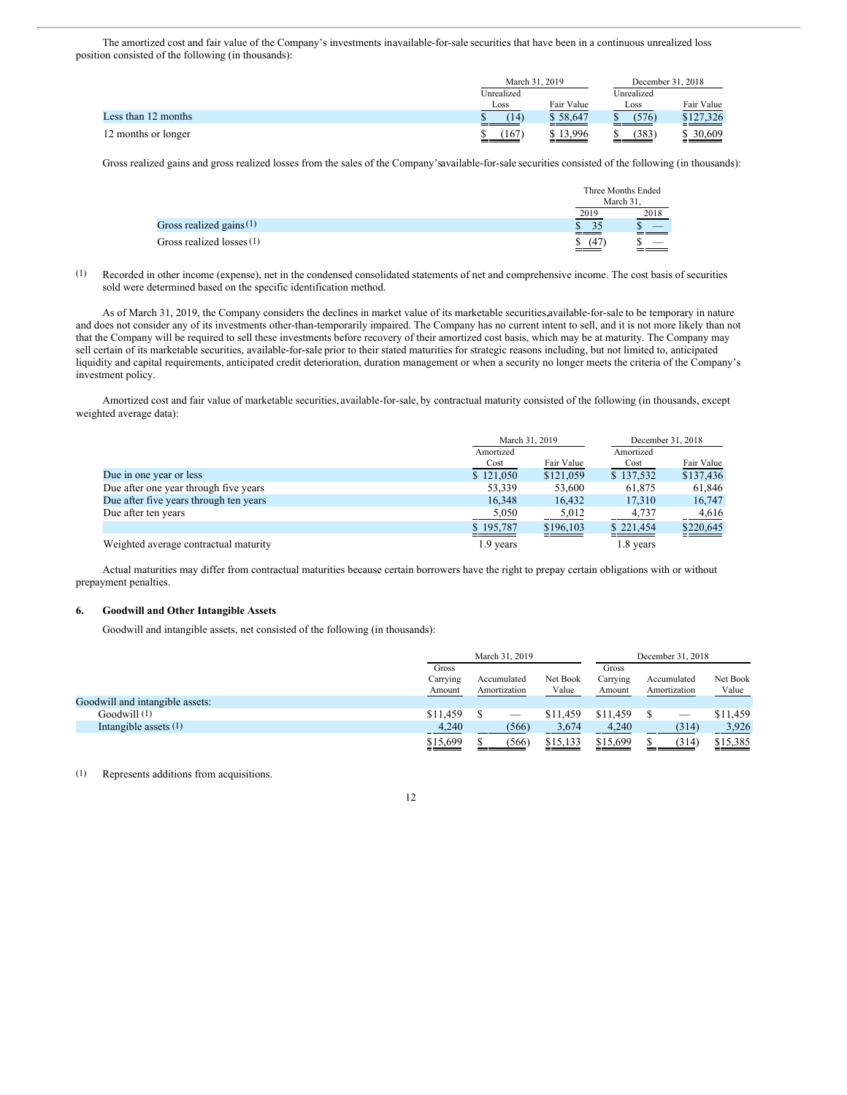The amortized cost and fair value of the Company's investments inavailable-for-sale securities that have been in a continuous unrealized loss position consisted of the following (in thousands):

|                     |            | March 31, 2019 |       | December 31, 2018 |  |
|---------------------|------------|----------------|-------|-------------------|--|
|                     | Unrealized |                |       |                   |  |
|                     | Loss       | Fair Value     | Loss  | Fair Value        |  |
| Less than 12 months | (14)       | \$58,647       | (576) | \$127,326         |  |
| 12 months or longer | 167        | 13.996         | 383   | 30,609            |  |

Gross realized gains and gross realized losses from the sales of the Company'savailable-for-sale securities consisted of the following (in thousands):

|                             |                         | Three Months Ended<br>March 31. |
|-----------------------------|-------------------------|---------------------------------|
|                             | 2019                    | 2018                            |
| Gross realized gains $(1)$  | 35                      |                                 |
| Gross realized losses $(1)$ | ____<br>(47)<br>_______ |                                 |

(1) Recorded in other income (expense), net in the condensed consolidated statements of net and comprehensive income. The cost basis of securities sold were determined based on the specific identification method.

As of March 31, 2019, the Company considers the declines in market value of its marketable securities, available-for-sale to be temporary in nature and does not consider any of its investments other-than-temporarily impaired. The Company has no current intent to sell, and it is not more likely than not that the Company will be required to sell these investments before recovery of their amortized cost basis, which may be at maturity. The Company may sell certain of its marketable securities, available-for-sale prior to their stated maturities for strategic reasons including, but not limited to, anticipated liquidity and capital requirements, anticipated credit deterioration, duration management or when a security no longer meets the criteria of the Company's investment policy.

Amortized cost and fair value of marketable securities, available-for-sale, by contractual maturity consisted of the following (in thousands, except weighted average data):

|                                        |           | March 31, 2019 |                            | December 31, 2018 |
|----------------------------------------|-----------|----------------|----------------------------|-------------------|
|                                        | Amortized |                |                            | Fair Value        |
|                                        | Cost      | Fair Value     | Cost                       |                   |
| Due in one year or less                | \$121,050 | \$121,059      | \$137,532                  | \$137,436         |
| Due after one year through five years  | 53.339    | 53,600         | 61.875                     | 61,846            |
| Due after five years through ten years | 16,348    | 16.432         | 17.310                     | 16,747            |
| Due after ten years                    | 5,050     | 5,012          | 4,737                      | 4,616             |
|                                        | \$195,787 | \$196,103      | \$221,454<br>$\sim$ $\sim$ | \$220,645         |
| Weighted average contractual maturity  | 1.9 years |                | 1.8 years                  |                   |

Actual maturities may differ from contractual maturities because certain borrowers have the right to prepay certain obligations with or without prepayment penalties.

# **6. Goodwill and Other Intangible Assets**

Goodwill and intangible assets, net consisted of the following (in thousands):

|                                 |          | March 31, 2019 |          |          | December 31, 2018 |          |  |
|---------------------------------|----------|----------------|----------|----------|-------------------|----------|--|
|                                 | Gross    |                |          | Gross    |                   |          |  |
|                                 | Carrying | Accumulated    | Net Book | Carrying | Accumulated       | Net Book |  |
|                                 | Amount   | Amortization   | Value    | Amount   | Amortization      | Value    |  |
| Goodwill and intangible assets: |          |                |          |          |                   |          |  |
| Goodwill (1)                    | \$11,459 |                | \$11,459 | \$11.459 | __                | \$11,459 |  |
| Intangible assets $(1)$         | 4,240    | (566)          | 3,674    | 4,240    | (314)             | 3,926    |  |
|                                 | \$15,699 | (566           | \$15,133 | \$15,699 | (314)             | \$15,385 |  |

(1) Represents additions from acquisitions.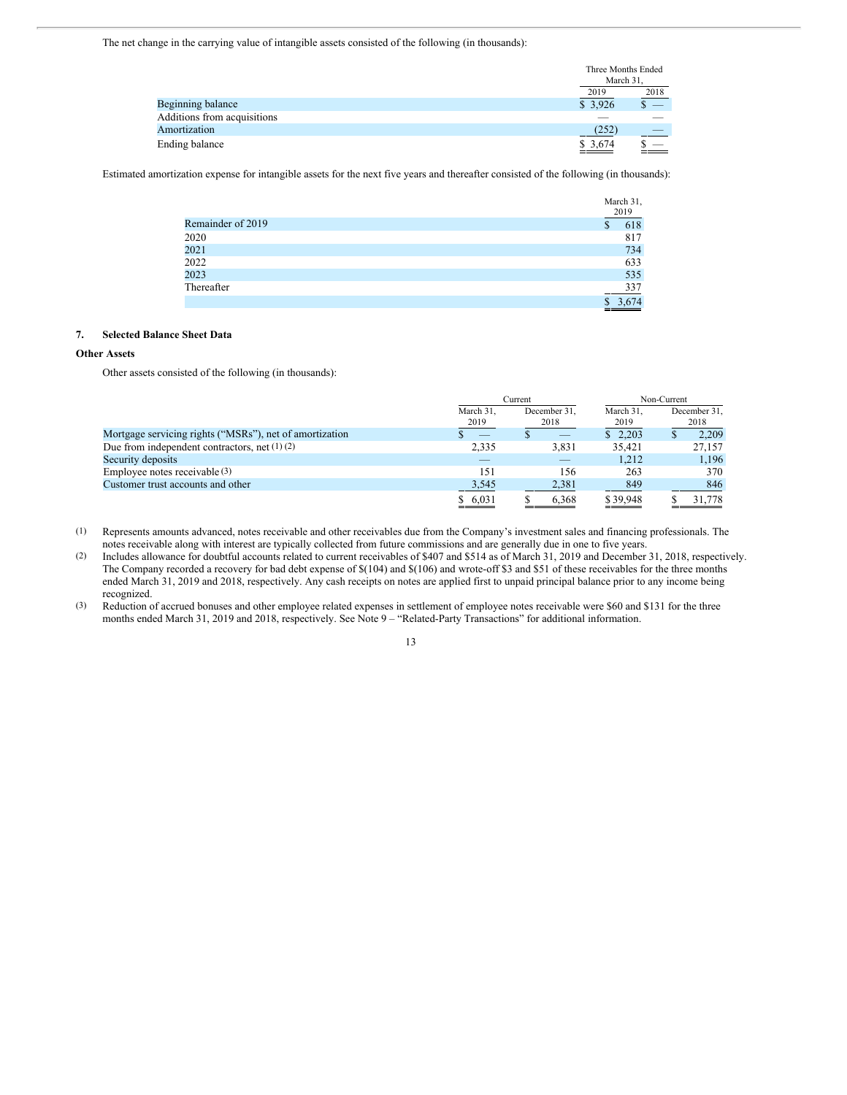The net change in the carrying value of intangible assets consisted of the following (in thousands):

|                             | Three Months Ended<br>March 31, |                          |
|-----------------------------|---------------------------------|--------------------------|
|                             | 2019                            | $\frac{2018}{\sigma}$    |
| Beginning balance           | \$3,926                         |                          |
| Additions from acquisitions |                                 |                          |
| Amortization                | (252)                           |                          |
| Ending balance              | \$3,674                         | $\overline{\phantom{a}}$ |

Estimated amortization expense for intangible assets for the next five years and thereafter consisted of the following (in thousands):

|                   | March 31, |
|-------------------|-----------|
|                   | 2019      |
| Remainder of 2019 | 618<br>۰D |
| 2020              | 817       |
| 2021              | 734       |
| 2022              | 633       |
| 2023              | 535       |
| Thereafter        | 337       |
|                   | 574       |

# **7. Selected Balance Sheet Data**

### **Other Assets**

Other assets consisted of the following (in thousands):

|                                                         | Current           |                      |                   | Non-Current          |
|---------------------------------------------------------|-------------------|----------------------|-------------------|----------------------|
|                                                         | March 31.<br>2019 | December 31.<br>2018 | March 31.<br>2019 | December 31,<br>2018 |
| Mortgage servicing rights ("MSRs"), net of amortization |                   | _                    | \$2,203           | 2.209                |
| Due from independent contractors, net $(1)$ $(2)$       | 2.335             | 3.831                | 35.421            | 27.157               |
| Security deposits                                       |                   |                      | 1.212             | 1.196                |
| Employee notes receivable $(3)$                         | 151               | 156                  | 263               | 370                  |
| Customer trust accounts and other                       | 3,545             | 2,381                | 849               | 846                  |
|                                                         | \$6,031           | 6.368                | \$39,948          | 31.778               |

(1) Represents amounts advanced, notes receivable and other receivables due from the Company's investment sales and financing professionals. The notes receivable along with interest are typically collected from future commissions and are generally due in one to five years.

(2) Includes allowance for doubtful accounts related to current receivables of \$407 and \$514 as of March 31, 2019 and December 31, 2018, respectively. The Company recorded a recovery for bad debt expense of \$(104) and \$(106) and wrote-off \$3 and \$51 of these receivables for the three months ended March 31, 2019 and 2018, respectively. Any cash receipts on notes are applied first to unpaid principal balance prior to any income being recognized.

(3) Reduction of accrued bonuses and other employee related expenses in settlement of employee notes receivable were \$60 and \$131 for the three months ended March 31, 2019 and 2018, respectively. See Note 9 – "Related-Party Transactions" for additional information.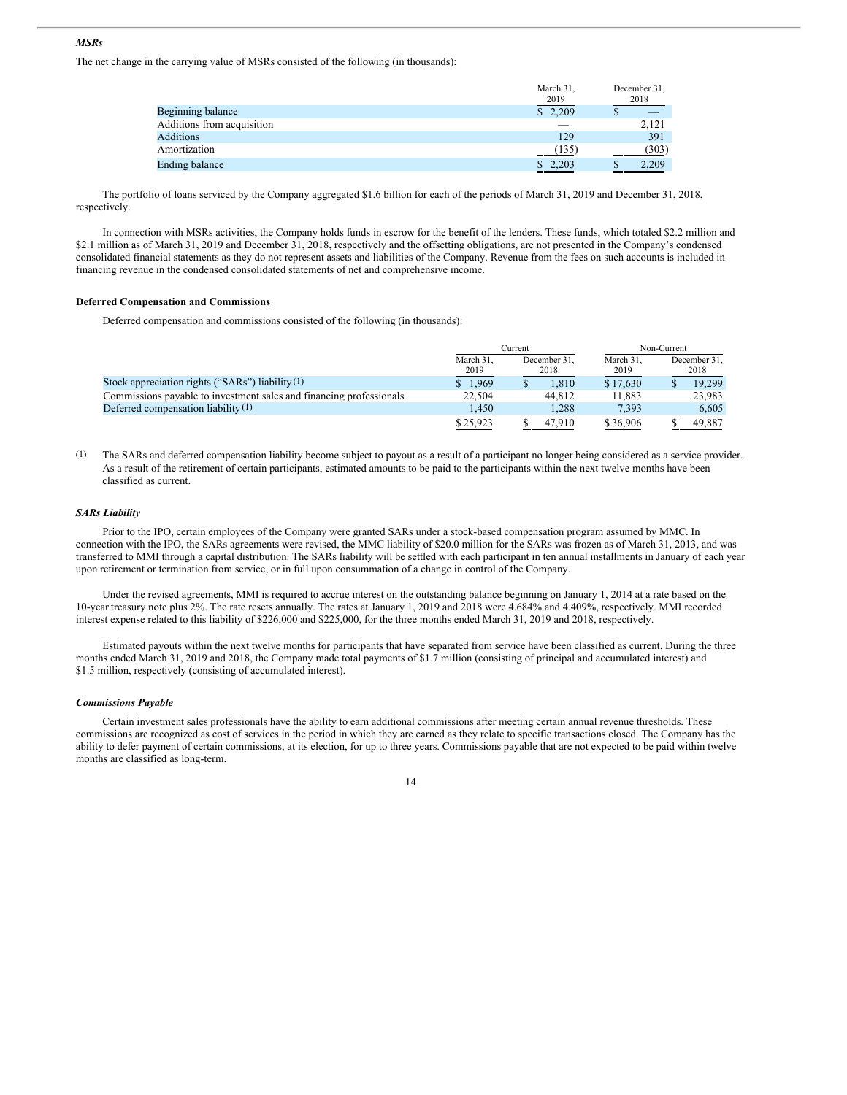# *MSRs*

The net change in the carrying value of MSRs consisted of the following (in thousands):

|                            | March 31,<br>2019 | December 31,<br>2018 |  |
|----------------------------|-------------------|----------------------|--|
| Beginning balance          | \$2,209           | ۰D                   |  |
| Additions from acquisition |                   | 2,121                |  |
| Additions                  | 129               | 391                  |  |
| Amortization               | (135)             | (303)                |  |
| <b>Ending balance</b>      | $\frac{$2,203}{}$ | 2.209                |  |
|                            |                   |                      |  |

The portfolio of loans serviced by the Company aggregated \$1.6 billion for each of the periods of March 31, 2019 and December 31, 2018, respectively.

In connection with MSRs activities, the Company holds funds in escrow for the benefit of the lenders. These funds, which totaled \$2.2 million and \$2.1 million as of March 31, 2019 and December 31, 2018, respectively and the offsetting obligations, are not presented in the Company's condensed consolidated financial statements as they do not represent assets and liabilities of the Company. Revenue from the fees on such accounts is included in financing revenue in the condensed consolidated statements of net and comprehensive income.

# **Deferred Compensation and Commissions**

Deferred compensation and commissions consisted of the following (in thousands):

|                                                                     | Current            |              | Non-Current         |              |
|---------------------------------------------------------------------|--------------------|--------------|---------------------|--------------|
|                                                                     | March 31,          | December 31, | March 31,           | December 31, |
|                                                                     | 2019               | 2018         | 2019                | 2018         |
| Stock appreciation rights ("SARs") liability $(1)$                  | \$1.969            | 1.810        | \$17,630            | 19.299       |
| Commissions payable to investment sales and financing professionals | 22,504             | 44.812       | 11.883              | 23,983       |
| Deferred compensation liability $(1)$                               | 1,450              | 1.288        | 7,393               | 6.605        |
|                                                                     | \$25,923<br>______ | 47.910       | \$36,906<br>_______ | 49.887       |

(1) The SARs and deferred compensation liability become subject to payout as a result of a participant no longer being considered as a service provider. As a result of the retirement of certain participants, estimated amounts to be paid to the participants within the next twelve months have been classified as current.

#### *SARs Liability*

Prior to the IPO, certain employees of the Company were granted SARs under a stock-based compensation program assumed by MMC. In connection with the IPO, the SARs agreements were revised, the MMC liability of \$20.0 million for the SARs was frozen as of March 31, 2013, and was transferred to MMI through a capital distribution. The SARs liability will be settled with each participant in ten annual installments in January of each year upon retirement or termination from service, or in full upon consummation of a change in control of the Company.

Under the revised agreements, MMI is required to accrue interest on the outstanding balance beginning on January 1, 2014 at a rate based on the 10-year treasury note plus 2%. The rate resets annually. The rates at January 1, 2019 and 2018 were 4.684% and 4.409%, respectively. MMI recorded interest expense related to this liability of \$226,000 and \$225,000, for the three months ended March 31, 2019 and 2018, respectively.

Estimated payouts within the next twelve months for participants that have separated from service have been classified as current. During the three months ended March 31, 2019 and 2018, the Company made total payments of \$1.7 million (consisting of principal and accumulated interest) and \$1.5 million, respectively (consisting of accumulated interest).

#### *Commissions Payable*

Certain investment sales professionals have the ability to earn additional commissions after meeting certain annual revenue thresholds. These commissions are recognized as cost of services in the period in which they are earned as they relate to specific transactions closed. The Company has the ability to defer payment of certain commissions, at its election, for up to three years. Commissions payable that are not expected to be paid within twelve months are classified as long-term.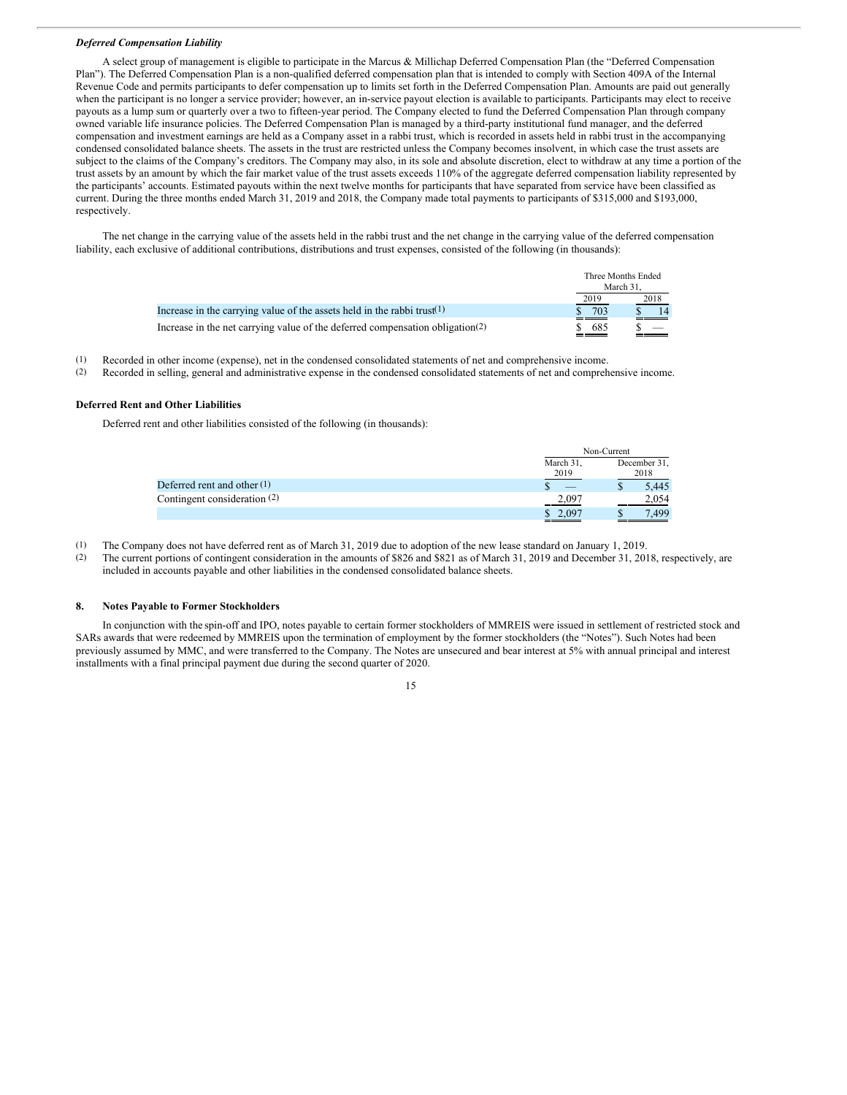#### *Deferred Compensation Liability*

A select group of management is eligible to participate in the Marcus & Millichap Deferred Compensation Plan (the "Deferred Compensation Plan"). The Deferred Compensation Plan is a non-qualified deferred compensation plan that is intended to comply with Section 409A of the Internal Revenue Code and permits participants to defer compensation up to limits set forth in the Deferred Compensation Plan. Amounts are paid out generally when the participant is no longer a service provider; however, an in-service payout election is available to participants. Participants may elect to receive payouts as a lump sum or quarterly over a two to fifteen-year period. The Company elected to fund the Deferred Compensation Plan through company owned variable life insurance policies. The Deferred Compensation Plan is managed by a third-party institutional fund manager, and the deferred compensation and investment earnings are held as a Company asset in a rabbi trust, which is recorded in assets held in rabbi trust in the accompanying condensed consolidated balance sheets. The assets in the trust are restricted unless the Company becomes insolvent, in which case the trust assets are subject to the claims of the Company's creditors. The Company may also, in its sole and absolute discretion, elect to withdraw at any time a portion of the trust assets by an amount by which the fair market value of the trust assets exceeds 110% of the aggregate deferred compensation liability represented by the participants' accounts. Estimated payouts within the next twelve months for participants that have separated from service have been classified as current. During the three months ended March 31, 2019 and 2018, the Company made total payments to participants of \$315,000 and \$193,000, respectively.

The net change in the carrying value of the assets held in the rabbi trust and the net change in the carrying value of the deferred compensation liability, each exclusive of additional contributions, distributions and trust expenses, consisted of the following (in thousands):

|                                                                               |              | Three Months Ended<br>March 31. |
|-------------------------------------------------------------------------------|--------------|---------------------------------|
|                                                                               | 2019         | 2018                            |
| Increase in the carrying value of the assets held in the rabbi trust $(1)$    | 703          | 14                              |
| Increase in the net carrying value of the deferred compensation obligation(2) | _____<br>685 |                                 |

(1) Recorded in other income (expense), net in the condensed consolidated statements of net and comprehensive income.

(2) Recorded in selling, general and administrative expense in the condensed consolidated statements of net and comprehensive income.

# **Deferred Rent and Other Liabilities**

Deferred rent and other liabilities consisted of the following (in thousands):

|                               |                   | Non-Current          |  |  |
|-------------------------------|-------------------|----------------------|--|--|
|                               | March 31,<br>2019 | December 31,<br>2018 |  |  |
| Deferred rent and other $(1)$ | _                 | 5.445                |  |  |
| Contingent consideration (2)  | 2.097             | 2.054                |  |  |
|                               | 2.097             | 7.499                |  |  |

(1) The Company does not have deferred rent as of March 31, 2019 due to adoption of the new lease standard on January 1, 2019.

(2) The current portions of contingent consideration in the amounts of \$826 and \$821 as of March 31, 2019 and December 31, 2018, respectively, are included in accounts payable and other liabilities in the condensed consolidated balance sheets.

# **8. Notes Payable to Former Stockholders**

In conjunction with the spin-off and IPO, notes payable to certain former stockholders of MMREIS were issued in settlement of restricted stock and SARs awards that were redeemed by MMREIS upon the termination of employment by the former stockholders (the "Notes"). Such Notes had been previously assumed by MMC, and were transferred to the Company. The Notes are unsecured and bear interest at 5% with annual principal and interest installments with a final principal payment due during the second quarter of 2020.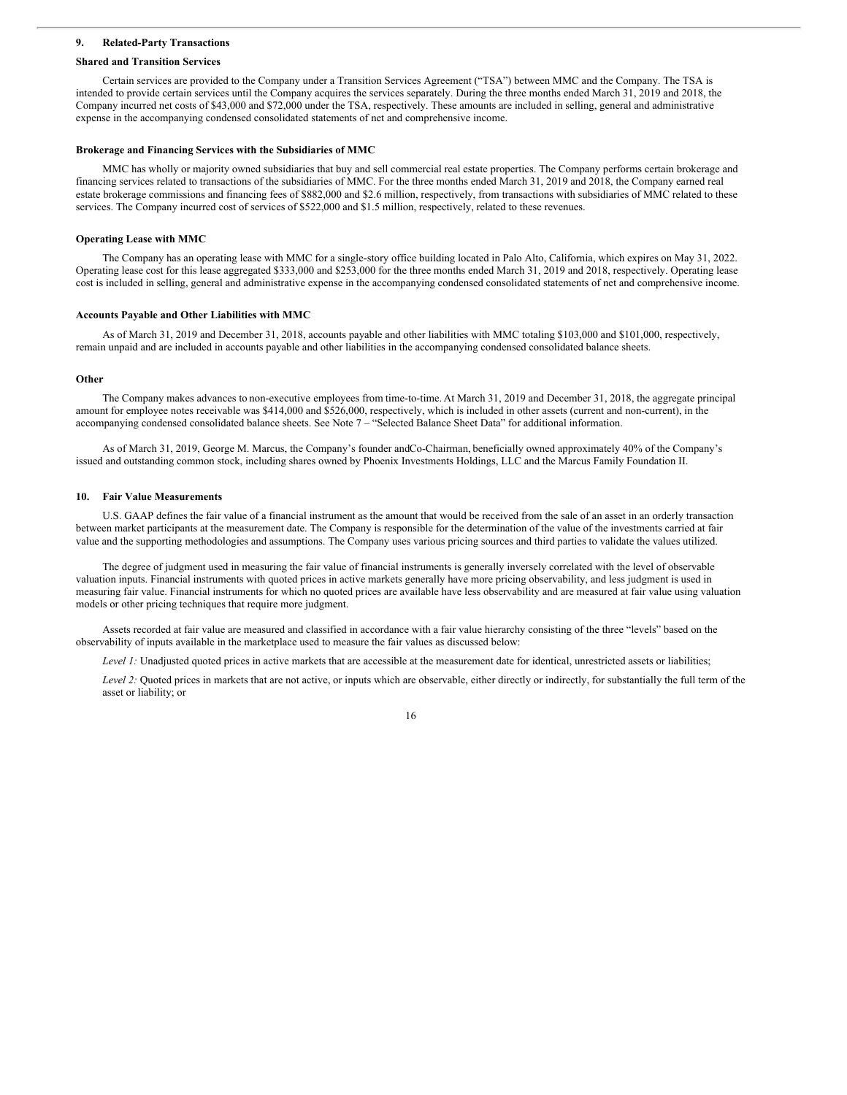# **9. Related-Party Transactions**

# **Shared and Transition Services**

Certain services are provided to the Company under a Transition Services Agreement ("TSA") between MMC and the Company. The TSA is intended to provide certain services until the Company acquires the services separately. During the three months ended March 31, 2019 and 2018, the Company incurred net costs of \$43,000 and \$72,000 under the TSA, respectively. These amounts are included in selling, general and administrative expense in the accompanying condensed consolidated statements of net and comprehensive income.

# **Brokerage and Financing Services with the Subsidiaries of MMC**

MMC has wholly or majority owned subsidiaries that buy and sell commercial real estate properties. The Company performs certain brokerage and financing services related to transactions of the subsidiaries of MMC. For the three months ended March 31, 2019 and 2018, the Company earned real estate brokerage commissions and financing fees of \$882,000 and \$2.6 million, respectively, from transactions with subsidiaries of MMC related to these services. The Company incurred cost of services of \$522,000 and \$1.5 million, respectively, related to these revenues.

#### **Operating Lease with MMC**

The Company has an operating lease with MMC for a single-story office building located in Palo Alto, California, which expires on May 31, 2022. Operating lease cost for this lease aggregated \$333,000 and \$253,000 for the three months ended March 31, 2019 and 2018, respectively. Operating lease cost is included in selling, general and administrative expense in the accompanying condensed consolidated statements of net and comprehensive income.

#### **Accounts Payable and Other Liabilities with MMC**

As of March 31, 2019 and December 31, 2018, accounts payable and other liabilities with MMC totaling \$103,000 and \$101,000, respectively, remain unpaid and are included in accounts payable and other liabilities in the accompanying condensed consolidated balance sheets.

#### **Other**

The Company makes advances to non-executive employees from time-to-time. At March 31, 2019 and December 31, 2018, the aggregate principal amount for employee notes receivable was \$414,000 and \$526,000, respectively, which is included in other assets (current and non-current), in the accompanying condensed consolidated balance sheets. See Note 7 – "Selected Balance Sheet Data" for additional information.

As of March 31, 2019, George M. Marcus, the Company's founder andCo-Chairman, beneficially owned approximately 40% of the Company's issued and outstanding common stock, including shares owned by Phoenix Investments Holdings, LLC and the Marcus Family Foundation II.

#### **10. Fair Value Measurements**

U.S. GAAP defines the fair value of a financial instrument as the amount that would be received from the sale of an asset in an orderly transaction between market participants at the measurement date. The Company is responsible for the determination of the value of the investments carried at fair value and the supporting methodologies and assumptions. The Company uses various pricing sources and third parties to validate the values utilized.

The degree of judgment used in measuring the fair value of financial instruments is generally inversely correlated with the level of observable valuation inputs. Financial instruments with quoted prices in active markets generally have more pricing observability, and less judgment is used in measuring fair value. Financial instruments for which no quoted prices are available have less observability and are measured at fair value using valuation models or other pricing techniques that require more judgment.

Assets recorded at fair value are measured and classified in accordance with a fair value hierarchy consisting of the three "levels" based on the observability of inputs available in the marketplace used to measure the fair values as discussed below:

*Level 1:* Unadjusted quoted prices in active markets that are accessible at the measurement date for identical, unrestricted assets or liabilities;

*Level 2:* Quoted prices in markets that are not active, or inputs which are observable, either directly or indirectly, for substantially the full term of the asset or liability; or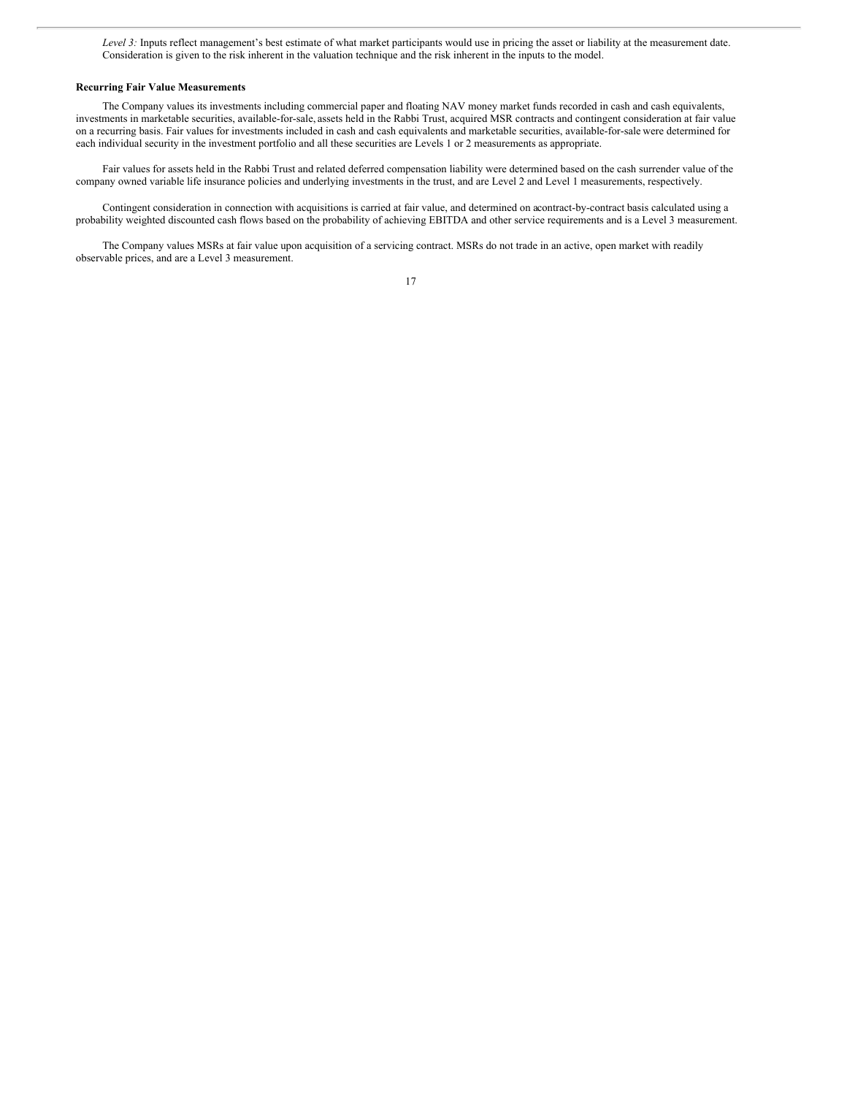*Level* 3: Inputs reflect management's best estimate of what market participants would use in pricing the asset or liability at the measurement date. Consideration is given to the risk inherent in the valuation technique and the risk inherent in the inputs to the model.

# **Recurring Fair Value Measurements**

The Company values its investments including commercial paper and floating NAV money market funds recorded in cash and cash equivalents, investments in marketable securities, available-for-sale, assets held in the Rabbi Trust, acquired MSR contracts and contingent consideration at fair value on a recurring basis. Fair values for investments included in cash and cash equivalents and marketable securities, available-for-sale were determined for each individual security in the investment portfolio and all these securities are Levels 1 or 2 measurements as appropriate.

Fair values for assets held in the Rabbi Trust and related deferred compensation liability were determined based on the cash surrender value of the company owned variable life insurance policies and underlying investments in the trust, and are Level 2 and Level 1 measurements, respectively.

Contingent consideration in connection with acquisitions is carried at fair value, and determined on acontract-by-contract basis calculated using a probability weighted discounted cash flows based on the probability of achieving EBITDA and other service requirements and is a Level 3 measurement.

The Company values MSRs at fair value upon acquisition of a servicing contract. MSRs do not trade in an active, open market with readily observable prices, and are a Level 3 measurement.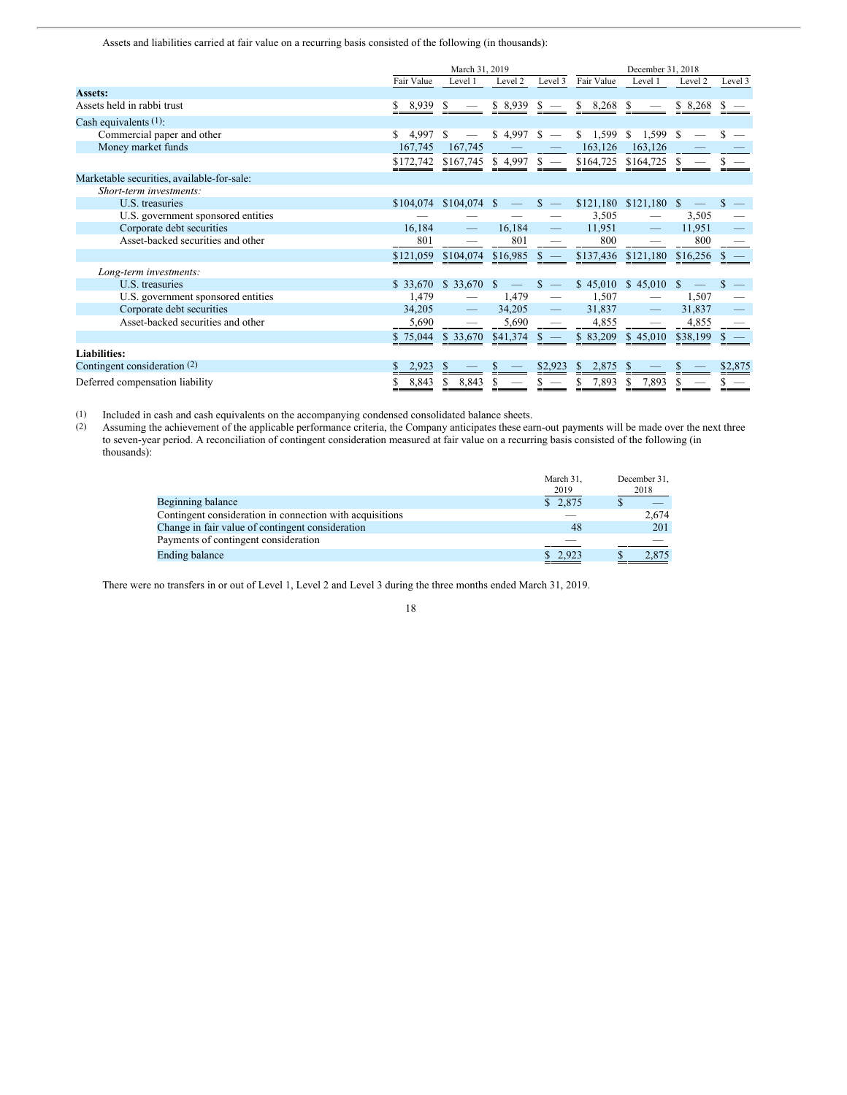Assets and liabilities carried at fair value on a recurring basis consisted of the following (in thousands):

|                                            | March 31, 2019 |               |              |               | December 31, 2018 |               |          |         |  |
|--------------------------------------------|----------------|---------------|--------------|---------------|-------------------|---------------|----------|---------|--|
|                                            | Fair Value     | Level 1       | Level 2      | Level 3       | Fair Value        | Level 1       | Level 2  | Level 3 |  |
| <b>Assets:</b>                             |                |               |              |               |                   |               |          |         |  |
| Assets held in rabbi trust                 | 8,939<br>S     | <sup>\$</sup> | \$8,939      | $s -$         | 8,268<br>S.       | S             | \$8,268  | S.      |  |
| Cash equivalents $(1)$ :                   |                |               |              |               |                   |               |          |         |  |
| Commercial paper and other                 | S.<br>4,997    | S.            | \$4,997      | S.            | S.<br>1,599       | 1,599<br>S.   | -S       |         |  |
| Money market funds                         | 167,745        | 167,745       |              |               | 163,126           | 163,126       |          |         |  |
|                                            | \$172,742      | \$167,745     | \$4,997      |               | \$164,725         | \$164,725     | S        |         |  |
| Marketable securities, available-for-sale: |                |               |              |               |                   |               |          |         |  |
| Short-term investments:                    |                |               |              |               |                   |               |          |         |  |
| U.S. treasuries                            | \$104,074      | $$104,074$ \$ |              | <sup>S</sup>  | \$121,180         | $$121,180$ \$ |          |         |  |
| U.S. government sponsored entities         |                |               |              |               | 3,505             |               | 3,505    |         |  |
| Corporate debt securities                  | 16,184         |               | 16,184       |               | 11,951            |               | 11,951   |         |  |
| Asset-backed securities and other          | 801            |               | 801          |               | 800               |               | 800      |         |  |
|                                            | \$121,059      | \$104,074     | \$16,985     | $s =$         | \$137,436         | \$121,180     | \$16,256 |         |  |
| Long-term investments:                     |                |               |              |               |                   |               |          |         |  |
| U.S. treasuries                            | \$33,670       | \$33,670      | <sup>S</sup> | <sup>\$</sup> | \$45,010          | \$45,010      | S        |         |  |
| U.S. government sponsored entities         | 1,479          |               | 1,479        |               | 1,507             |               | 1,507    |         |  |
| Corporate debt securities                  | 34,205         |               | 34,205       |               | 31,837            |               | 31,837   |         |  |
| Asset-backed securities and other          | 5,690          |               | 5,690        |               | 4,855             |               | 4,855    |         |  |
|                                            | \$75,044       | \$33,670      | \$41,374     |               | \$ 83,209         | \$45,010      | \$38,199 |         |  |
| <b>Liabilities:</b>                        |                |               |              |               |                   |               |          |         |  |
| Contingent consideration (2)               | 2,923          |               |              | \$2,923       | 2,875<br>\$       |               |          | \$2,875 |  |
| Deferred compensation liability            | 8,843<br>\$    | S.<br>8,843   |              |               | S<br>7,893        | S<br>7,893    | S        |         |  |

(1) Included in cash and cash equivalents on the accompanying condensed consolidated balance sheets.<br>(2) Assuming the achievement of the applicable performance criteria, the Company anticipates these ea

Assuming the achievement of the applicable performance criteria, the Company anticipates these earn-out payments will be made over the next three to seven-year period. A reconciliation of contingent consideration measured at fair value on a recurring basis consisted of the following (in thousands):

|                                                          | March 31,<br>2019 | December 31,<br>2018 |
|----------------------------------------------------------|-------------------|----------------------|
| Beginning balance                                        | \$2,875           |                      |
| Contingent consideration in connection with acquisitions |                   | 2.674                |
| Change in fair value of contingent consideration         | 48                | 201                  |
| Payments of contingent consideration                     |                   |                      |
| <b>Ending balance</b>                                    | 2.923             | 2.875                |

There were no transfers in or out of Level 1, Level 2 and Level 3 during the three months ended March 31, 2019.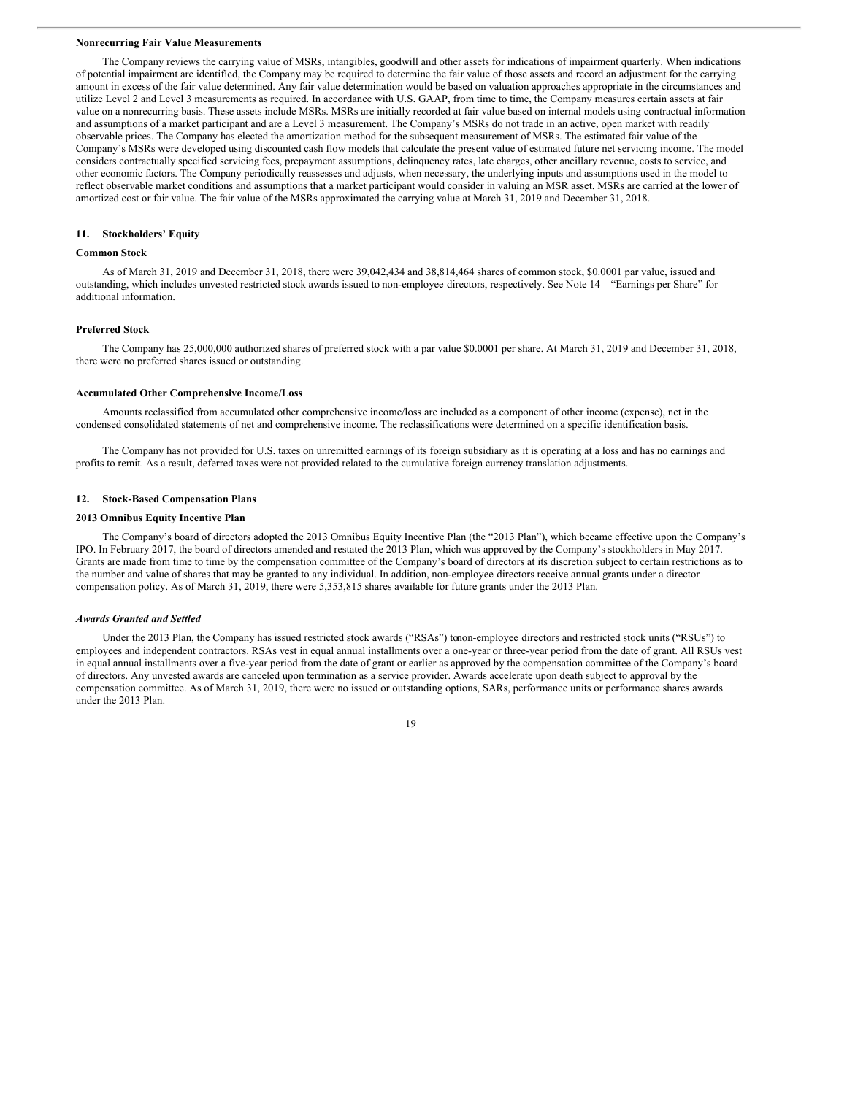#### **Nonrecurring Fair Value Measurements**

The Company reviews the carrying value of MSRs, intangibles, goodwill and other assets for indications of impairment quarterly. When indications of potential impairment are identified, the Company may be required to determine the fair value of those assets and record an adjustment for the carrying amount in excess of the fair value determined. Any fair value determination would be based on valuation approaches appropriate in the circumstances and utilize Level 2 and Level 3 measurements as required. In accordance with U.S. GAAP, from time to time, the Company measures certain assets at fair value on a nonrecurring basis. These assets include MSRs. MSRs are initially recorded at fair value based on internal models using contractual information and assumptions of a market participant and are a Level 3 measurement. The Company's MSRs do not trade in an active, open market with readily observable prices. The Company has elected the amortization method for the subsequent measurement of MSRs. The estimated fair value of the Company's MSRs were developed using discounted cash flow models that calculate the present value of estimated future net servicing income. The model considers contractually specified servicing fees, prepayment assumptions, delinquency rates, late charges, other ancillary revenue, costs to service, and other economic factors. The Company periodically reassesses and adjusts, when necessary, the underlying inputs and assumptions used in the model to reflect observable market conditions and assumptions that a market participant would consider in valuing an MSR asset. MSRs are carried at the lower of amortized cost or fair value. The fair value of the MSRs approximated the carrying value at March 31, 2019 and December 31, 2018.

# **11. Stockholders' Equity**

#### **Common Stock**

As of March 31, 2019 and December 31, 2018, there were 39,042,434 and 38,814,464 shares of common stock, \$0.0001 par value, issued and outstanding, which includes unvested restricted stock awards issued to non-employee directors, respectively. See Note 14 – "Earnings per Share" for additional information.

# **Preferred Stock**

The Company has 25,000,000 authorized shares of preferred stock with a par value \$0.0001 per share. At March 31, 2019 and December 31, 2018, there were no preferred shares issued or outstanding.

# **Accumulated Other Comprehensive Income/Loss**

Amounts reclassified from accumulated other comprehensive income/loss are included as a component of other income (expense), net in the condensed consolidated statements of net and comprehensive income. The reclassifications were determined on a specific identification basis.

The Company has not provided for U.S. taxes on unremitted earnings of its foreign subsidiary as it is operating at a loss and has no earnings and profits to remit. As a result, deferred taxes were not provided related to the cumulative foreign currency translation adjustments.

### **12. Stock-Based Compensation Plans**

## **2013 Omnibus Equity Incentive Plan**

The Company's board of directors adopted the 2013 Omnibus Equity Incentive Plan (the "2013 Plan"), which became effective upon the Company's IPO. In February 2017, the board of directors amended and restated the 2013 Plan, which was approved by the Company's stockholders in May 2017. Grants are made from time to time by the compensation committee of the Company's board of directors at its discretion subject to certain restrictions as to the number and value of shares that may be granted to any individual. In addition, non-employee directors receive annual grants under a director compensation policy. As of March 31, 2019, there were 5,353,815 shares available for future grants under the 2013 Plan.

#### *Awards Granted and Settled*

Under the 2013 Plan, the Company has issued restricted stock awards ("RSAs") tonon-employee directors and restricted stock units ("RSUs") to employees and independent contractors. RSAs vest in equal annual installments over a one-year or three-year period from the date of grant. All RSUs vest in equal annual installments over a five-year period from the date of grant or earlier as approved by the compensation committee of the Company's board of directors. Any unvested awards are canceled upon termination as a service provider. Awards accelerate upon death subject to approval by the compensation committee. As of March 31, 2019, there were no issued or outstanding options, SARs, performance units or performance shares awards under the 2013 Plan.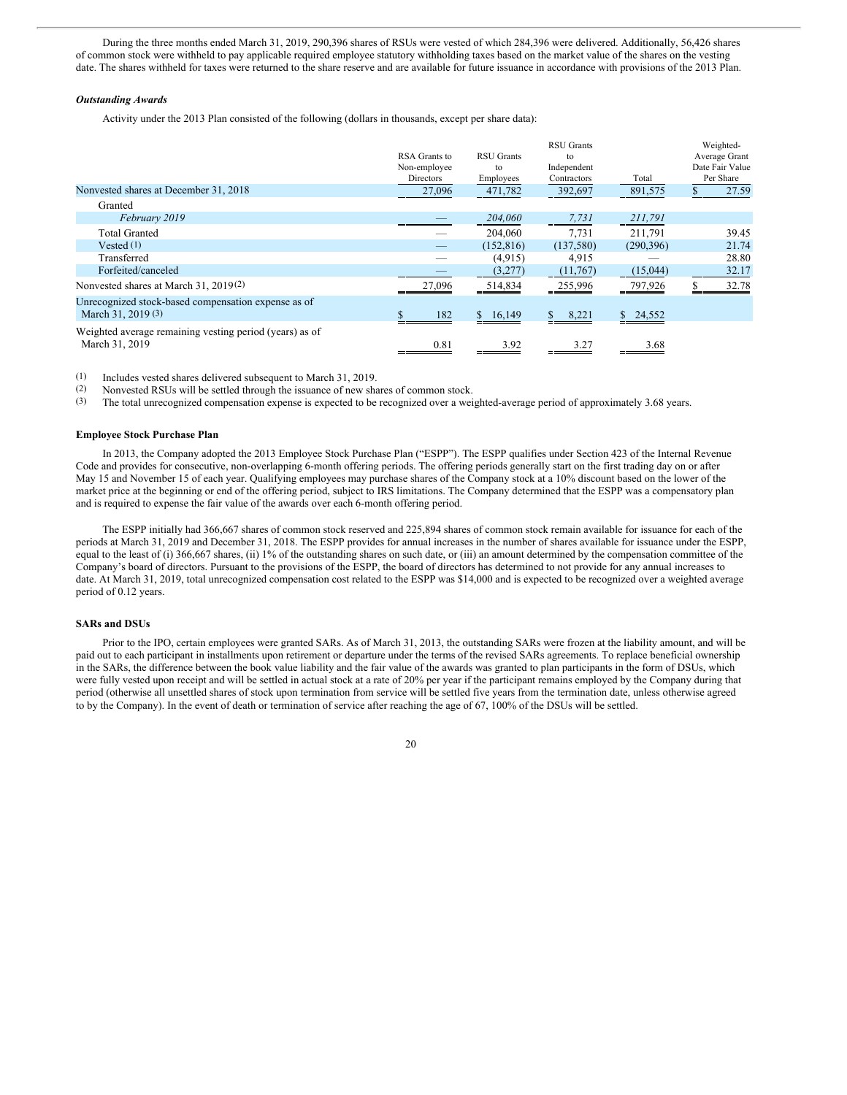During the three months ended March 31, 2019, 290,396 shares of RSUs were vested of which 284,396 were delivered. Additionally, 56,426 shares of common stock were withheld to pay applicable required employee statutory withholding taxes based on the market value of the shares on the vesting date. The shares withheld for taxes were returned to the share reserve and are available for future issuance in accordance with provisions of the 2013 Plan.

#### *Outstanding Awards*

Activity under the 2013 Plan consisted of the following (dollars in thousands, except per share data):

|                                                                           | <b>RSA</b> Grants to<br>Non-employee<br>Directors | <b>RSU</b> Grants<br>to<br>Employees | <b>RSU</b> Grants<br>to<br>Independent<br>Contractors | Total      | Weighted-<br>Average Grant<br>Date Fair Value<br>Per Share |
|---------------------------------------------------------------------------|---------------------------------------------------|--------------------------------------|-------------------------------------------------------|------------|------------------------------------------------------------|
| Nonvested shares at December 31, 2018                                     | 27,096                                            | 471,782                              | 392,697                                               | 891,575    | 27.59                                                      |
| Granted                                                                   |                                                   |                                      |                                                       |            |                                                            |
| February 2019                                                             |                                                   | 204,060                              | 7,731                                                 | 211,791    |                                                            |
| <b>Total Granted</b>                                                      |                                                   | 204,060                              | 7,731                                                 | 211.791    | 39.45                                                      |
| Vested $(1)$                                                              |                                                   | (152, 816)                           | (137, 580)                                            | (290, 396) | 21.74                                                      |
| Transferred                                                               |                                                   | (4, 915)                             | 4,915                                                 |            | 28.80                                                      |
| Forfeited/canceled                                                        |                                                   | (3,277)                              | (11,767)                                              | (15,044)   | 32.17                                                      |
| Nonvested shares at March 31, 2019(2)                                     | 27.096                                            | 514.834                              | 255,996                                               | 797.926    | 32.78                                                      |
| Unrecognized stock-based compensation expense as of<br>March 31, 2019 (3) | 182                                               | \$16,149                             | 8,221<br>\$.                                          | \$24,552   |                                                            |
| Weighted average remaining vesting period (years) as of<br>March 31, 2019 | 0.81                                              | 3.92                                 | 3.27                                                  | 3.68       |                                                            |

(1) Includes vested shares delivered subsequent to March 31, 2019.

(2) Nonvested RSUs will be settled through the issuance of new shares of common stock.

(3) The total unrecognized compensation expense is expected to be recognized over a weighted-average period of approximately 3.68 years.

#### **Employee Stock Purchase Plan**

In 2013, the Company adopted the 2013 Employee Stock Purchase Plan ("ESPP"). The ESPP qualifies under Section 423 of the Internal Revenue Code and provides for consecutive, non-overlapping 6-month offering periods. The offering periods generally start on the first trading day on or after May 15 and November 15 of each year. Qualifying employees may purchase shares of the Company stock at a 10% discount based on the lower of the market price at the beginning or end of the offering period, subject to IRS limitations. The Company determined that the ESPP was a compensatory plan and is required to expense the fair value of the awards over each 6-month offering period.

The ESPP initially had 366,667 shares of common stock reserved and 225,894 shares of common stock remain available for issuance for each of the periods at March 31, 2019 and December 31, 2018. The ESPP provides for annual increases in the number of shares available for issuance under the ESPP, equal to the least of (i) 366,667 shares, (ii) 1% of the outstanding shares on such date, or (iii) an amount determined by the compensation committee of the Company's board of directors. Pursuant to the provisions of the ESPP, the board of directors has determined to not provide for any annual increases to date. At March 31, 2019, total unrecognized compensation cost related to the ESPP was \$14,000 and is expected to be recognized over a weighted average period of 0.12 years.

# **SARs and DSUs**

Prior to the IPO, certain employees were granted SARs. As of March 31, 2013, the outstanding SARs were frozen at the liability amount, and will be paid out to each participant in installments upon retirement or departure under the terms of the revised SARs agreements. To replace beneficial ownership in the SARs, the difference between the book value liability and the fair value of the awards was granted to plan participants in the form of DSUs, which were fully vested upon receipt and will be settled in actual stock at a rate of 20% per year if the participant remains employed by the Company during that period (otherwise all unsettled shares of stock upon termination from service will be settled five years from the termination date, unless otherwise agreed to by the Company). In the event of death or termination of service after reaching the age of 67, 100% of the DSUs will be settled.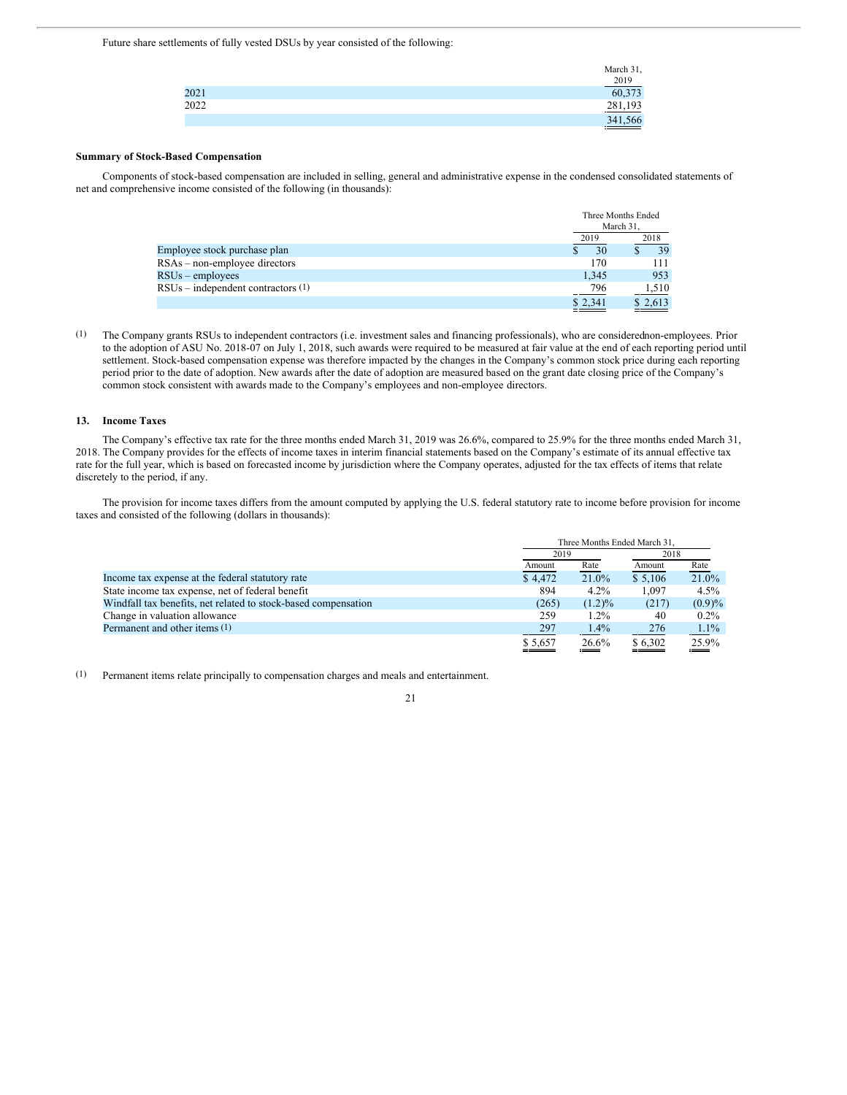Future share settlements of fully vested DSUs by year consisted of the following:

|      | March 31,             |
|------|-----------------------|
|      | $\frac{2019}{60,373}$ |
| 2021 |                       |
| 2022 | 281,193               |
|      | 341,566               |

# **Summary of Stock-Based Compensation**

Components of stock-based compensation are included in selling, general and administrative expense in the condensed consolidated statements of net and comprehensive income consisted of the following (in thousands):

|                                        |         | Three Months Ended |           |         |
|----------------------------------------|---------|--------------------|-----------|---------|
|                                        |         |                    | March 31. |         |
|                                        |         | 2019               |           | 2018    |
| Employee stock purchase plan           |         | 30                 |           | 39      |
| RSAs – non-employee directors          |         | 170                |           |         |
| $RSUs$ – employees                     |         | 1.345              |           | 953     |
| $RSUs$ – independent contractors $(1)$ |         | 796                |           | 1,510   |
|                                        | \$2.341 |                    |           | \$2,613 |

(1) The Company grants RSUs to independent contractors (i.e. investment sales and financing professionals), who are considerednon-employees. Prior to the adoption of ASU No. 2018-07 on July 1, 2018, such awards were required to be measured at fair value at the end of each reporting period until settlement. Stock-based compensation expense was therefore impacted by the changes in the Company's common stock price during each reporting period prior to the date of adoption. New awards after the date of adoption are measured based on the grant date closing price of the Company's common stock consistent with awards made to the Company's employees and non-employee directors.

# **13. Income Taxes**

The Company's effective tax rate for the three months ended March 31, 2019 was 26.6%, compared to 25.9% for the three months ended March 31, 2018. The Company provides for the effects of income taxes in interim financial statements based on the Company's estimate of its annual effective tax rate for the full year, which is based on forecasted income by jurisdiction where the Company operates, adjusted for the tax effects of items that relate discretely to the period, if any.

The provision for income taxes differs from the amount computed by applying the U.S. federal statutory rate to income before provision for income taxes and consisted of the following (dollars in thousands):

|                                                                |                   |                | Three Months Ended March 31. |                |
|----------------------------------------------------------------|-------------------|----------------|------------------------------|----------------|
|                                                                | 2019              |                | 2018                         |                |
|                                                                | Amount            | Rate           | Amount                       | Rate           |
| Income tax expense at the federal statutory rate               | \$4.472           | 21.0%          | \$5.106                      | 21.0%          |
| State income tax expense, net of federal benefit               | 894               | 4.2%           | 1.097                        | 4.5%           |
| Windfall tax benefits, net related to stock-based compensation | (265)             | $(1.2)\%$      | (217)                        | (0.9)%         |
| Change in valuation allowance                                  | 259               | $1.2\%$        | 40                           | $0.2\%$        |
| Permanent and other items (1)                                  | 297               | $1.4\%$        | 276                          | 1.1%           |
|                                                                | \$5,657<br>______ | 26.6%<br>_____ | \$6,302                      | 25.9%<br>_____ |

(1) Permanent items relate principally to compensation charges and meals and entertainment.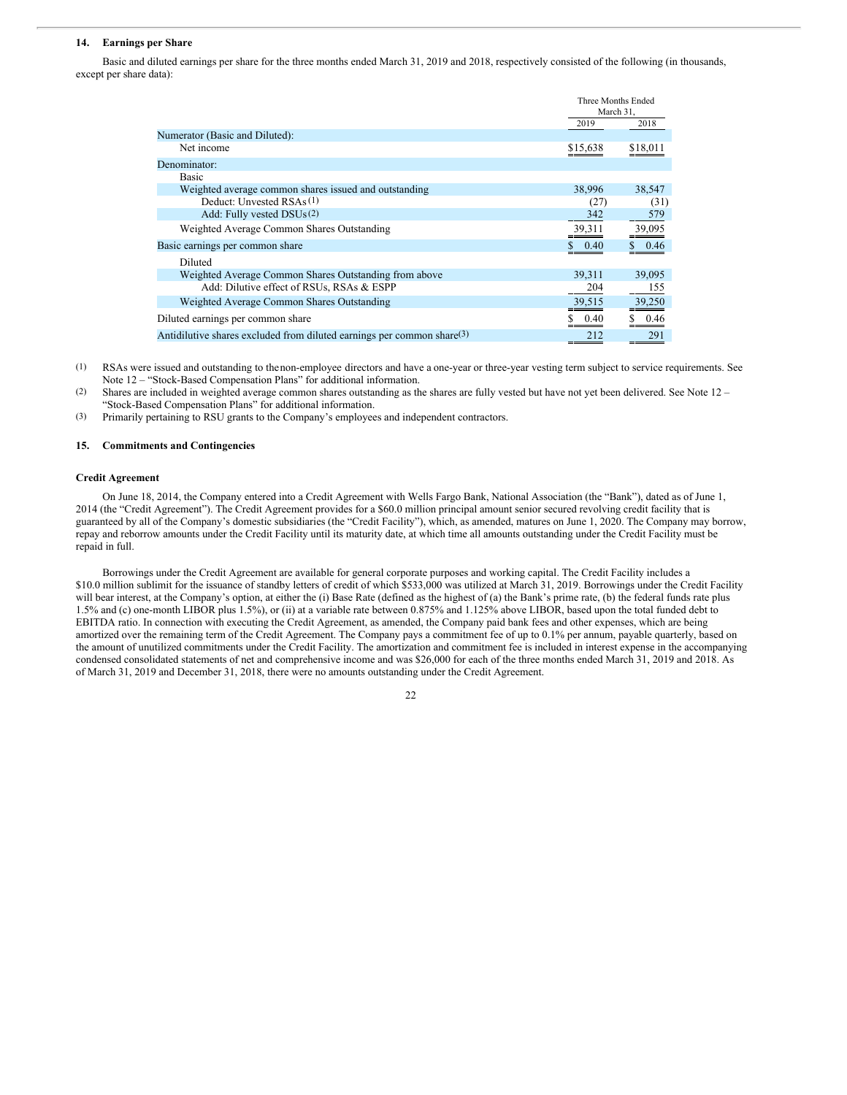# **14. Earnings per Share**

Basic and diluted earnings per share for the three months ended March 31, 2019 and 2018, respectively consisted of the following (in thousands, except per share data):

|                                                                        | Three Months Ended<br>March 31, |           |
|------------------------------------------------------------------------|---------------------------------|-----------|
|                                                                        | 2019                            | 2018      |
| Numerator (Basic and Diluted):                                         |                                 |           |
| Net income                                                             | \$15,638                        | \$18,011  |
| Denominator:                                                           |                                 |           |
| Basic                                                                  |                                 |           |
| Weighted average common shares issued and outstanding                  | 38,996                          | 38,547    |
| Deduct: Unvested RSAs (1)                                              | (27)                            | (31)      |
| Add: Fully vested $DSUs(2)$                                            | 342                             | 579       |
| Weighted Average Common Shares Outstanding                             | 39,311                          | 39,095    |
| Basic earnings per common share                                        | \$ 0.40                         | 0.46      |
| Diluted                                                                |                                 |           |
| Weighted Average Common Shares Outstanding from above                  | 39,311                          | 39,095    |
| Add: Dilutive effect of RSUs, RSAs & ESPP                              | 204                             | 155       |
| Weighted Average Common Shares Outstanding                             | 39,515                          | 39,250    |
| Diluted earnings per common share                                      | \$0.40                          | 0.46      |
| Antidilutive shares excluded from diluted earnings per common share(3) | 212<br>--                       | 291<br>-- |

- (1) RSAs were issued and outstanding to thenon-employee directors and have a one-year or three-year vesting term subject to service requirements. See Note 12 – "Stock-Based Compensation Plans" for additional information.
- (2) Shares are included in weighted average common shares outstanding as the shares are fully vested but have not yet been delivered. See Note 12 "Stock-Based Compensation Plans" for additional information.
- (3) Primarily pertaining to RSU grants to the Company's employees and independent contractors.

### **15. Commitments and Contingencies**

# **Credit Agreement**

On June 18, 2014, the Company entered into a Credit Agreement with Wells Fargo Bank, National Association (the "Bank"), dated as of June 1, 2014 (the "Credit Agreement"). The Credit Agreement provides for a \$60.0 million principal amount senior secured revolving credit facility that is guaranteed by all of the Company's domestic subsidiaries (the "Credit Facility"), which, as amended, matures on June 1, 2020. The Company may borrow, repay and reborrow amounts under the Credit Facility until its maturity date, at which time all amounts outstanding under the Credit Facility must be repaid in full.

Borrowings under the Credit Agreement are available for general corporate purposes and working capital. The Credit Facility includes a \$10.0 million sublimit for the issuance of standby letters of credit of which \$533,000 was utilized at March 31, 2019. Borrowings under the Credit Facility will bear interest, at the Company's option, at either the (i) Base Rate (defined as the highest of (a) the Bank's prime rate, (b) the federal funds rate plus 1.5% and (c) one-month LIBOR plus 1.5%), or (ii) at a variable rate between 0.875% and 1.125% above LIBOR, based upon the total funded debt to EBITDA ratio. In connection with executing the Credit Agreement, as amended, the Company paid bank fees and other expenses, which are being amortized over the remaining term of the Credit Agreement. The Company pays a commitment fee of up to 0.1% per annum, payable quarterly, based on the amount of unutilized commitments under the Credit Facility. The amortization and commitment fee is included in interest expense in the accompanying condensed consolidated statements of net and comprehensive income and was \$26,000 for each of the three months ended March 31, 2019 and 2018. As of March 31, 2019 and December 31, 2018, there were no amounts outstanding under the Credit Agreement.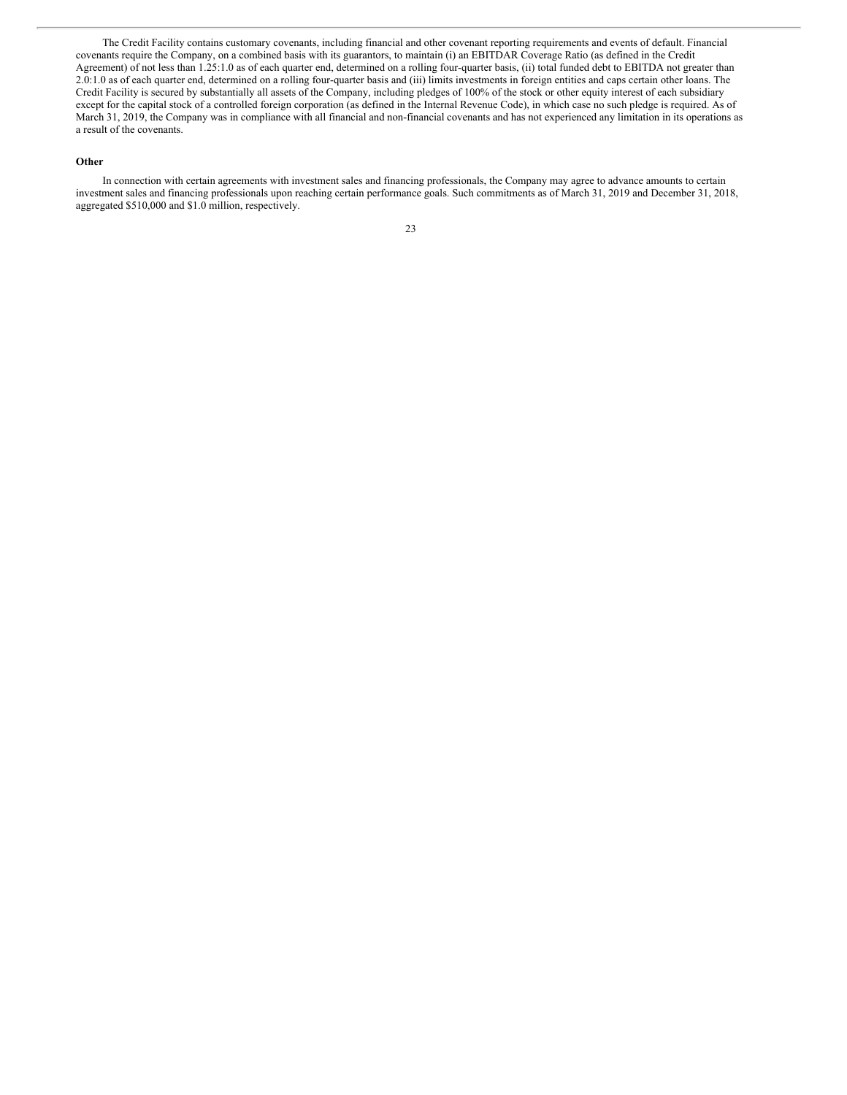The Credit Facility contains customary covenants, including financial and other covenant reporting requirements and events of default. Financial covenants require the Company, on a combined basis with its guarantors, to maintain (i) an EBITDAR Coverage Ratio (as defined in the Credit Agreement) of not less than 1.25:1.0 as of each quarter end, determined on a rolling four-quarter basis, (ii) total funded debt to EBITDA not greater than 2.0:1.0 as of each quarter end, determined on a rolling four-quarter basis and (iii) limits investments in foreign entities and caps certain other loans. The Credit Facility is secured by substantially all assets of the Company, including pledges of 100% of the stock or other equity interest of each subsidiary except for the capital stock of a controlled foreign corporation (as defined in the Internal Revenue Code), in which case no such pledge is required. As of March 31, 2019, the Company was in compliance with all financial and non-financial covenants and has not experienced any limitation in its operations as a result of the covenants.

# **Other**

In connection with certain agreements with investment sales and financing professionals, the Company may agree to advance amounts to certain investment sales and financing professionals upon reaching certain performance goals. Such commitments as of March 31, 2019 and December 31, 2018, aggregated \$510,000 and \$1.0 million, respectively.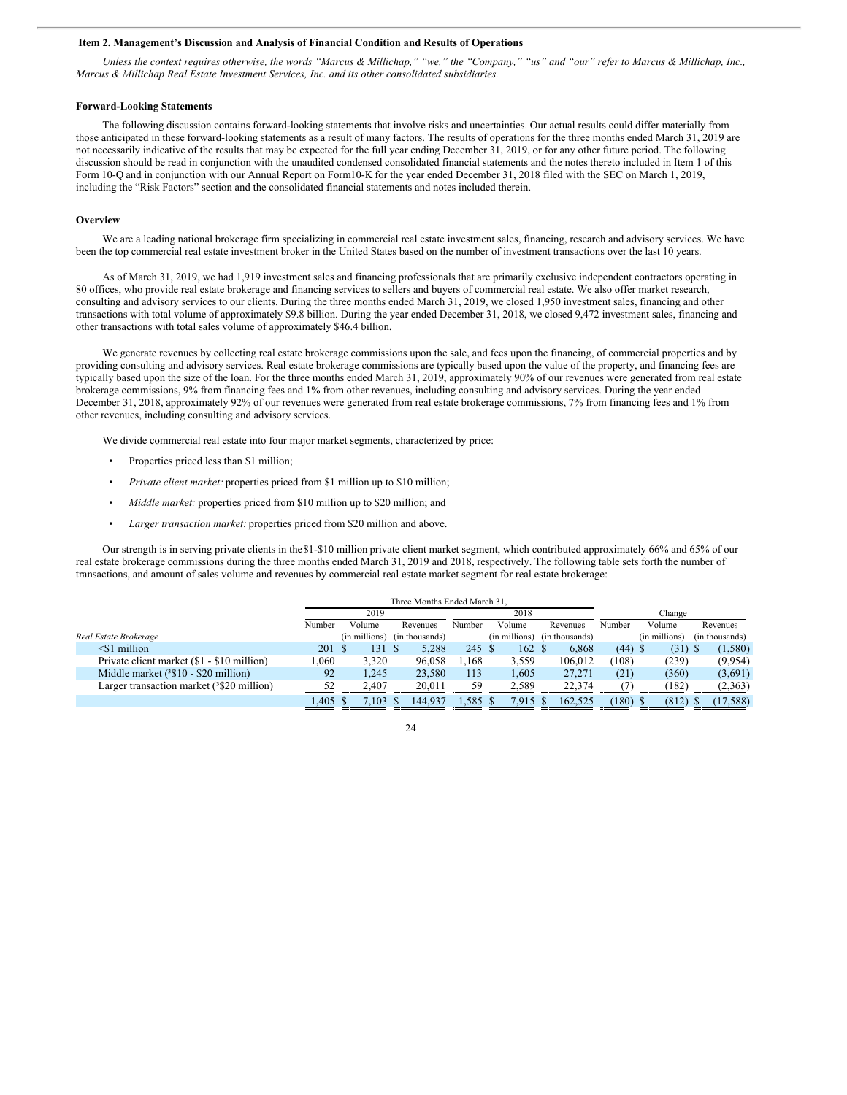#### <span id="page-23-0"></span>**Item 2. Management's Discussion and Analysis of Financial Condition and Results of Operations**

Unless the context requires otherwise, the words "Marcus & Millichap," "we," the "Company," "us" and "our" refer to Marcus & Millichap, Inc., *Marcus & Millichap Real Estate Investment Services, Inc. and its other consolidated subsidiaries.*

# **Forward-Looking Statements**

The following discussion contains forward-looking statements that involve risks and uncertainties. Our actual results could differ materially from those anticipated in these forward-looking statements as a result of many factors. The results of operations for the three months ended March 31, 2019 are not necessarily indicative of the results that may be expected for the full year ending December 31, 2019, or for any other future period. The following discussion should be read in conjunction with the unaudited condensed consolidated financial statements and the notes thereto included in Item 1 of this Form 10-Q and in conjunction with our Annual Report on Form10-K for the year ended December 31, 2018 filed with the SEC on March 1, 2019, including the "Risk Factors" section and the consolidated financial statements and notes included therein.

# **Overview**

We are a leading national brokerage firm specializing in commercial real estate investment sales, financing, research and advisory services. We have been the top commercial real estate investment broker in the United States based on the number of investment transactions over the last 10 years.

As of March 31, 2019, we had 1,919 investment sales and financing professionals that are primarily exclusive independent contractors operating in 80 offices, who provide real estate brokerage and financing services to sellers and buyers of commercial real estate. We also offer market research, consulting and advisory services to our clients. During the three months ended March 31, 2019, we closed 1,950 investment sales, financing and other transactions with total volume of approximately \$9.8 billion. During the year ended December 31, 2018, we closed 9,472 investment sales, financing and other transactions with total sales volume of approximately \$46.4 billion.

We generate revenues by collecting real estate brokerage commissions upon the sale, and fees upon the financing, of commercial properties and by providing consulting and advisory services. Real estate brokerage commissions are typically based upon the value of the property, and financing fees are typically based upon the size of the loan. For the three months ended March 31, 2019, approximately 90% of our revenues were generated from real estate brokerage commissions, 9% from financing fees and 1% from other revenues, including consulting and advisory services. During the year ended December 31, 2018, approximately 92% of our revenues were generated from real estate brokerage commissions, 7% from financing fees and 1% from other revenues, including consulting and advisory services.

We divide commercial real estate into four major market segments, characterized by price:

- Properties priced less than \$1 million;
- *Private client market:* properties priced from \$1 million up to \$10 million;
- *Middle market:* properties priced from \$10 million up to \$20 million; and
- *Larger transaction market:* properties priced from \$20 million and above.

Our strength is in serving private clients in the\$1-\$10 million private client market segment, which contributed approximately 66% and 65% of our real estate brokerage commissions during the three months ended March 31, 2019 and 2018, respectively. The following table sets forth the number of transactions, and amount of sales volume and revenues by commercial real estate market segment for real estate brokerage:

|                                            |            | Three Months Ended March 31. |                |        |               |                |            |               |                |  |
|--------------------------------------------|------------|------------------------------|----------------|--------|---------------|----------------|------------|---------------|----------------|--|
|                                            |            | 2019                         |                |        | 2018          |                | Change     |               |                |  |
|                                            | Number     | Volume                       | Revenues       | Number | Volume        | Revenues       | Number     | Volume        | Revenues       |  |
| Real Estate Brokerage                      |            | (in millions)                | (in thousands) |        | (in millions) | (in thousands) |            | (in millions) | (in thousands) |  |
| $\leq$ 1 million                           | 201 \$     | 131                          | 5.288          | 245S   | 162 \$        | 6.868          | $(44)$ \$  | $(31)$ \$     | (1,580)        |  |
| Private client market (\$1 - \$10 million) | .060       | 3.320                        | 96.058         | .168   | 3.559         | 106.012        | (108)      | (239)         | (9,954)        |  |
| Middle market $(^3$10 - $20$ million)      | 92         | 1.245                        | 23,580         | 113    | 1.605         | 27,271         | (21)       | (360)         | (3,691)        |  |
| Larger transaction market (3\\$20 million) | 52         | 2.407                        | 20.011         | 59     | 2.589         | 22,374         |            | (182)         | (2,363)        |  |
|                                            | $1,405$ \$ | $7,103$ \$                   | 144.937        | .585   | 1.915         | 162.525        | $(180)$ \$ | (812)         | (17, 588)      |  |

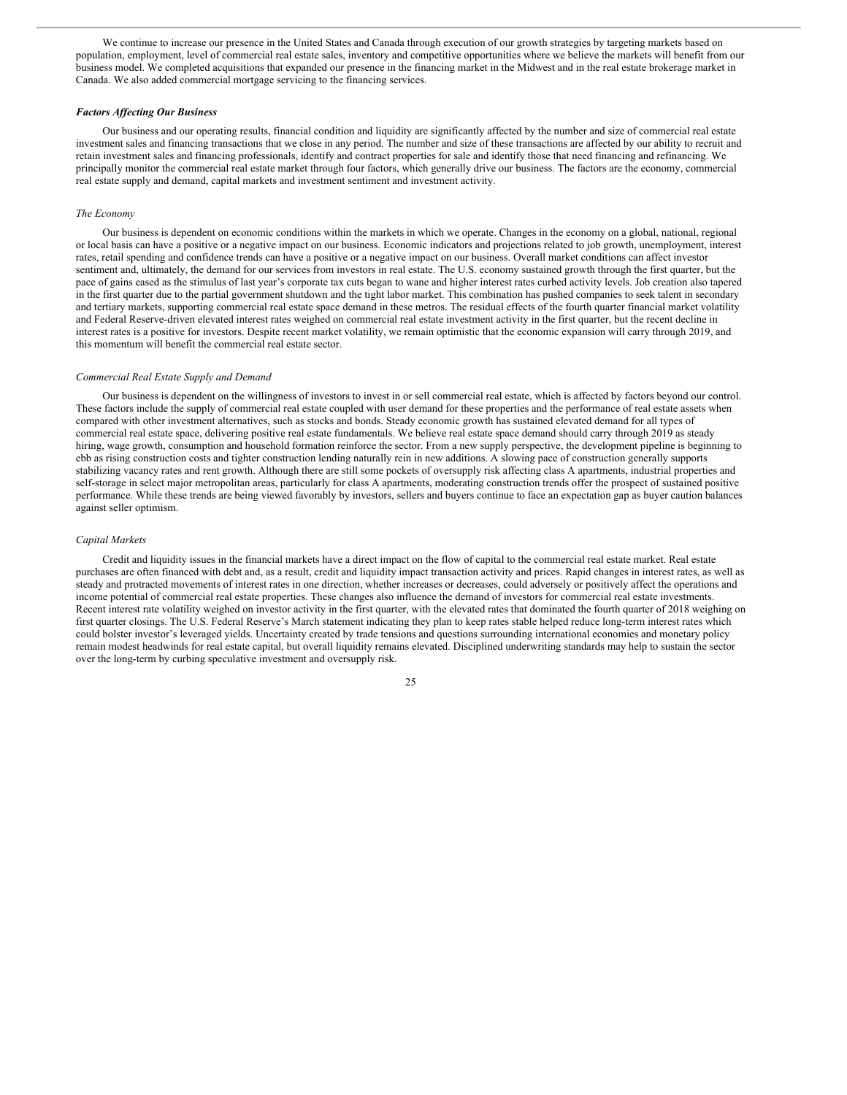We continue to increase our presence in the United States and Canada through execution of our growth strategies by targeting markets based on population, employment, level of commercial real estate sales, inventory and competitive opportunities where we believe the markets will benefit from our business model. We completed acquisitions that expanded our presence in the financing market in the Midwest and in the real estate brokerage market in Canada. We also added commercial mortgage servicing to the financing services.

#### *Factors Af ecting Our Business*

Our business and our operating results, financial condition and liquidity are significantly affected by the number and size of commercial real estate investment sales and financing transactions that we close in any period. The number and size of these transactions are affected by our ability to recruit and retain investment sales and financing professionals, identify and contract properties for sale and identify those that need financing and refinancing. We principally monitor the commercial real estate market through four factors, which generally drive our business. The factors are the economy, commercial real estate supply and demand, capital markets and investment sentiment and investment activity.

#### *The Economy*

Our business is dependent on economic conditions within the markets in which we operate. Changes in the economy on a global, national, regional or local basis can have a positive or a negative impact on our business. Economic indicators and projections related to job growth, unemployment, interest rates, retail spending and confidence trends can have a positive or a negative impact on our business. Overall market conditions can affect investor sentiment and, ultimately, the demand for our services from investors in real estate. The U.S. economy sustained growth through the first quarter, but the pace of gains eased as the stimulus of last year's corporate tax cuts began to wane and higher interest rates curbed activity levels. Job creation also tapered in the first quarter due to the partial government shutdown and the tight labor market. This combination has pushed companies to seek talent in secondary and tertiary markets, supporting commercial real estate space demand in these metros. The residual effects of the fourth quarter financial market volatility and Federal Reserve-driven elevated interest rates weighed on commercial real estate investment activity in the first quarter, but the recent decline in interest rates is a positive for investors. Despite recent market volatility, we remain optimistic that the economic expansion will carry through 2019, and this momentum will benefit the commercial real estate sector.

#### *Commercial Real Estate Supply and Demand*

Our business is dependent on the willingness of investors to invest in or sell commercial real estate, which is affected by factors beyond our control. These factors include the supply of commercial real estate coupled with user demand for these properties and the performance of real estate assets when compared with other investment alternatives, such as stocks and bonds. Steady economic growth has sustained elevated demand for all types of commercial real estate space, delivering positive real estate fundamentals. We believe real estate space demand should carry through 2019 as steady hiring, wage growth, consumption and household formation reinforce the sector. From a new supply perspective, the development pipeline is beginning to ebb as rising construction costs and tighter construction lending naturally rein in new additions. A slowing pace of construction generally supports stabilizing vacancy rates and rent growth. Although there are still some pockets of oversupply risk affecting class A apartments, industrial properties and self-storage in select major metropolitan areas, particularly for class A apartments, moderating construction trends offer the prospect of sustained positive performance. While these trends are being viewed favorably by investors, sellers and buyers continue to face an expectation gap as buyer caution balances against seller optimism.

# *Capital Markets*

Credit and liquidity issues in the financial markets have a direct impact on the flow of capital to the commercial real estate market. Real estate purchases are often financed with debt and, as a result, credit and liquidity impact transaction activity and prices. Rapid changes in interest rates, as well as steady and protracted movements of interest rates in one direction, whether increases or decreases, could adversely or positively affect the operations and income potential of commercial real estate properties. These changes also influence the demand of investors for commercial real estate investments. Recent interest rate volatility weighed on investor activity in the first quarter, with the elevated rates that dominated the fourth quarter of 2018 weighing on first quarter closings. The U.S. Federal Reserve's March statement indicating they plan to keep rates stable helped reduce long-term interest rates which could bolster investor's leveraged yields. Uncertainty created by trade tensions and questions surrounding international economies and monetary policy remain modest headwinds for real estate capital, but overall liquidity remains elevated. Disciplined underwriting standards may help to sustain the sector over the long-term by curbing speculative investment and oversupply risk.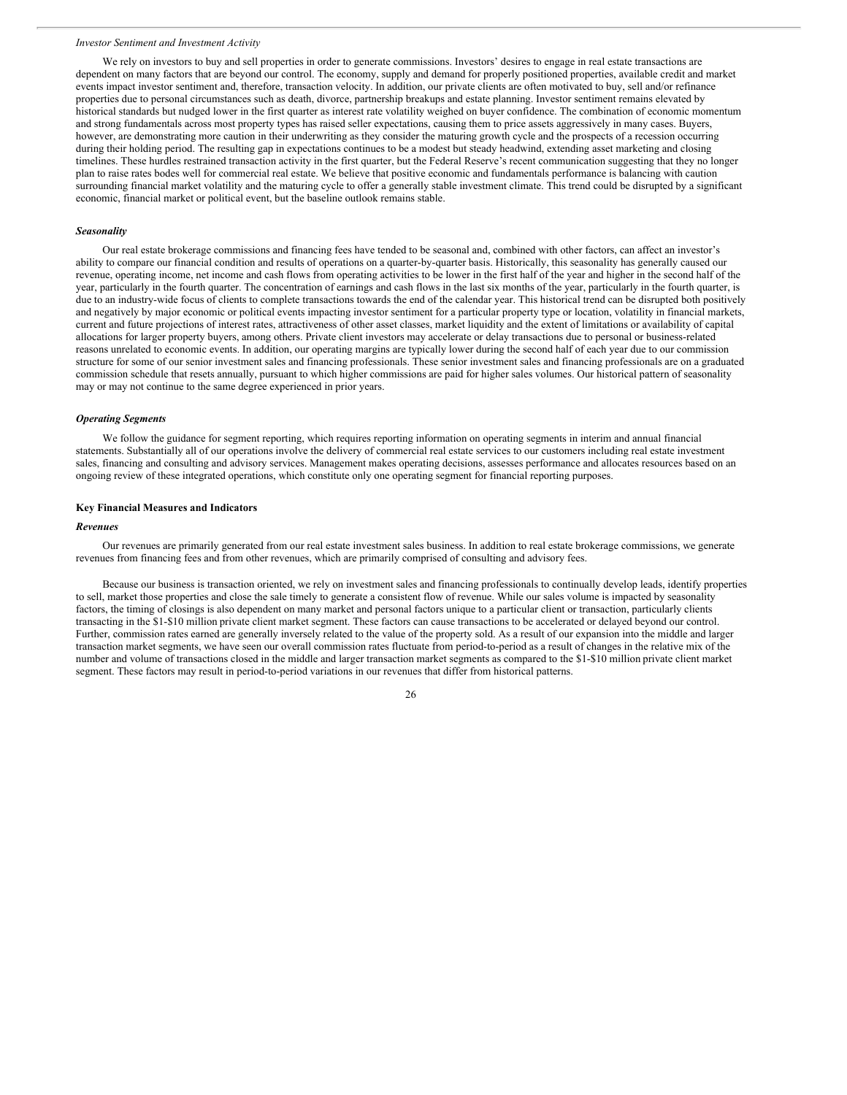#### *Investor Sentiment and Investment Activity*

We rely on investors to buy and sell properties in order to generate commissions. Investors' desires to engage in real estate transactions are dependent on many factors that are beyond our control. The economy, supply and demand for properly positioned properties, available credit and market events impact investor sentiment and, therefore, transaction velocity. In addition, our private clients are often motivated to buy, sell and/or refinance properties due to personal circumstances such as death, divorce, partnership breakups and estate planning. Investor sentiment remains elevated by historical standards but nudged lower in the first quarter as interest rate volatility weighed on buyer confidence. The combination of economic momentum and strong fundamentals across most property types has raised seller expectations, causing them to price assets aggressively in many cases. Buyers, however, are demonstrating more caution in their underwriting as they consider the maturing growth cycle and the prospects of a recession occurring during their holding period. The resulting gap in expectations continues to be a modest but steady headwind, extending asset marketing and closing timelines. These hurdles restrained transaction activity in the first quarter, but the Federal Reserve's recent communication suggesting that they no longer plan to raise rates bodes well for commercial real estate. We believe that positive economic and fundamentals performance is balancing with caution surrounding financial market volatility and the maturing cycle to offer a generally stable investment climate. This trend could be disrupted by a significant economic, financial market or political event, but the baseline outlook remains stable.

#### *Seasonality*

Our real estate brokerage commissions and financing fees have tended to be seasonal and, combined with other factors, can affect an investor's ability to compare our financial condition and results of operations on a quarter-by-quarter basis. Historically, this seasonality has generally caused our revenue, operating income, net income and cash flows from operating activities to be lower in the first half of the year and higher in the second half of the year, particularly in the fourth quarter. The concentration of earnings and cash flows in the last six months of the year, particularly in the fourth quarter, is due to an industry-wide focus of clients to complete transactions towards the end of the calendar year. This historical trend can be disrupted both positively and negatively by major economic or political events impacting investor sentiment for a particular property type or location, volatility in financial markets, current and future projections of interest rates, attractiveness of other asset classes, market liquidity and the extent of limitations or availability of capital allocations for larger property buyers, among others. Private client investors may accelerate or delay transactions due to personal or business-related reasons unrelated to economic events. In addition, our operating margins are typically lower during the second half of each year due to our commission structure for some of our senior investment sales and financing professionals. These senior investment sales and financing professionals are on a graduated commission schedule that resets annually, pursuant to which higher commissions are paid for higher sales volumes. Our historical pattern of seasonality may or may not continue to the same degree experienced in prior years.

#### *Operating Segments*

We follow the guidance for segment reporting, which requires reporting information on operating segments in interim and annual financial statements. Substantially all of our operations involve the delivery of commercial real estate services to our customers including real estate investment sales, financing and consulting and advisory services. Management makes operating decisions, assesses performance and allocates resources based on an ongoing review of these integrated operations, which constitute only one operating segment for financial reporting purposes.

# **Key Financial Measures and Indicators**

#### *Revenues*

Our revenues are primarily generated from our real estate investment sales business. In addition to real estate brokerage commissions, we generate revenues from financing fees and from other revenues, which are primarily comprised of consulting and advisory fees.

Because our business is transaction oriented, we rely on investment sales and financing professionals to continually develop leads, identify properties to sell, market those properties and close the sale timely to generate a consistent flow of revenue. While our sales volume is impacted by seasonality factors, the timing of closings is also dependent on many market and personal factors unique to a particular client or transaction, particularly clients transacting in the \$1-\$10 million private client market segment. These factors can cause transactions to be accelerated or delayed beyond our control. Further, commission rates earned are generally inversely related to the value of the property sold. As a result of our expansion into the middle and larger transaction market segments, we have seen our overall commission rates fluctuate from period-to-period as a result of changes in the relative mix of the number and volume of transactions closed in the middle and larger transaction market segments as compared to the \$1-\$10 million private client market segment. These factors may result in period-to-period variations in our revenues that differ from historical patterns.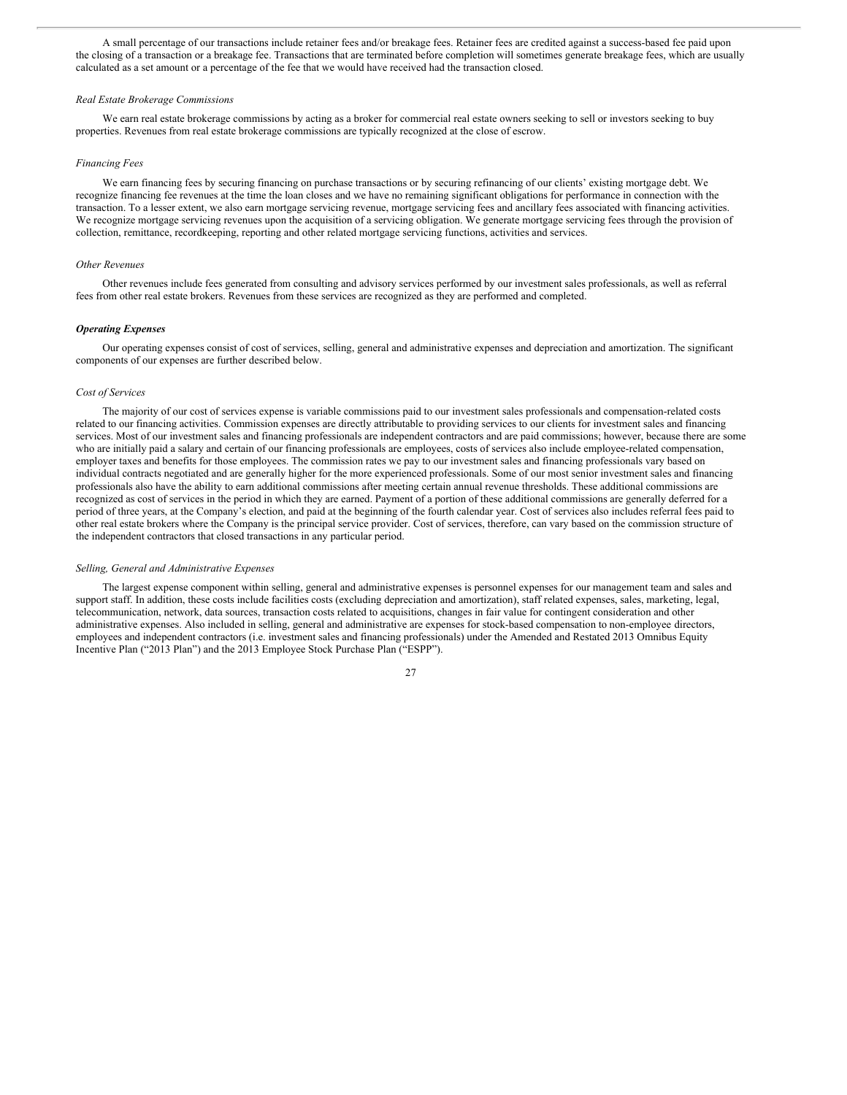A small percentage of our transactions include retainer fees and/or breakage fees. Retainer fees are credited against a success-based fee paid upon the closing of a transaction or a breakage fee. Transactions that are terminated before completion will sometimes generate breakage fees, which are usually calculated as a set amount or a percentage of the fee that we would have received had the transaction closed.

#### *Real Estate Brokerage Commissions*

We earn real estate brokerage commissions by acting as a broker for commercial real estate owners seeking to sell or investors seeking to buy properties. Revenues from real estate brokerage commissions are typically recognized at the close of escrow.

#### *Financing Fees*

We earn financing fees by securing financing on purchase transactions or by securing refinancing of our clients' existing mortgage debt. We recognize financing fee revenues at the time the loan closes and we have no remaining significant obligations for performance in connection with the transaction. To a lesser extent, we also earn mortgage servicing revenue, mortgage servicing fees and ancillary fees associated with financing activities. We recognize mortgage servicing revenues upon the acquisition of a servicing obligation. We generate mortgage servicing fees through the provision of collection, remittance, recordkeeping, reporting and other related mortgage servicing functions, activities and services.

#### *Other Revenues*

Other revenues include fees generated from consulting and advisory services performed by our investment sales professionals, as well as referral fees from other real estate brokers. Revenues from these services are recognized as they are performed and completed.

#### *Operating Expenses*

Our operating expenses consist of cost of services, selling, general and administrative expenses and depreciation and amortization. The significant components of our expenses are further described below.

#### *Cost of Services*

The majority of our cost of services expense is variable commissions paid to our investment sales professionals and compensation-related costs related to our financing activities. Commission expenses are directly attributable to providing services to our clients for investment sales and financing services. Most of our investment sales and financing professionals are independent contractors and are paid commissions; however, because there are some who are initially paid a salary and certain of our financing professionals are employees, costs of services also include employee-related compensation, employer taxes and benefits for those employees. The commission rates we pay to our investment sales and financing professionals vary based on individual contracts negotiated and are generally higher for the more experienced professionals. Some of our most senior investment sales and financing professionals also have the ability to earn additional commissions after meeting certain annual revenue thresholds. These additional commissions are recognized as cost of services in the period in which they are earned. Payment of a portion of these additional commissions are generally deferred for a period of three years, at the Company's election, and paid at the beginning of the fourth calendar year. Cost of services also includes referral fees paid to other real estate brokers where the Company is the principal service provider. Cost of services, therefore, can vary based on the commission structure of the independent contractors that closed transactions in any particular period.

# *Selling, General and Administrative Expenses*

The largest expense component within selling, general and administrative expenses is personnel expenses for our management team and sales and support staff. In addition, these costs include facilities costs (excluding depreciation and amortization), staff related expenses, sales, marketing, legal, telecommunication, network, data sources, transaction costs related to acquisitions, changes in fair value for contingent consideration and other administrative expenses. Also included in selling, general and administrative are expenses for stock-based compensation to non-employee directors, employees and independent contractors (i.e. investment sales and financing professionals) under the Amended and Restated 2013 Omnibus Equity Incentive Plan ("2013 Plan") and the 2013 Employee Stock Purchase Plan ("ESPP").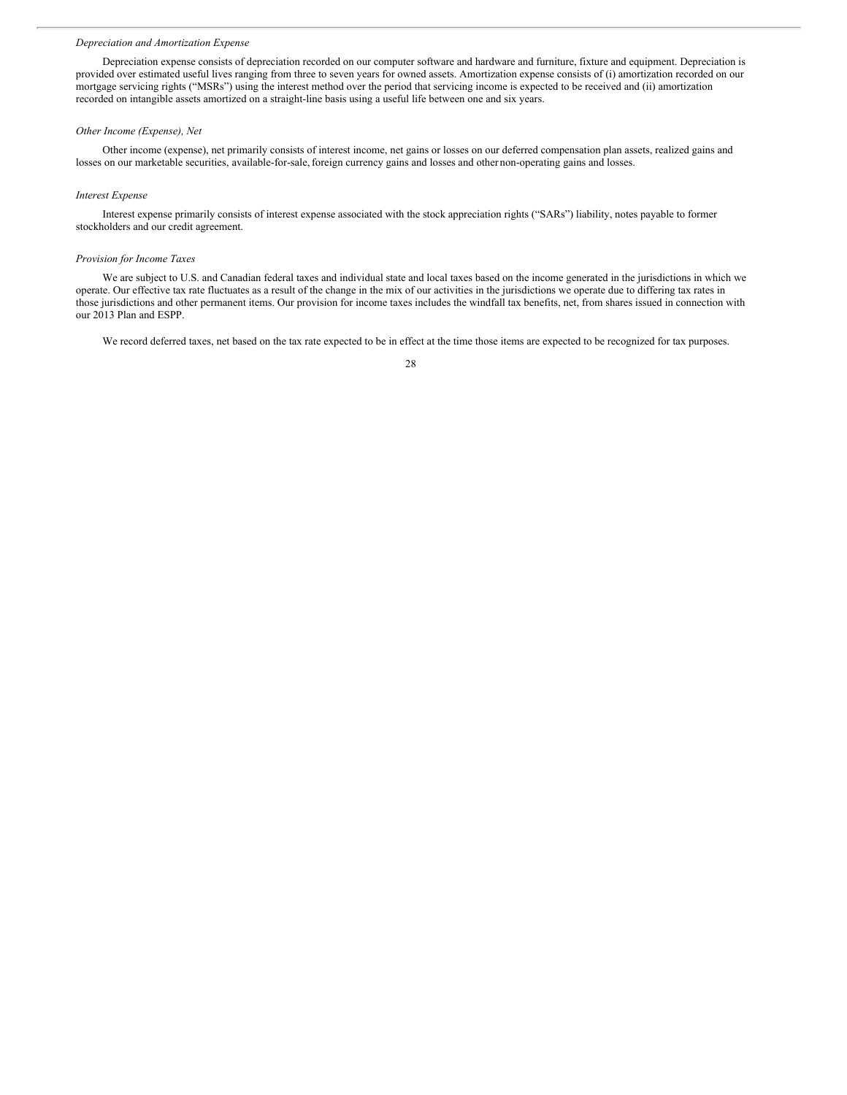#### *Depreciation and Amortization Expense*

Depreciation expense consists of depreciation recorded on our computer software and hardware and furniture, fixture and equipment. Depreciation is provided over estimated useful lives ranging from three to seven years for owned assets. Amortization expense consists of (i) amortization recorded on our mortgage servicing rights ("MSRs") using the interest method over the period that servicing income is expected to be received and (ii) amortization recorded on intangible assets amortized on a straight-line basis using a useful life between one and six years.

# *Other Income (Expense), Net*

Other income (expense), net primarily consists of interest income, net gains or losses on our deferred compensation plan assets, realized gains and losses on our marketable securities, available-for-sale, foreign currency gains and losses and other non-operating gains and losses.

# *Interest Expense*

Interest expense primarily consists of interest expense associated with the stock appreciation rights ("SARs") liability, notes payable to former stockholders and our credit agreement.

# *Provision for Income Taxes*

We are subject to U.S. and Canadian federal taxes and individual state and local taxes based on the income generated in the jurisdictions in which we operate. Our effective tax rate fluctuates as a result of the change in the mix of our activities in the jurisdictions we operate due to differing tax rates in those jurisdictions and other permanent items. Our provision for income taxes includes the windfall tax benefits, net, from shares issued in connection with our 2013 Plan and ESPP.

We record deferred taxes, net based on the tax rate expected to be in effect at the time those items are expected to be recognized for tax purposes.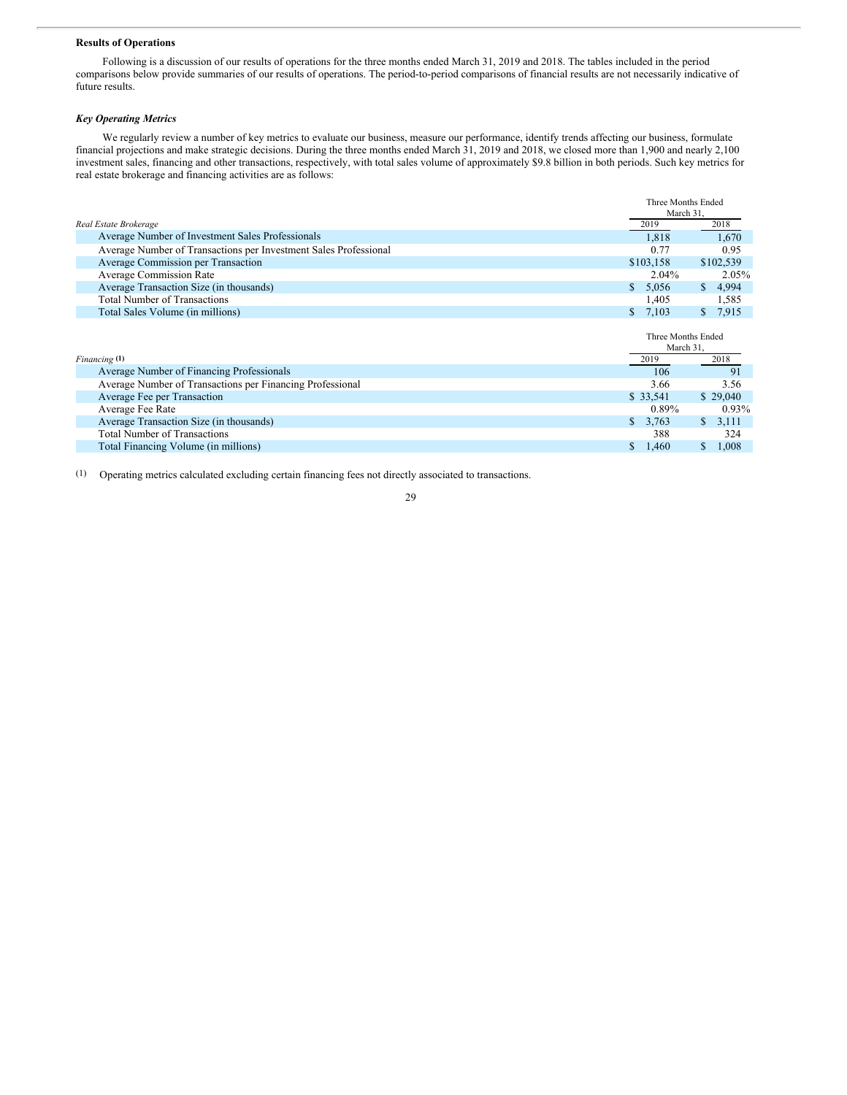# **Results of Operations**

Following is a discussion of our results of operations for the three months ended March 31, 2019 and 2018. The tables included in the period comparisons below provide summaries of our results of operations. The period-to-period comparisons of financial results are not necessarily indicative of future results.

# *Key Operating Metrics*

We regularly review a number of key metrics to evaluate our business, measure our performance, identify trends affecting our business, formulate financial projections and make strategic decisions. During the three months ended March 31, 2019 and 2018, we closed more than 1,900 and nearly 2,100 investment sales, financing and other transactions, respectively, with total sales volume of approximately \$9.8 billion in both periods. Such key metrics for real estate brokerage and financing activities are as follows:

|                                                                  | Three Months Ended    |             |  |
|------------------------------------------------------------------|-----------------------|-------------|--|
|                                                                  | March 31.             |             |  |
| Real Estate Brokerage                                            | 2019                  | 2018        |  |
| Average Number of Investment Sales Professionals                 | 1.818                 | 1,670       |  |
| Average Number of Transactions per Investment Sales Professional | 0.77                  | 0.95        |  |
| Average Commission per Transaction                               | \$103.158             | \$102,539   |  |
| <b>Average Commission Rate</b>                                   | $2.04\%$              | 2.05%       |  |
| Average Transaction Size (in thousands)                          | 5.056<br>S.           | 4,994<br>S. |  |
| <b>Total Number of Transactions</b>                              | 1.405                 | 1,585       |  |
| Total Sales Volume (in millions)                                 | 7.103<br>$\mathbb{S}$ | \$7,915     |  |
|                                                                  |                       |             |  |
|                                                                  | Three Months Ended    |             |  |
|                                                                  | March 31,             |             |  |
| Financing (1)                                                    | 2019                  | 2018        |  |
| Average Number of Financing Professionals                        | 106                   | $^{\circ}$  |  |

| Average Number of Financing Professionals                 | 106                  | 91       |
|-----------------------------------------------------------|----------------------|----------|
| Average Number of Transactions per Financing Professional | 3.66                 | 3.56     |
| Average Fee per Transaction                               | \$ 33,541            | \$29,040 |
| Average Fee Rate                                          | $0.89\%$             | $0.93\%$ |
| Average Transaction Size (in thousands)                   | $\frac{\$}{3}$ 3.763 | 3.111    |
| <b>Total Number of Transactions</b>                       | 388                  | 324      |
| Total Financing Volume (in millions)                      | 1.460                | .008     |

(1) Operating metrics calculated excluding certain financing fees not directly associated to transactions.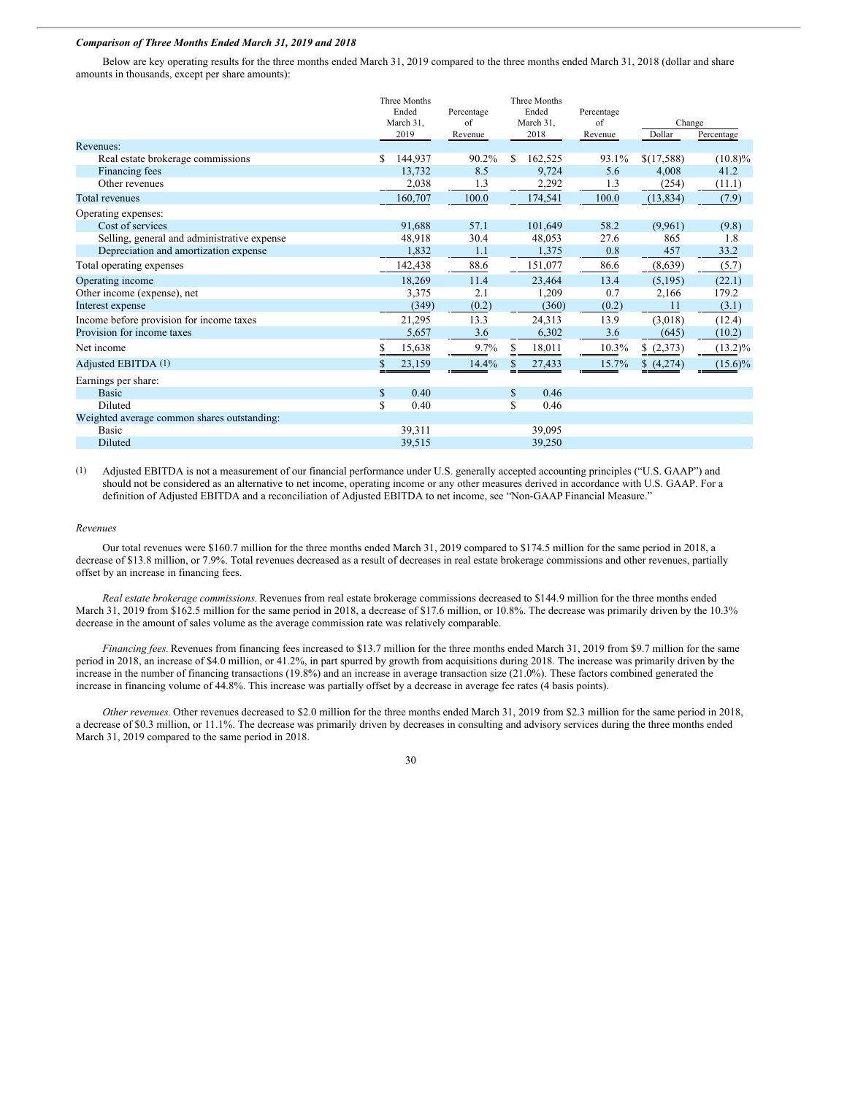#### *Comparison of Three Months Ended March 31, 2019 and 2018*

Below are key operating results for the three months ended March 31, 2019 compared to the three months ended March 31, 2018 (dollar and share amounts in thousands, except per share amounts):

|                                             |     | Three Months<br>Ended<br>March 31, | Percentage<br>of | Three Months<br>Ended<br>March 31, | Percentage<br>of | Change     |            |
|---------------------------------------------|-----|------------------------------------|------------------|------------------------------------|------------------|------------|------------|
|                                             |     | 2019                               | Revenue          | 2018                               | Revenue          | Dollar     | Percentage |
| Revenues:                                   |     |                                    |                  |                                    |                  |            |            |
| Real estate brokerage commissions           | \$. | 144,937                            | 90.2%            | \$<br>162,525                      | 93.1%            | \$(17,588) | $(10.8)\%$ |
| Financing fees                              |     | 13,732                             | 8.5              | 9,724                              | 5.6              | 4,008      | 41.2       |
| Other revenues                              |     | 2,038                              | 1.3              | 2,292                              | 1.3              | (254)      | (11.1)     |
| <b>Total revenues</b>                       |     | 160,707                            | 100.0            | 174,541                            | 100.0            | (13, 834)  | (7.9)      |
| Operating expenses:                         |     |                                    |                  |                                    |                  |            |            |
| Cost of services                            |     | 91,688                             | 57.1             | 101,649                            | 58.2             | (9,961)    | (9.8)      |
| Selling, general and administrative expense |     | 48,918                             | 30.4             | 48,053                             | 27.6             | 865        | 1.8        |
| Depreciation and amortization expense       |     | 1,832                              | 1.1              | 1,375                              | 0.8              | 457        | 33.2       |
| Total operating expenses                    |     | 142,438                            | 88.6             | 151,077                            | 86.6             | (8,639)    | (5.7)      |
| Operating income                            |     | 18,269                             | 11.4             | 23,464                             | 13.4             | (5,195)    | (22.1)     |
| Other income (expense), net                 |     | 3,375                              | 2.1              | 1,209                              | 0.7              | 2,166      | 179.2      |
| Interest expense                            |     | (349)                              | (0.2)            | (360)                              | (0.2)            | 11         | (3.1)      |
| Income before provision for income taxes    |     | 21,295                             | 13.3             | 24,313                             | 13.9             | (3,018)    | (12.4)     |
| Provision for income taxes                  |     | 5,657                              | 3.6              | 6,302                              | 3.6              | (645)      | (10.2)     |
| Net income                                  |     | 15,638                             | 9.7%             | \$<br>18,011                       | 10.3%            | (2,373)    | $(13.2)\%$ |
| Adjusted EBITDA (1)                         |     | 23,159                             | 14.4%            | \$<br>27,433                       | 15.7%            | (4,274)    | $(15.6)\%$ |
| Earnings per share:                         |     |                                    |                  |                                    |                  |            |            |
| <b>Basic</b>                                | \$  | 0.40                               |                  | \$<br>0.46                         |                  |            |            |
| Diluted                                     | S   | 0.40                               |                  | \$<br>0.46                         |                  |            |            |
| Weighted average common shares outstanding: |     |                                    |                  |                                    |                  |            |            |
| <b>Basic</b>                                |     | 39,311                             |                  | 39.095                             |                  |            |            |
| Diluted                                     |     | 39,515                             |                  | 39,250                             |                  |            |            |

(1) Adjusted EBITDA is not a measurement of our financial performance under U.S. generally accepted accounting principles ("U.S. GAAP") and should not be considered as an alternative to net income, operating income or any other measures derived in accordance with U.S. GAAP. For a definition of Adjusted EBITDA and a reconciliation of Adjusted EBITDA to net income, see "Non-GAAP Financial Measure."

#### *Revenues*

Our total revenues were \$160.7 million for the three months ended March 31, 2019 compared to \$174.5 million for the same period in 2018, a decrease of \$13.8 million, or 7.9%. Total revenues decreased as a result of decreases in real estate brokerage commissions and other revenues, partially offset by an increase in financing fees.

*Real estate brokerage commissions.* Revenues from real estate brokerage commissions decreased to \$144.9 million for the three months ended March 31, 2019 from \$162.5 million for the same period in 2018, a decrease of \$17.6 million, or 10.8%. The decrease was primarily driven by the 10.3% decrease in the amount of sales volume as the average commission rate was relatively comparable.

*Financing fees.* Revenues from financing fees increased to \$13.7 million for the three months ended March 31, 2019 from \$9.7 million for the same period in 2018, an increase of \$4.0 million, or 41.2%, in part spurred by growth from acquisitions during 2018. The increase was primarily driven by the increase in the number of financing transactions (19.8%) and an increase in average transaction size (21.0%). These factors combined generated the increase in financing volume of 44.8%. This increase was partially offset by a decrease in average fee rates (4 basis points).

*Other revenues.* Other revenues decreased to \$2.0 million for the three months ended March 31, 2019 from \$2.3 million for the same period in 2018, a decrease of \$0.3 million, or 11.1%. The decrease was primarily driven by decreases in consulting and advisory services during the three months ended March 31, 2019 compared to the same period in 2018.

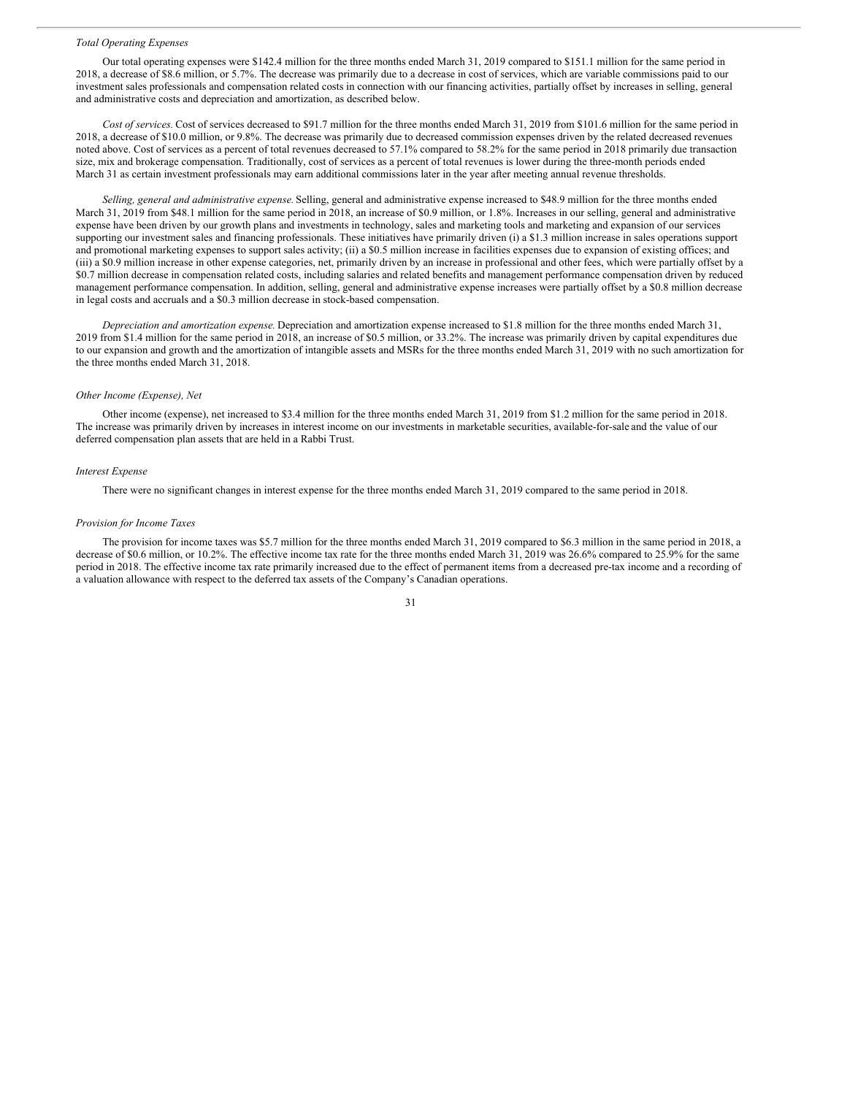#### *Total Operating Expenses*

Our total operating expenses were \$142.4 million for the three months ended March 31, 2019 compared to \$151.1 million for the same period in 2018, a decrease of \$8.6 million, or 5.7%. The decrease was primarily due to a decrease in cost of services, which are variable commissions paid to our investment sales professionals and compensation related costs in connection with our financing activities, partially offset by increases in selling, general and administrative costs and depreciation and amortization, as described below.

*Cost of services.* Cost of services decreased to \$91.7 million for the three months ended March 31, 2019 from \$101.6 million for the same period in 2018, a decrease of \$10.0 million, or 9.8%. The decrease was primarily due to decreased commission expenses driven by the related decreased revenues noted above. Cost of services as a percent of total revenues decreased to 57.1% compared to 58.2% for the same period in 2018 primarily due transaction size, mix and brokerage compensation. Traditionally, cost of services as a percent of total revenues is lower during the three-month periods ended March 31 as certain investment professionals may earn additional commissions later in the year after meeting annual revenue thresholds.

*Selling, general and administrative expense.* Selling, general and administrative expense increased to \$48.9 million for the three months ended March 31, 2019 from \$48.1 million for the same period in 2018, an increase of \$0.9 million, or 1.8%. Increases in our selling, general and administrative expense have been driven by our growth plans and investments in technology, sales and marketing tools and marketing and expansion of our services supporting our investment sales and financing professionals. These initiatives have primarily driven (i) a \$1.3 million increase in sales operations support and promotional marketing expenses to support sales activity; (ii) a \$0.5 million increase in facilities expenses due to expansion of existing offices; and (iii) a \$0.9 million increase in other expense categories, net, primarily driven by an increase in professional and other fees, which were partially offset by a \$0.7 million decrease in compensation related costs, including salaries and related benefits and management performance compensation driven by reduced management performance compensation. In addition, selling, general and administrative expense increases were partially offset by a \$0.8 million decrease in legal costs and accruals and a \$0.3 million decrease in stock-based compensation.

*Depreciation and amortization expense.* Depreciation and amortization expense increased to \$1.8 million for the three months ended March 31, 2019 from \$1.4 million for the same period in 2018, an increase of \$0.5 million, or 33.2%. The increase was primarily driven by capital expenditures due to our expansion and growth and the amortization of intangible assets and MSRs for the three months ended March 31, 2019 with no such amortization for the three months ended March 31, 2018.

# *Other Income (Expense), Net*

Other income (expense), net increased to \$3.4 million for the three months ended March 31, 2019 from \$1.2 million for the same period in 2018. The increase was primarily driven by increases in interest income on our investments in marketable securities, available-for-sale and the value of our deferred compensation plan assets that are held in a Rabbi Trust.

#### *Interest Expense*

There were no significant changes in interest expense for the three months ended March 31, 2019 compared to the same period in 2018.

#### *Provision for Income Taxes*

The provision for income taxes was \$5.7 million for the three months ended March 31, 2019 compared to \$6.3 million in the same period in 2018, a decrease of \$0.6 million, or 10.2%. The effective income tax rate for the three months ended March 31, 2019 was 26.6% compared to 25.9% for the same period in 2018. The effective income tax rate primarily increased due to the effect of permanent items from a decreased pre-tax income and a recording of a valuation allowance with respect to the deferred tax assets of the Company's Canadian operations.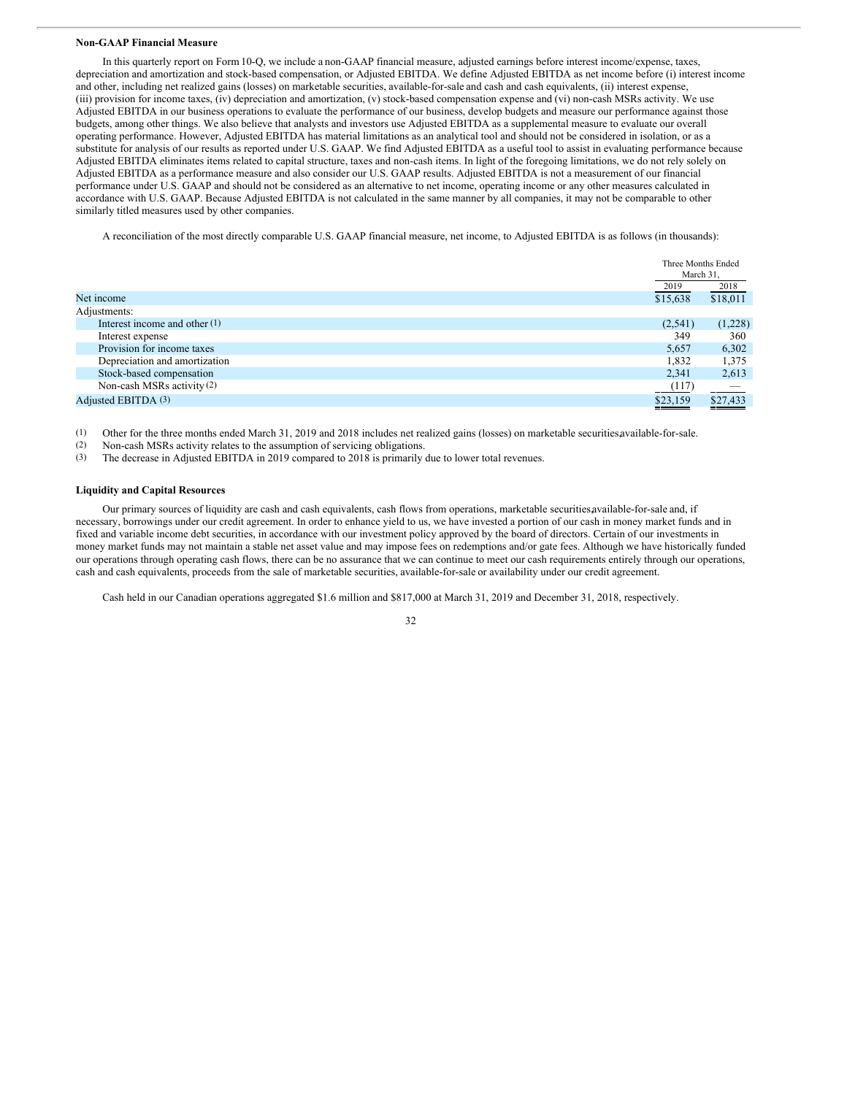#### **Non-GAAP Financial Measure**

In this quarterly report on Form 10-Q, we include a non-GAAP financial measure, adjusted earnings before interest income/expense, taxes, depreciation and amortization and stock-based compensation, or Adjusted EBITDA. We define Adjusted EBITDA as net income before (i) interest income and other, including net realized gains (losses) on marketable securities, available-for-sale and cash and cash equivalents, (ii) interest expense, (iii) provision for income taxes, (iv) depreciation and amortization, (v) stock-based compensation expense and (vi) non-cash MSRs activity. We use Adjusted EBITDA in our business operations to evaluate the performance of our business, develop budgets and measure our performance against those budgets, among other things. We also believe that analysts and investors use Adjusted EBITDA as a supplemental measure to evaluate our overall operating performance. However, Adjusted EBITDA has material limitations as an analytical tool and should not be considered in isolation, or as a substitute for analysis of our results as reported under U.S. GAAP. We find Adjusted EBITDA as a useful tool to assist in evaluating performance because Adjusted EBITDA eliminates items related to capital structure, taxes and non-cash items. In light of the foregoing limitations, we do not rely solely on Adjusted EBITDA as a performance measure and also consider our U.S. GAAP results. Adjusted EBITDA is not a measurement of our financial performance under U.S. GAAP and should not be considered as an alternative to net income, operating income or any other measures calculated in accordance with U.S. GAAP. Because Adjusted EBITDA is not calculated in the same manner by all companies, it may not be comparable to other similarly titled measures used by other companies.

A reconciliation of the most directly comparable U.S. GAAP financial measure, net income, to Adjusted EBITDA is as follows (in thousands):

|                                 | Three Months Ended<br>March 31, |          |
|---------------------------------|---------------------------------|----------|
|                                 | 2019                            | 2018     |
| Net income                      | \$15,638                        | \$18,011 |
| Adjustments:                    |                                 |          |
| Interest income and other $(1)$ | (2, 541)                        | (1,228)  |
| Interest expense                | 349                             | 360      |
| Provision for income taxes      | 5,657                           | 6,302    |
| Depreciation and amortization   | 1,832                           | 1,375    |
| Stock-based compensation        | 2,341                           | 2,613    |
| Non-cash MSRs activity (2)      | (117)                           |          |
| Adjusted EBITDA (3)             | \$23,159                        | \$27,433 |

(1) Other for the three months ended March 31, 2019 and 2018 includes net realized gains (losses) on marketable securities,available-for-sale.

(2) Non-cash MSRs activity relates to the assumption of servicing obligations.

(3) The decrease in Adjusted EBITDA in 2019 compared to 2018 is primarily due to lower total revenues.

# **Liquidity and Capital Resources**

Our primary sources of liquidity are cash and cash equivalents, cash flows from operations, marketable securities,available-for-sale and, if necessary, borrowings under our credit agreement. In order to enhance yield to us, we have invested a portion of our cash in money market funds and in fixed and variable income debt securities, in accordance with our investment policy approved by the board of directors. Certain of our investments in money market funds may not maintain a stable net asset value and may impose fees on redemptions and/or gate fees. Although we have historically funded our operations through operating cash flows, there can be no assurance that we can continue to meet our cash requirements entirely through our operations, cash and cash equivalents, proceeds from the sale of marketable securities, available-for-sale or availability under our credit agreement.

Cash held in our Canadian operations aggregated \$1.6 million and \$817,000 at March 31, 2019 and December 31, 2018, respectively.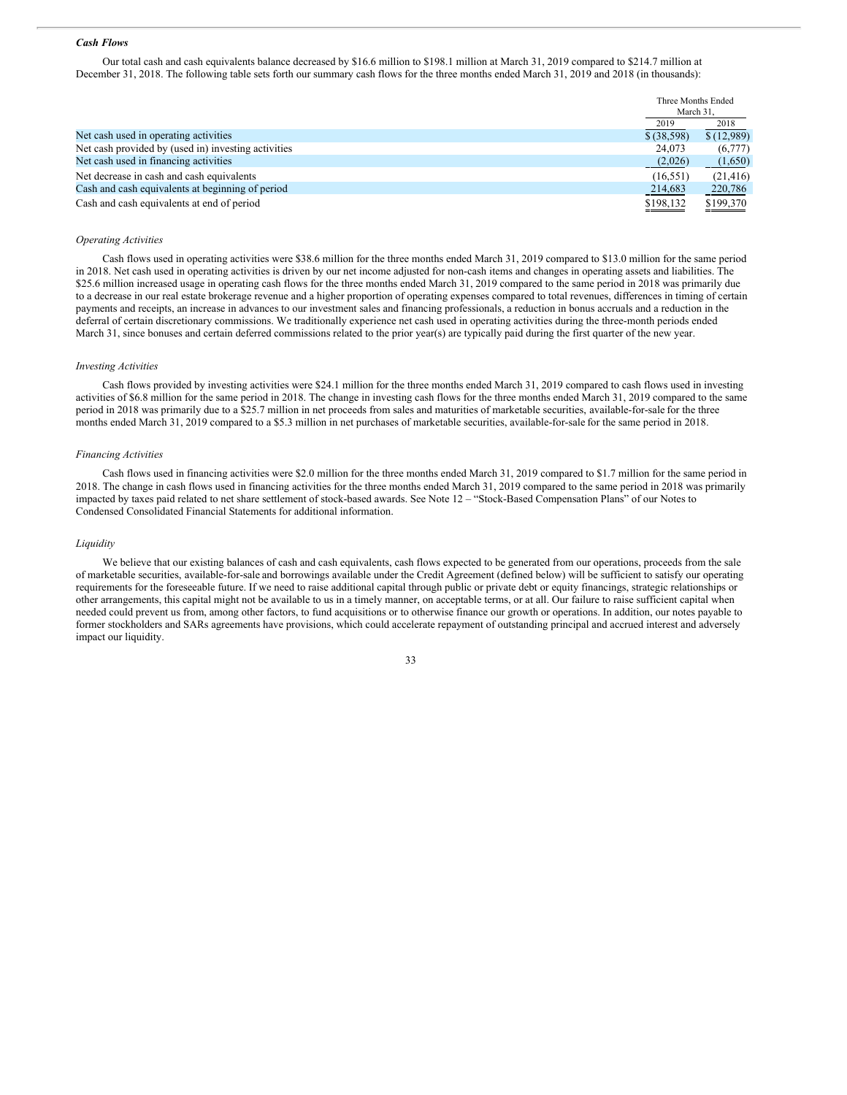#### *Cash Flows*

Our total cash and cash equivalents balance decreased by \$16.6 million to \$198.1 million at March 31, 2019 compared to \$214.7 million at December 31, 2018. The following table sets forth our summary cash flows for the three months ended March 31, 2019 and 2018 (in thousands):

|                                                     | Three Months Ended<br>March 31, |            |
|-----------------------------------------------------|---------------------------------|------------|
|                                                     | 2019                            | 2018       |
| Net cash used in operating activities               | \$ (38, 598)                    | \$(12,989) |
| Net cash provided by (used in) investing activities | 24,073                          | (6,777)    |
| Net cash used in financing activities               | (2,026)                         | (1,650)    |
| Net decrease in cash and cash equivalents           | (16, 551)                       | (21, 416)  |
| Cash and cash equivalents at beginning of period    | 214,683                         | 220,786    |
| Cash and cash equivalents at end of period          | \$198,132                       | \$199,370  |

### *Operating Activities*

Cash flows used in operating activities were \$38.6 million for the three months ended March 31, 2019 compared to \$13.0 million for the same period in 2018. Net cash used in operating activities is driven by our net income adjusted for non-cash items and changes in operating assets and liabilities. The \$25.6 million increased usage in operating cash flows for the three months ended March 31, 2019 compared to the same period in 2018 was primarily due to a decrease in our real estate brokerage revenue and a higher proportion of operating expenses compared to total revenues, differences in timing of certain payments and receipts, an increase in advances to our investment sales and financing professionals, a reduction in bonus accruals and a reduction in the deferral of certain discretionary commissions. We traditionally experience net cash used in operating activities during the three-month periods ended March 31, since bonuses and certain deferred commissions related to the prior year(s) are typically paid during the first quarter of the new year.

# *Investing Activities*

Cash flows provided by investing activities were \$24.1 million for the three months ended March 31, 2019 compared to cash flows used in investing activities of \$6.8 million for the same period in 2018. The change in investing cash flows for the three months ended March 31, 2019 compared to the same period in 2018 was primarily due to a \$25.7 million in net proceeds from sales and maturities of marketable securities, available-for-sale for the three months ended March 31, 2019 compared to a \$5.3 million in net purchases of marketable securities, available-for-sale for the same period in 2018.

#### *Financing Activities*

Cash flows used in financing activities were \$2.0 million for the three months ended March 31, 2019 compared to \$1.7 million for the same period in 2018. The change in cash flows used in financing activities for the three months ended March 31, 2019 compared to the same period in 2018 was primarily impacted by taxes paid related to net share settlement of stock-based awards. See Note 12 – "Stock-Based Compensation Plans" of our Notes to Condensed Consolidated Financial Statements for additional information.

#### *Liquidity*

We believe that our existing balances of cash and cash equivalents, cash flows expected to be generated from our operations, proceeds from the sale of marketable securities, available-for-sale and borrowings available under the Credit Agreement (defined below) will be sufficient to satisfy our operating requirements for the foreseeable future. If we need to raise additional capital through public or private debt or equity financings, strategic relationships or other arrangements, this capital might not be available to us in a timely manner, on acceptable terms, or at all. Our failure to raise sufficient capital when needed could prevent us from, among other factors, to fund acquisitions or to otherwise finance our growth or operations. In addition, our notes payable to former stockholders and SARs agreements have provisions, which could accelerate repayment of outstanding principal and accrued interest and adversely impact our liquidity.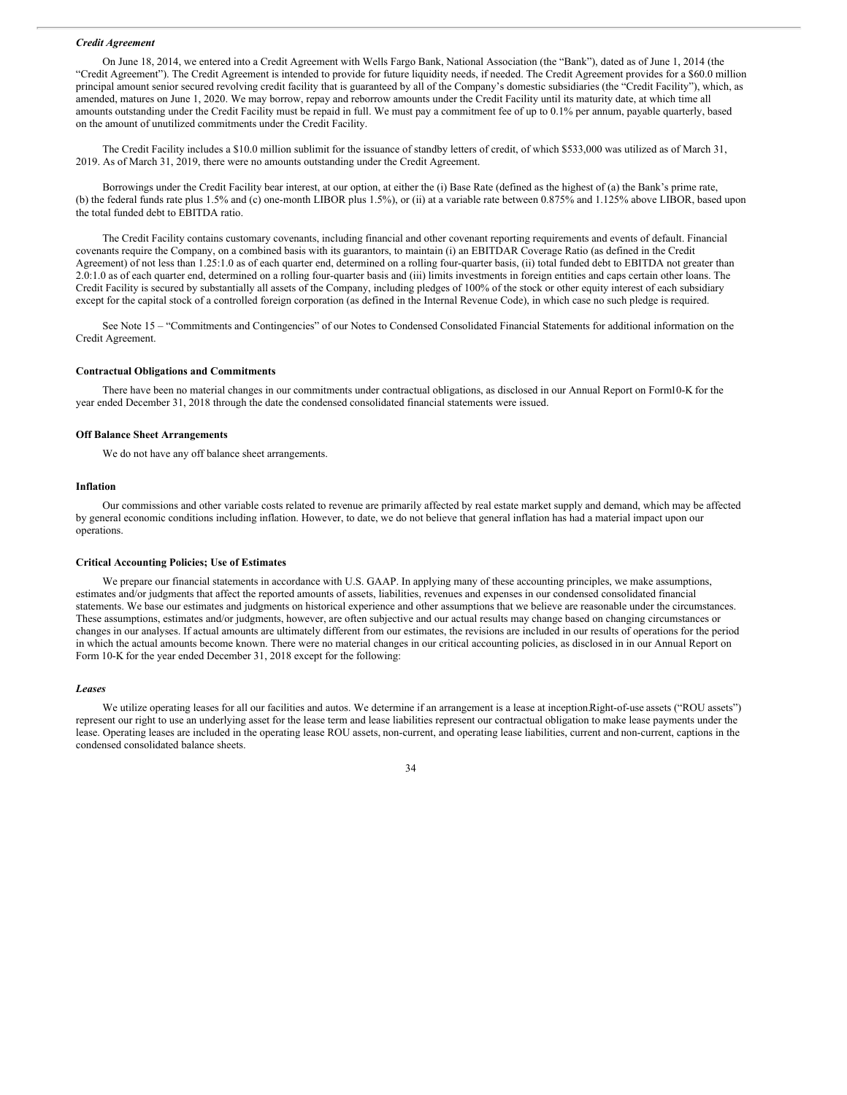#### *Credit Agreement*

On June 18, 2014, we entered into a Credit Agreement with Wells Fargo Bank, National Association (the "Bank"), dated as of June 1, 2014 (the "Credit Agreement"). The Credit Agreement is intended to provide for future liquidity needs, if needed. The Credit Agreement provides for a \$60.0 million principal amount senior secured revolving credit facility that is guaranteed by all of the Company's domestic subsidiaries (the "Credit Facility"), which, as amended, matures on June 1, 2020. We may borrow, repay and reborrow amounts under the Credit Facility until its maturity date, at which time all amounts outstanding under the Credit Facility must be repaid in full. We must pay a commitment fee of up to 0.1% per annum, payable quarterly, based on the amount of unutilized commitments under the Credit Facility.

The Credit Facility includes a \$10.0 million sublimit for the issuance of standby letters of credit, of which \$533,000 was utilized as of March 31, 2019. As of March 31, 2019, there were no amounts outstanding under the Credit Agreement.

Borrowings under the Credit Facility bear interest, at our option, at either the (i) Base Rate (defined as the highest of (a) the Bank's prime rate, (b) the federal funds rate plus 1.5% and (c) one-month LIBOR plus 1.5%), or (ii) at a variable rate between 0.875% and 1.125% above LIBOR, based upon the total funded debt to EBITDA ratio.

The Credit Facility contains customary covenants, including financial and other covenant reporting requirements and events of default. Financial covenants require the Company, on a combined basis with its guarantors, to maintain (i) an EBITDAR Coverage Ratio (as defined in the Credit Agreement) of not less than 1.25:1.0 as of each quarter end, determined on a rolling four-quarter basis, (ii) total funded debt to EBITDA not greater than 2.0:1.0 as of each quarter end, determined on a rolling four-quarter basis and (iii) limits investments in foreign entities and caps certain other loans. The Credit Facility is secured by substantially all assets of the Company, including pledges of 100% of the stock or other equity interest of each subsidiary except for the capital stock of a controlled foreign corporation (as defined in the Internal Revenue Code), in which case no such pledge is required.

See Note 15 – "Commitments and Contingencies" of our Notes to Condensed Consolidated Financial Statements for additional information on the Credit Agreement.

# **Contractual Obligations and Commitments**

There have been no material changes in our commitments under contractual obligations, as disclosed in our Annual Report on Form10-K for the year ended December 31, 2018 through the date the condensed consolidated financial statements were issued.

#### **Off Balance Sheet Arrangements**

We do not have any off balance sheet arrangements.

# **Inflation**

Our commissions and other variable costs related to revenue are primarily affected by real estate market supply and demand, which may be affected by general economic conditions including inflation. However, to date, we do not believe that general inflation has had a material impact upon our operations.

# **Critical Accounting Policies; Use of Estimates**

We prepare our financial statements in accordance with U.S. GAAP. In applying many of these accounting principles, we make assumptions, estimates and/or judgments that affect the reported amounts of assets, liabilities, revenues and expenses in our condensed consolidated financial statements. We base our estimates and judgments on historical experience and other assumptions that we believe are reasonable under the circumstances. These assumptions, estimates and/or judgments, however, are often subjective and our actual results may change based on changing circumstances or changes in our analyses. If actual amounts are ultimately different from our estimates, the revisions are included in our results of operations for the period in which the actual amounts become known. There were no material changes in our critical accounting policies, as disclosed in in our Annual Report on Form 10-K for the year ended December 31, 2018 except for the following:

#### *Leases*

We utilize operating leases for all our facilities and autos. We determine if an arrangement is a lease at inception.Right-of-use assets ("ROU assets") represent our right to use an underlying asset for the lease term and lease liabilities represent our contractual obligation to make lease payments under the lease. Operating leases are included in the operating lease ROU assets, non-current, and operating lease liabilities, current and non-current, captions in the condensed consolidated balance sheets.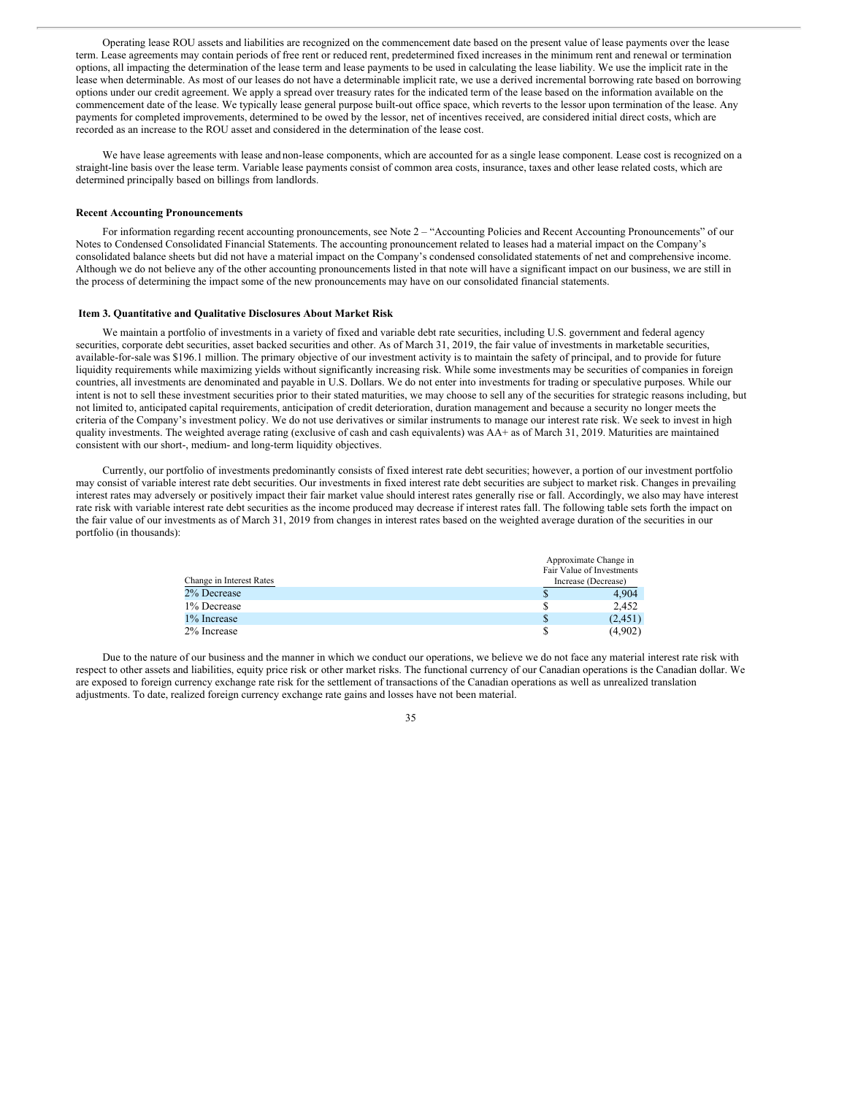Operating lease ROU assets and liabilities are recognized on the commencement date based on the present value of lease payments over the lease term. Lease agreements may contain periods of free rent or reduced rent, predetermined fixed increases in the minimum rent and renewal or termination options, all impacting the determination of the lease term and lease payments to be used in calculating the lease liability. We use the implicit rate in the lease when determinable. As most of our leases do not have a determinable implicit rate, we use a derived incremental borrowing rate based on borrowing options under our credit agreement. We apply a spread over treasury rates for the indicated term of the lease based on the information available on the commencement date of the lease. We typically lease general purpose built-out office space, which reverts to the lessor upon termination of the lease. Any payments for completed improvements, determined to be owed by the lessor, net of incentives received, are considered initial direct costs, which are recorded as an increase to the ROU asset and considered in the determination of the lease cost.

We have lease agreements with lease and non-lease components, which are accounted for as a single lease component. Lease cost is recognized on a straight-line basis over the lease term. Variable lease payments consist of common area costs, insurance, taxes and other lease related costs, which are determined principally based on billings from landlords.

# **Recent Accounting Pronouncements**

For information regarding recent accounting pronouncements, see Note 2 – "Accounting Policies and Recent Accounting Pronouncements" of our Notes to Condensed Consolidated Financial Statements. The accounting pronouncement related to leases had a material impact on the Company's consolidated balance sheets but did not have a material impact on the Company's condensed consolidated statements of net and comprehensive income. Although we do not believe any of the other accounting pronouncements listed in that note will have a significant impact on our business, we are still in the process of determining the impact some of the new pronouncements may have on our consolidated financial statements.

#### <span id="page-34-0"></span>**Item 3. Quantitative and Qualitative Disclosures About Market Risk**

We maintain a portfolio of investments in a variety of fixed and variable debt rate securities, including U.S. government and federal agency securities, corporate debt securities, asset backed securities and other. As of March 31, 2019, the fair value of investments in marketable securities, available-for-sale was \$196.1 million. The primary objective of our investment activity is to maintain the safety of principal, and to provide for future liquidity requirements while maximizing yields without significantly increasing risk. While some investments may be securities of companies in foreign countries, all investments are denominated and payable in U.S. Dollars. We do not enter into investments for trading or speculative purposes. While our intent is not to sell these investment securities prior to their stated maturities, we may choose to sell any of the securities for strategic reasons including, but not limited to, anticipated capital requirements, anticipation of credit deterioration, duration management and because a security no longer meets the criteria of the Company's investment policy. We do not use derivatives or similar instruments to manage our interest rate risk. We seek to invest in high quality investments. The weighted average rating (exclusive of cash and cash equivalents) was AA+ as of March 31, 2019. Maturities are maintained consistent with our short-, medium- and long-term liquidity objectives.

Currently, our portfolio of investments predominantly consists of fixed interest rate debt securities; however, a portion of our investment portfolio may consist of variable interest rate debt securities. Our investments in fixed interest rate debt securities are subject to market risk. Changes in prevailing interest rates may adversely or positively impact their fair market value should interest rates generally rise or fall. Accordingly, we also may have interest rate risk with variable interest rate debt securities as the income produced may decrease if interest rates fall. The following table sets forth the impact on the fair value of our investments as of March 31, 2019 from changes in interest rates based on the weighted average duration of the securities in our portfolio (in thousands):

|                          |                     | Approximate Change in<br>Fair Value of Investments |  |
|--------------------------|---------------------|----------------------------------------------------|--|
| Change in Interest Rates | Increase (Decrease) |                                                    |  |
| 2% Decrease              | S                   | 4.904                                              |  |
| 1% Decrease              |                     | 2,452                                              |  |
| 1% Increase              | S                   | (2,451)                                            |  |
| 2% Increase              |                     | (4,902)                                            |  |

Due to the nature of our business and the manner in which we conduct our operations, we believe we do not face any material interest rate risk with respect to other assets and liabilities, equity price risk or other market risks. The functional currency of our Canadian operations is the Canadian dollar. We are exposed to foreign currency exchange rate risk for the settlement of transactions of the Canadian operations as well as unrealized translation adjustments. To date, realized foreign currency exchange rate gains and losses have not been material.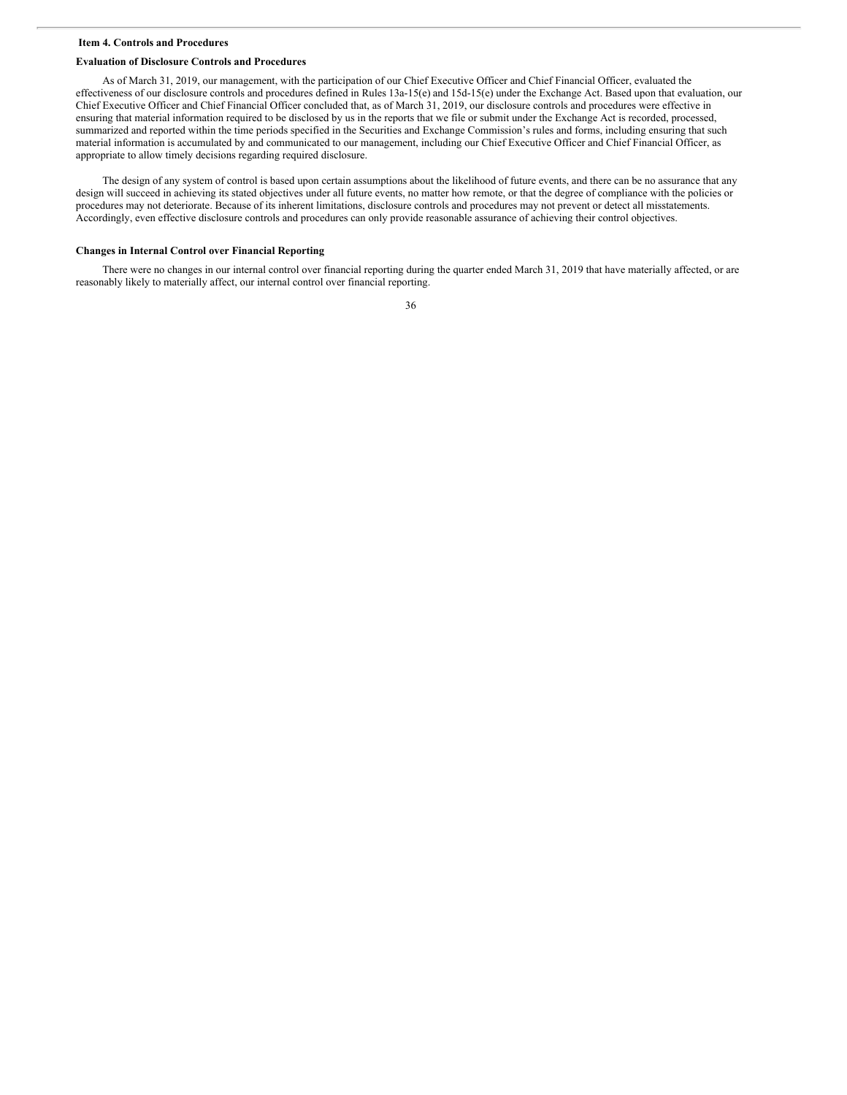#### <span id="page-35-0"></span>**Item 4. Controls and Procedures**

# **Evaluation of Disclosure Controls and Procedures**

As of March 31, 2019, our management, with the participation of our Chief Executive Officer and Chief Financial Officer, evaluated the effectiveness of our disclosure controls and procedures defined in Rules 13a-15(e) and 15d-15(e) under the Exchange Act. Based upon that evaluation, our Chief Executive Officer and Chief Financial Officer concluded that, as of March 31, 2019, our disclosure controls and procedures were effective in ensuring that material information required to be disclosed by us in the reports that we file or submit under the Exchange Act is recorded, processed, summarized and reported within the time periods specified in the Securities and Exchange Commission's rules and forms, including ensuring that such material information is accumulated by and communicated to our management, including our Chief Executive Officer and Chief Financial Officer, as appropriate to allow timely decisions regarding required disclosure.

The design of any system of control is based upon certain assumptions about the likelihood of future events, and there can be no assurance that any design will succeed in achieving its stated objectives under all future events, no matter how remote, or that the degree of compliance with the policies or procedures may not deteriorate. Because of its inherent limitations, disclosure controls and procedures may not prevent or detect all misstatements. Accordingly, even effective disclosure controls and procedures can only provide reasonable assurance of achieving their control objectives.

# **Changes in Internal Control over Financial Reporting**

There were no changes in our internal control over financial reporting during the quarter ended March 31, 2019 that have materially affected, or are reasonably likely to materially affect, our internal control over financial reporting.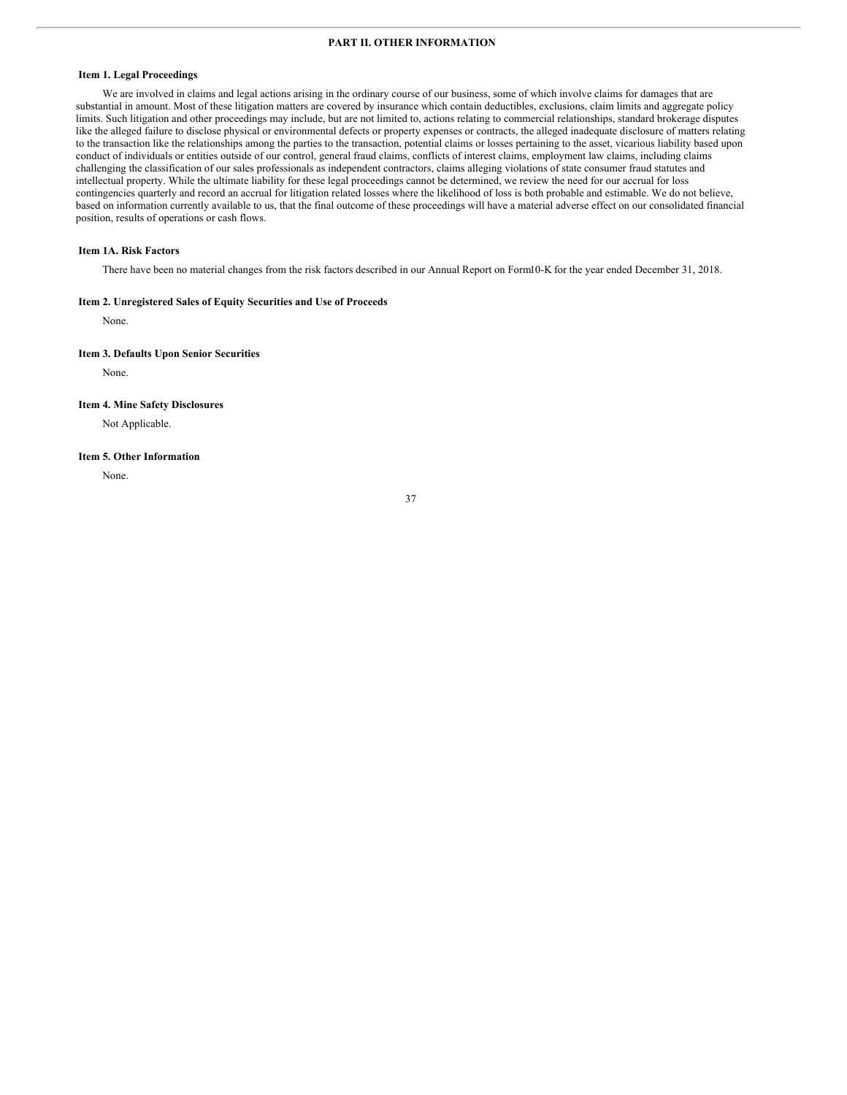# <span id="page-36-0"></span>**PART II. OTHER INFORMATION**

# <span id="page-36-1"></span>**Item 1. Legal Proceedings**

We are involved in claims and legal actions arising in the ordinary course of our business, some of which involve claims for damages that are substantial in amount. Most of these litigation matters are covered by insurance which contain deductibles, exclusions, claim limits and aggregate policy limits. Such litigation and other proceedings may include, but are not limited to, actions relating to commercial relationships, standard brokerage disputes like the alleged failure to disclose physical or environmental defects or property expenses or contracts, the alleged inadequate disclosure of matters relating to the transaction like the relationships among the parties to the transaction, potential claims or losses pertaining to the asset, vicarious liability based upon conduct of individuals or entities outside of our control, general fraud claims, conflicts of interest claims, employment law claims, including claims challenging the classification of our sales professionals as independent contractors, claims alleging violations of state consumer fraud statutes and intellectual property. While the ultimate liability for these legal proceedings cannot be determined, we review the need for our accrual for loss contingencies quarterly and record an accrual for litigation related losses where the likelihood of loss is both probable and estimable. We do not believe, based on information currently available to us, that the final outcome of these proceedings will have a material adverse effect on our consolidated financial position, results of operations or cash flows.

# <span id="page-36-2"></span>**Item 1A. Risk Factors**

There have been no material changes from the risk factors described in our Annual Report on Form10-K for the year ended December 31, 2018.

# <span id="page-36-3"></span>**Item 2. Unregistered Sales of Equity Securities and Use of Proceeds**

None.

#### <span id="page-36-4"></span>**Item 3. Defaults Upon Senior Securities**

None.

# <span id="page-36-5"></span>**Item 4. Mine Safety Disclosures**

Not Applicable.

# <span id="page-36-6"></span>**Item 5. Other Information**

None.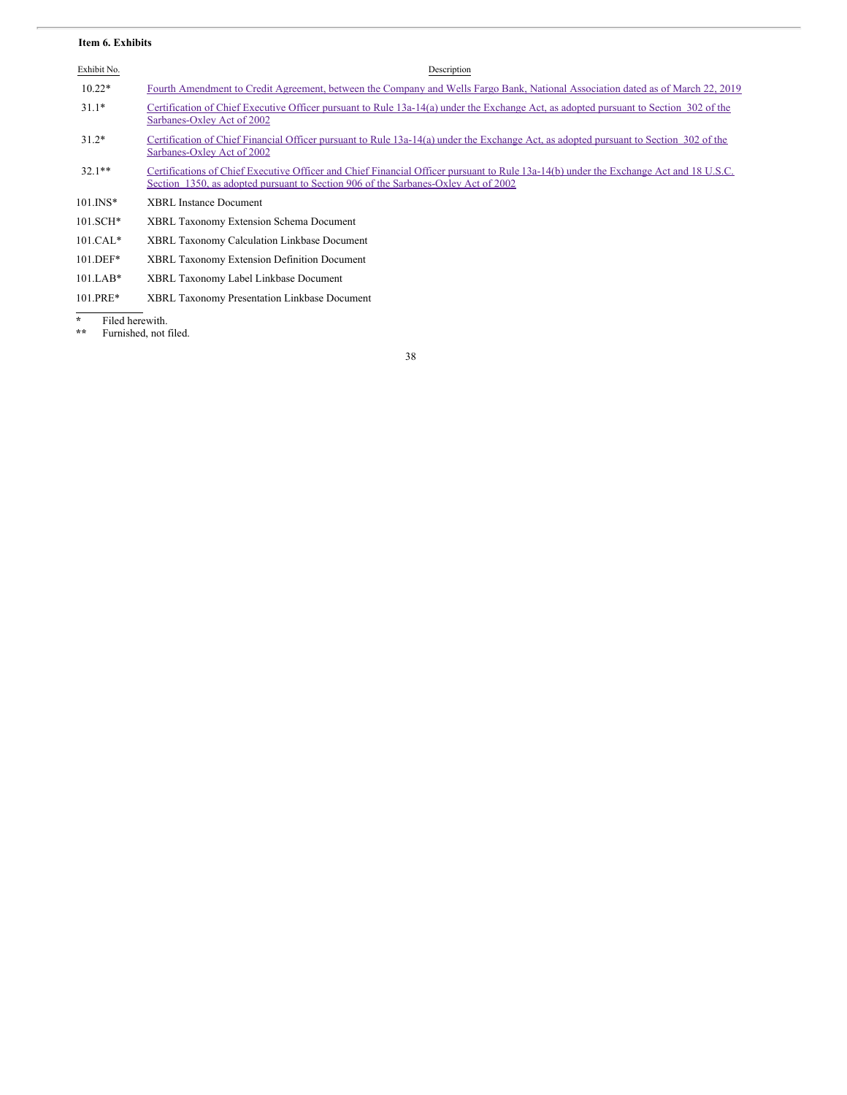# <span id="page-37-0"></span>**Item 6. Exhibits**

| Exhibit No.                                                     | Description                                                                                                                                                                                                                 |
|-----------------------------------------------------------------|-----------------------------------------------------------------------------------------------------------------------------------------------------------------------------------------------------------------------------|
| $10.22*$                                                        | Fourth Amendment to Credit Agreement, between the Company and Wells Fargo Bank, National Association dated as of March 22, 2019                                                                                             |
| $31.1*$                                                         | Certification of Chief Executive Officer pursuant to Rule 13a-14(a) under the Exchange Act, as adopted pursuant to Section 302 of the<br>Sarbanes-Oxley Act of 2002                                                         |
| $31.2*$                                                         | Certification of Chief Financial Officer pursuant to Rule 13a-14(a) under the Exchange Act, as adopted pursuant to Section 302 of the<br>Sarbanes-Oxley Act of 2002                                                         |
| $32.1**$                                                        | Certifications of Chief Executive Officer and Chief Financial Officer pursuant to Rule 13a-14(b) under the Exchange Act and 18 U.S.C.<br>Section 1350, as adopted pursuant to Section 906 of the Sarbanes-Oxley Act of 2002 |
| $101.$ INS*                                                     | <b>XBRL</b> Instance Document                                                                                                                                                                                               |
| 101.SCH*                                                        | <b>XBRL Taxonomy Extension Schema Document</b>                                                                                                                                                                              |
| $101.CAL*$                                                      | <b>XBRL Taxonomy Calculation Linkbase Document</b>                                                                                                                                                                          |
| $101.DEF*$                                                      | <b>XBRL Taxonomy Extension Definition Document</b>                                                                                                                                                                          |
| $101.LAB*$                                                      | XBRL Taxonomy Label Linkbase Document                                                                                                                                                                                       |
| 101.PRE*                                                        | <b>XBRL Taxonomy Presentation Linkbase Document</b>                                                                                                                                                                         |
| $\mathbf{a}$ and $\mathbf{a}$ and $\mathbf{a}$ and $\mathbf{a}$ |                                                                                                                                                                                                                             |

**\*** Filed herewith.

**\*\*** Furnished, not filed.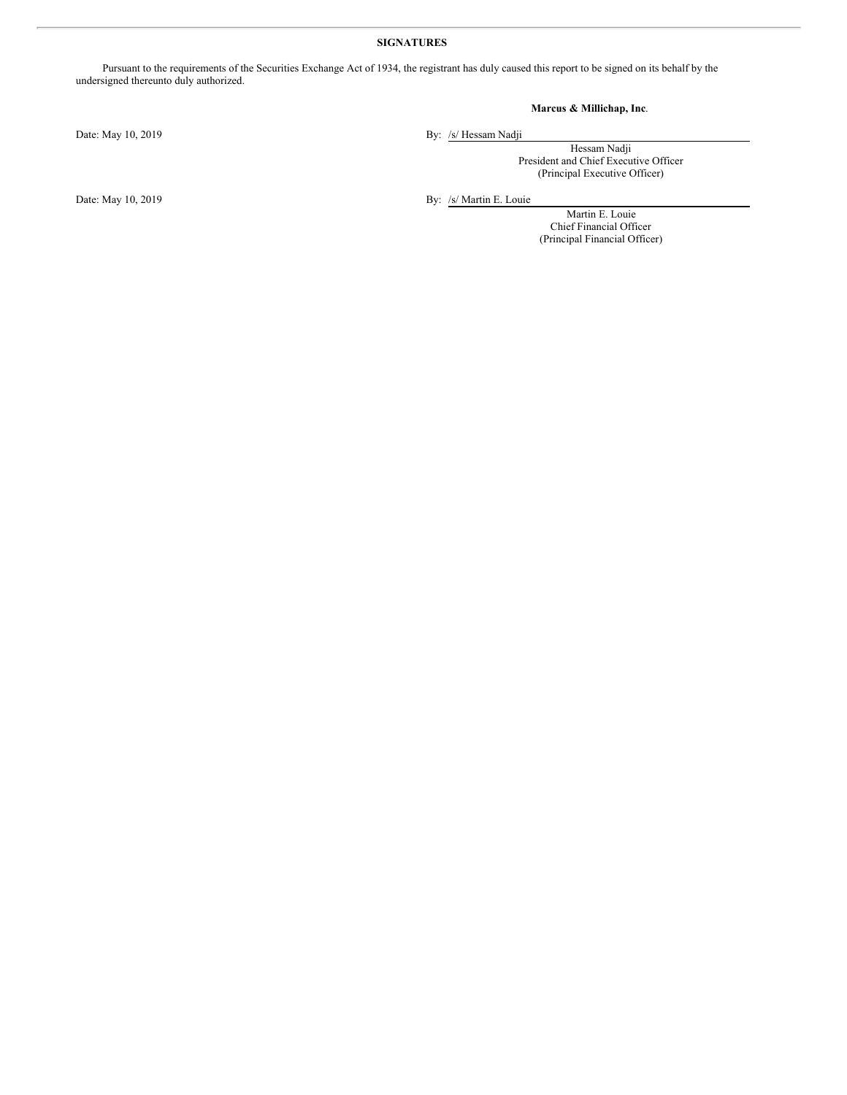# <span id="page-38-0"></span>**SIGNATURES**

Pursuant to the requirements of the Securities Exchange Act of 1934, the registrant has duly caused this report to be signed on its behalf by the undersigned thereunto duly authorized.

**Marcus & Millichap, Inc**.

Date: May 10, 2019 By: /s/ Hessam Nadji

Hessam Nadji President and Chief Executive Officer (Principal Executive Officer)

Date: May 10, 2019 By: /s/ Martin E. Louie

Martin E. Louie Chief Financial Officer (Principal Financial Officer)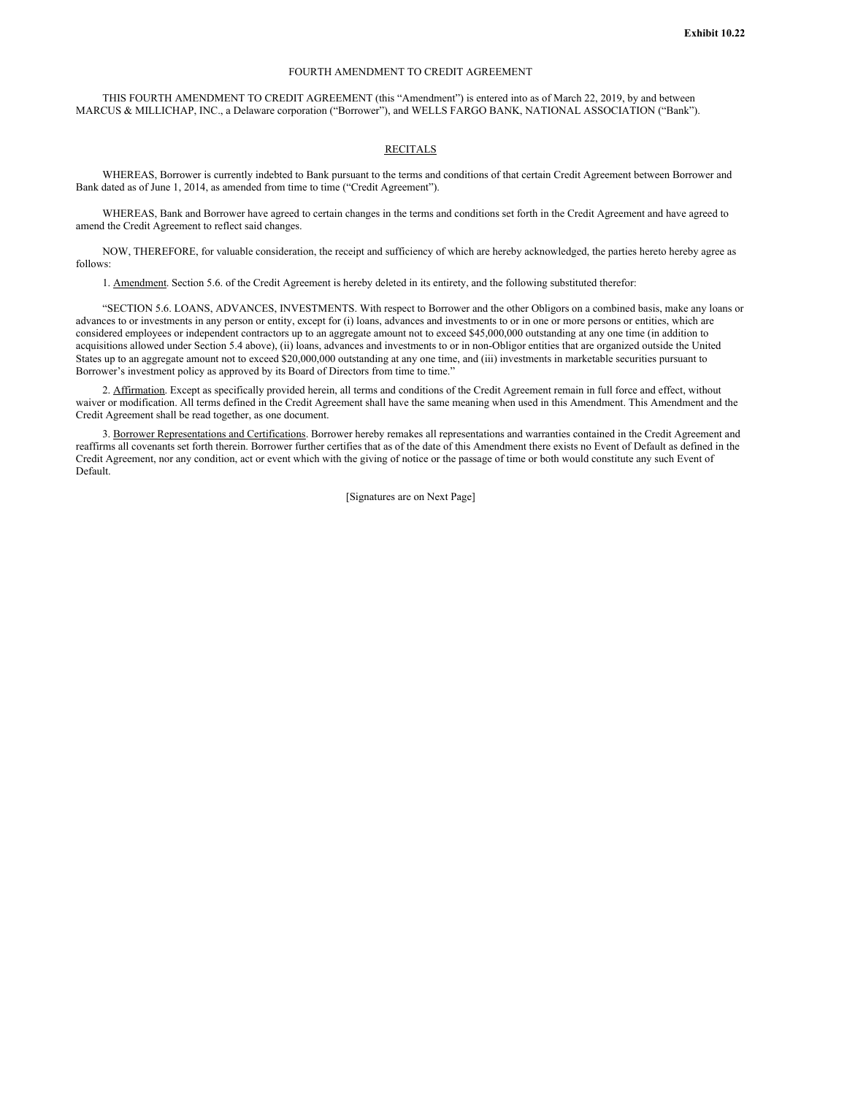## FOURTH AMENDMENT TO CREDIT AGREEMENT

<span id="page-39-0"></span>THIS FOURTH AMENDMENT TO CREDIT AGREEMENT (this "Amendment") is entered into as of March 22, 2019, by and between MARCUS & MILLICHAP, INC., a Delaware corporation ("Borrower"), and WELLS FARGO BANK, NATIONAL ASSOCIATION ("Bank").

# **RECITALS**

WHEREAS, Borrower is currently indebted to Bank pursuant to the terms and conditions of that certain Credit Agreement between Borrower and Bank dated as of June 1, 2014, as amended from time to time ("Credit Agreement").

WHEREAS, Bank and Borrower have agreed to certain changes in the terms and conditions set forth in the Credit Agreement and have agreed to amend the Credit Agreement to reflect said changes.

NOW, THEREFORE, for valuable consideration, the receipt and sufficiency of which are hereby acknowledged, the parties hereto hereby agree as follows:

1. Amendment. Section 5.6. of the Credit Agreement is hereby deleted in its entirety, and the following substituted therefor:

"SECTION 5.6. LOANS, ADVANCES, INVESTMENTS. With respect to Borrower and the other Obligors on a combined basis, make any loans or advances to or investments in any person or entity, except for (i) loans, advances and investments to or in one or more persons or entities, which are considered employees or independent contractors up to an aggregate amount not to exceed \$45,000,000 outstanding at any one time (in addition to acquisitions allowed under Section 5.4 above), (ii) loans, advances and investments to or in non-Obligor entities that are organized outside the United States up to an aggregate amount not to exceed \$20,000,000 outstanding at any one time, and (iii) investments in marketable securities pursuant to Borrower's investment policy as approved by its Board of Directors from time to time."

2. Affirmation. Except as specifically provided herein, all terms and conditions of the Credit Agreement remain in full force and effect, without waiver or modification. All terms defined in the Credit Agreement shall have the same meaning when used in this Amendment. This Amendment and the Credit Agreement shall be read together, as one document.

3. Borrower Representations and Certifications. Borrower hereby remakes all representations and warranties contained in the Credit Agreement and reaffirms all covenants set forth therein. Borrower further certifies that as of the date of this Amendment there exists no Event of Default as defined in the Credit Agreement, nor any condition, act or event which with the giving of notice or the passage of time or both would constitute any such Event of Default.

[Signatures are on Next Page]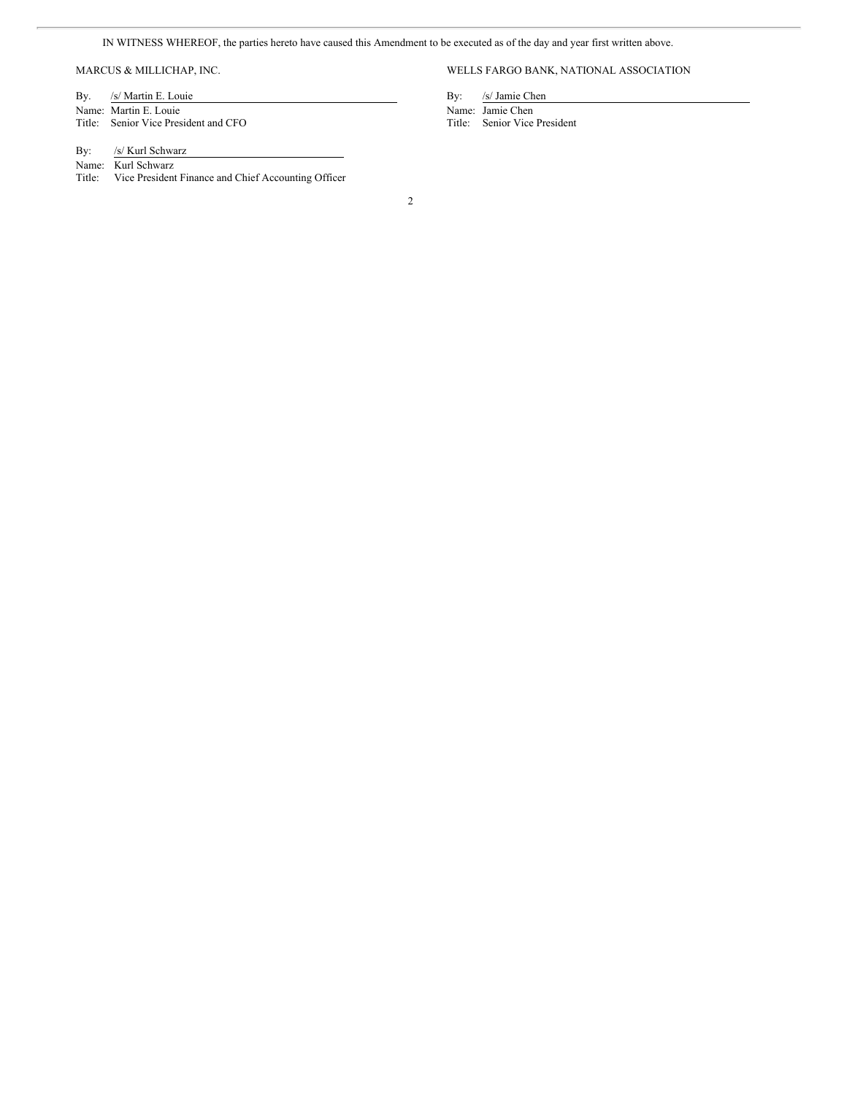IN WITNESS WHEREOF, the parties hereto have caused this Amendment to be executed as of the day and year first written above.

2

By. /s/ Martin E. Louie By: /s/ Jamie Chen<br>Name: Martin E. Louie By: /s/ Jamie Chen<br>Name: Martin E. Louie By: /s/ Jamie Chen Name: Martin E. Louie Chen<br>
Title: Senior Vice President and CFO<br>
Title: Senior Vice President and CFO<br>
Title: Senior Vice President Title: Senior Vice President and CFO

By: /s/ Kurl Schwarz

Name: Kurl Schwarz

Title: Vice President Finance and Chief Accounting Officer

MARCUS & MILLICHAP, INC. WELLS FARGO BANK, NATIONAL ASSOCIATION

- 
-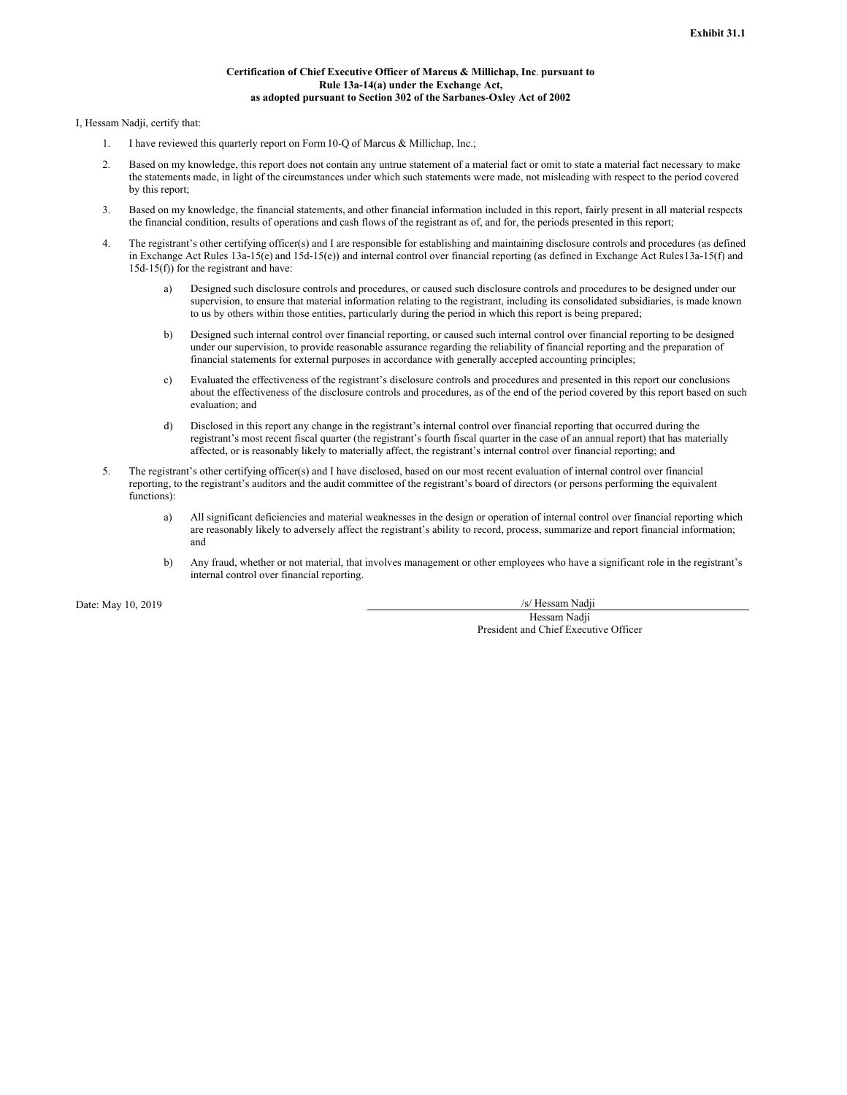# **Certification of Chief Executive Officer of Marcus & Millichap, Inc**. **pursuant to Rule 13a-14(a) under the Exchange Act, as adopted pursuant to Section 302 of the Sarbanes-Oxley Act of 2002**

<span id="page-41-0"></span>I, Hessam Nadji, certify that:

- 1. I have reviewed this quarterly report on Form10-Q of Marcus & Millichap, Inc.;
- 2. Based on my knowledge, this report does not contain any untrue statement of a material fact or omit to state a material fact necessary to make the statements made, in light of the circumstances under which such statements were made, not misleading with respect to the period covered by this report;
- 3. Based on my knowledge, the financial statements, and other financial information included in this report, fairly present in all material respects the financial condition, results of operations and cash flows of the registrant as of, and for, the periods presented in this report;
- 4. The registrant's other certifying officer(s) and I are responsible for establishing and maintaining disclosure controls and procedures (as defined in Exchange Act Rules 13a-15(e) and 15d-15(e)) and internal control over financial reporting (as defined in Exchange Act Rules13a-15(f) and 15d-15(f)) for the registrant and have:
	- a) Designed such disclosure controls and procedures, or caused such disclosure controls and procedures to be designed under our supervision, to ensure that material information relating to the registrant, including its consolidated subsidiaries, is made known to us by others within those entities, particularly during the period in which this report is being prepared;
	- b) Designed such internal control over financial reporting, or caused such internal control over financial reporting to be designed under our supervision, to provide reasonable assurance regarding the reliability of financial reporting and the preparation of financial statements for external purposes in accordance with generally accepted accounting principles;
	- c) Evaluated the effectiveness of the registrant's disclosure controls and procedures and presented in this report our conclusions about the effectiveness of the disclosure controls and procedures, as of the end of the period covered by this report based on such evaluation; and
	- d) Disclosed in this report any change in the registrant's internal control over financial reporting that occurred during the registrant's most recent fiscal quarter (the registrant's fourth fiscal quarter in the case of an annual report) that has materially affected, or is reasonably likely to materially affect, the registrant's internal control over financial reporting; and
- 5. The registrant's other certifying officer(s) and I have disclosed, based on our most recent evaluation of internal control over financial reporting, to the registrant's auditors and the audit committee of the registrant's board of directors (or persons performing the equivalent functions):
	- a) All significant deficiencies and material weaknesses in the design or operation of internal control over financial reporting which are reasonably likely to adversely affect the registrant's ability to record, process, summarize and report financial information; and
	- b) Any fraud, whether or not material, that involves management or other employees who have a significant role in the registrant's internal control over financial reporting.

Date: May 10, 2019 /s/ Hessam Nadji

Hessam Nadji President and Chief Executive Officer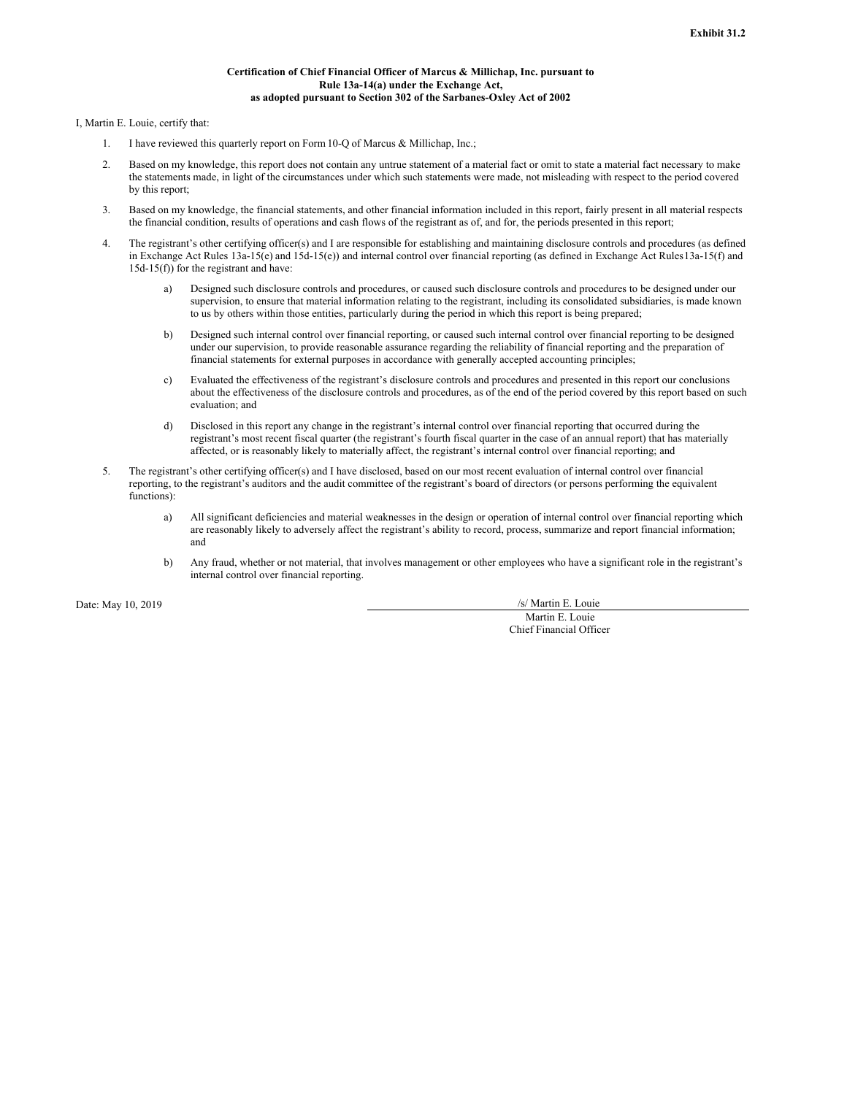# **Certification of Chief Financial Officer of Marcus & Millichap, Inc. pursuant to Rule 13a-14(a) under the Exchange Act, as adopted pursuant to Section 302 of the Sarbanes-Oxley Act of 2002**

<span id="page-42-0"></span>I, Martin E. Louie, certify that:

- 1. I have reviewed this quarterly report on Form10-Q of Marcus & Millichap, Inc.;
- 2. Based on my knowledge, this report does not contain any untrue statement of a material fact or omit to state a material fact necessary to make the statements made, in light of the circumstances under which such statements were made, not misleading with respect to the period covered by this report;
- 3. Based on my knowledge, the financial statements, and other financial information included in this report, fairly present in all material respects the financial condition, results of operations and cash flows of the registrant as of, and for, the periods presented in this report;
- 4. The registrant's other certifying officer(s) and I are responsible for establishing and maintaining disclosure controls and procedures (as defined in Exchange Act Rules 13a-15(e) and 15d-15(e)) and internal control over financial reporting (as defined in Exchange Act Rules13a-15(f) and 15d-15(f)) for the registrant and have:
	- a) Designed such disclosure controls and procedures, or caused such disclosure controls and procedures to be designed under our supervision, to ensure that material information relating to the registrant, including its consolidated subsidiaries, is made known to us by others within those entities, particularly during the period in which this report is being prepared;
	- b) Designed such internal control over financial reporting, or caused such internal control over financial reporting to be designed under our supervision, to provide reasonable assurance regarding the reliability of financial reporting and the preparation of financial statements for external purposes in accordance with generally accepted accounting principles;
	- c) Evaluated the effectiveness of the registrant's disclosure controls and procedures and presented in this report our conclusions about the effectiveness of the disclosure controls and procedures, as of the end of the period covered by this report based on such evaluation; and
	- d) Disclosed in this report any change in the registrant's internal control over financial reporting that occurred during the registrant's most recent fiscal quarter (the registrant's fourth fiscal quarter in the case of an annual report) that has materially affected, or is reasonably likely to materially affect, the registrant's internal control over financial reporting; and
- 5. The registrant's other certifying officer(s) and I have disclosed, based on our most recent evaluation of internal control over financial reporting, to the registrant's auditors and the audit committee of the registrant's board of directors (or persons performing the equivalent functions):
	- a) All significant deficiencies and material weaknesses in the design or operation of internal control over financial reporting which are reasonably likely to adversely affect the registrant's ability to record, process, summarize and report financial information; and
	- b) Any fraud, whether or not material, that involves management or other employees who have a significant role in the registrant's internal control over financial reporting.

Date: May 10, 2019 /s/ Martin E. Louie

Martin E. Louie Chief Financial Officer